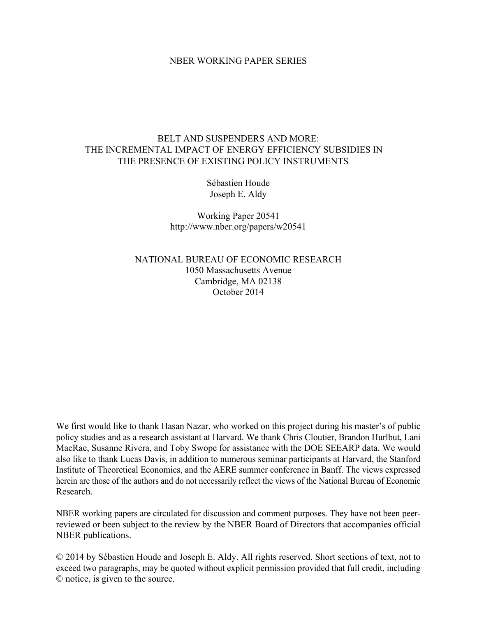### NBER WORKING PAPER SERIES

## BELT AND SUSPENDERS AND MORE: THE INCREMENTAL IMPACT OF ENERGY EFFICIENCY SUBSIDIES IN THE PRESENCE OF EXISTING POLICY INSTRUMENTS

Sébastien Houde Joseph E. Aldy

Working Paper 20541 http://www.nber.org/papers/w20541

NATIONAL BUREAU OF ECONOMIC RESEARCH 1050 Massachusetts Avenue Cambridge, MA 02138 October 2014

We first would like to thank Hasan Nazar, who worked on this project during his master's of public policy studies and as a research assistant at Harvard. We thank Chris Cloutier, Brandon Hurlbut, Lani MacRae, Susanne Rivera, and Toby Swope for assistance with the DOE SEEARP data. We would also like to thank Lucas Davis, in addition to numerous seminar participants at Harvard, the Stanford Institute of Theoretical Economics, and the AERE summer conference in Banff. The views expressed herein are those of the authors and do not necessarily reflect the views of the National Bureau of Economic Research.

NBER working papers are circulated for discussion and comment purposes. They have not been peerreviewed or been subject to the review by the NBER Board of Directors that accompanies official NBER publications.

© 2014 by Sébastien Houde and Joseph E. Aldy. All rights reserved. Short sections of text, not to exceed two paragraphs, may be quoted without explicit permission provided that full credit, including © notice, is given to the source.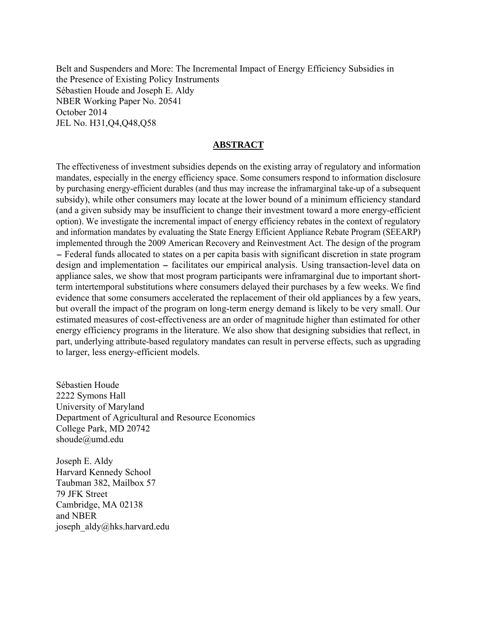Belt and Suspenders and More: The Incremental Impact of Energy Efficiency Subsidies in the Presence of Existing Policy Instruments Sébastien Houde and Joseph E. Aldy NBER Working Paper No. 20541 October 2014 JEL No. H31,Q4,Q48,Q58

### **ABSTRACT**

The effectiveness of investment subsidies depends on the existing array of regulatory and information mandates, especially in the energy efficiency space. Some consumers respond to information disclosure by purchasing energy-efficient durables (and thus may increase the inframarginal take-up of a subsequent subsidy), while other consumers may locate at the lower bound of a minimum efficiency standard (and a given subsidy may be insufficient to change their investment toward a more energy-efficient option). We investigate the incremental impact of energy efficiency rebates in the context of regulatory and information mandates by evaluating the State Energy Efficient Appliance Rebate Program (SEEARP) implemented through the 2009 American Recovery and Reinvestment Act. The design of the program - Federal funds allocated to states on a per capita basis with significant discretion in state program design and implementation – facilitates our empirical analysis. Using transaction-level data on appliance sales, we show that most program participants were inframarginal due to important shortterm intertemporal substitutions where consumers delayed their purchases by a few weeks. We find evidence that some consumers accelerated the replacement of their old appliances by a few years, but overall the impact of the program on long-term energy demand is likely to be very small. Our estimated measures of cost-effectiveness are an order of magnitude higher than estimated for other energy efficiency programs in the literature. We also show that designing subsidies that reflect, in part, underlying attribute-based regulatory mandates can result in perverse effects, such as upgrading to larger, less energy-efficient models.

Sébastien Houde 2222 Symons Hall University of Maryland Department of Agricultural and Resource Economics College Park, MD 20742 shoude@umd.edu

Joseph E. Aldy Harvard Kennedy School Taubman 382, Mailbox 57 79 JFK Street Cambridge, MA 02138 and NBER joseph\_aldy@hks.harvard.edu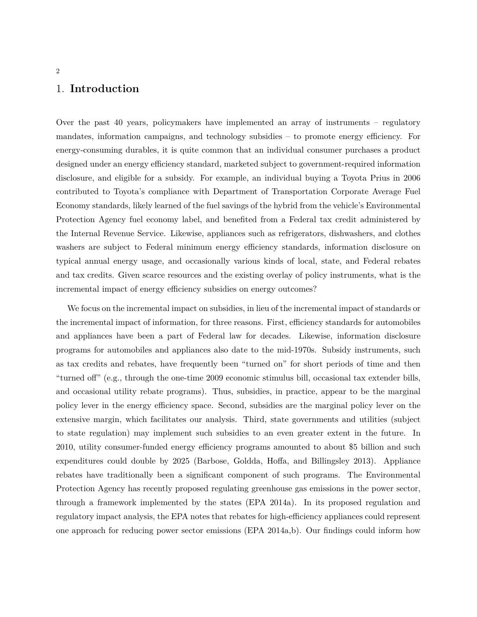## 1. **Introduction**

Over the past 40 years, policymakers have implemented an array of instruments – regulatory mandates, information campaigns, and technology subsidies – to promote energy efficiency. For energy-consuming durables, it is quite common that an individual consumer purchases a product designed under an energy efficiency standard, marketed subject to government-required information disclosure, and eligible for a subsidy. For example, an individual buying a Toyota Prius in 2006 contributed to Toyota's compliance with Department of Transportation Corporate Average Fuel Economy standards, likely learned of the fuel savings of the hybrid from the vehicle's Environmental Protection Agency fuel economy label, and benefited from a Federal tax credit administered by the Internal Revenue Service. Likewise, appliances such as refrigerators, dishwashers, and clothes washers are subject to Federal minimum energy efficiency standards, information disclosure on typical annual energy usage, and occasionally various kinds of local, state, and Federal rebates and tax credits. Given scarce resources and the existing overlay of policy instruments, what is the incremental impact of energy efficiency subsidies on energy outcomes?

We focus on the incremental impact on subsidies, in lieu of the incremental impact of standards or the incremental impact of information, for three reasons. First, efficiency standards for automobiles and appliances have been a part of Federal law for decades. Likewise, information disclosure programs for automobiles and appliances also date to the mid-1970s. Subsidy instruments, such as tax credits and rebates, have frequently been "turned on" for short periods of time and then "turned off" (e.g., through the one-time 2009 economic stimulus bill, occasional tax extender bills, and occasional utility rebate programs). Thus, subsidies, in practice, appear to be the marginal policy lever in the energy efficiency space. Second, subsidies are the marginal policy lever on the extensive margin, which facilitates our analysis. Third, state governments and utilities (subject to state regulation) may implement such subsidies to an even greater extent in the future. In 2010, utility consumer-funded energy efficiency programs amounted to about \$5 billion and such expenditures could double by 2025 (Barbose, Goldda, Hoffa, and Billingsley 2013). Appliance rebates have traditionally been a significant component of such programs. The Environmental Protection Agency has recently proposed regulating greenhouse gas emissions in the power sector, through a framework implemented by the states (EPA 2014a). In its proposed regulation and regulatory impact analysis, the EPA notes that rebates for high-efficiency appliances could represent one approach for reducing power sector emissions (EPA 2014a,b). Our findings could inform how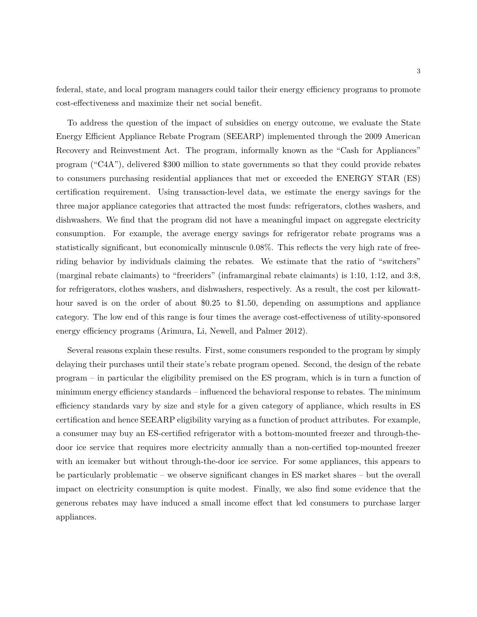federal, state, and local program managers could tailor their energy efficiency programs to promote cost-effectiveness and maximize their net social benefit.

To address the question of the impact of subsidies on energy outcome, we evaluate the State Energy Efficient Appliance Rebate Program (SEEARP) implemented through the 2009 American Recovery and Reinvestment Act. The program, informally known as the "Cash for Appliances" program ("C4A"), delivered \$300 million to state governments so that they could provide rebates to consumers purchasing residential appliances that met or exceeded the ENERGY STAR (ES) certification requirement. Using transaction-level data, we estimate the energy savings for the three major appliance categories that attracted the most funds: refrigerators, clothes washers, and dishwashers. We find that the program did not have a meaningful impact on aggregate electricity consumption. For example, the average energy savings for refrigerator rebate programs was a statistically significant, but economically minuscule 0.08%. This reflects the very high rate of freeriding behavior by individuals claiming the rebates. We estimate that the ratio of "switchers" (marginal rebate claimants) to "freeriders" (inframarginal rebate claimants) is 1:10, 1:12, and 3:8, for refrigerators, clothes washers, and dishwashers, respectively. As a result, the cost per kilowatthour saved is on the order of about \$0.25 to \$1.50, depending on assumptions and appliance category. The low end of this range is four times the average cost-effectiveness of utility-sponsored energy efficiency programs (Arimura, Li, Newell, and Palmer 2012).

Several reasons explain these results. First, some consumers responded to the program by simply delaying their purchases until their state's rebate program opened. Second, the design of the rebate program – in particular the eligibility premised on the ES program, which is in turn a function of minimum energy efficiency standards – influenced the behavioral response to rebates. The minimum efficiency standards vary by size and style for a given category of appliance, which results in ES certification and hence SEEARP eligibility varying as a function of product attributes. For example, a consumer may buy an ES-certified refrigerator with a bottom-mounted freezer and through-thedoor ice service that requires more electricity annually than a non-certified top-mounted freezer with an icemaker but without through-the-door ice service. For some appliances, this appears to be particularly problematic – we observe significant changes in ES market shares – but the overall impact on electricity consumption is quite modest. Finally, we also find some evidence that the generous rebates may have induced a small income effect that led consumers to purchase larger appliances.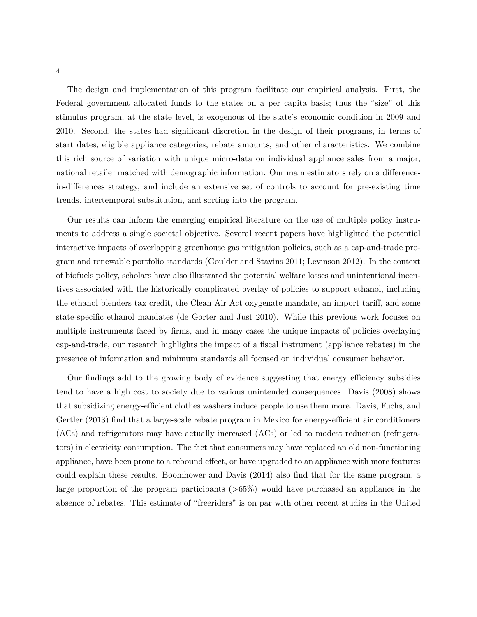The design and implementation of this program facilitate our empirical analysis. First, the Federal government allocated funds to the states on a per capita basis; thus the "size" of this stimulus program, at the state level, is exogenous of the state's economic condition in 2009 and 2010. Second, the states had significant discretion in the design of their programs, in terms of start dates, eligible appliance categories, rebate amounts, and other characteristics. We combine this rich source of variation with unique micro-data on individual appliance sales from a major, national retailer matched with demographic information. Our main estimators rely on a differencein-differences strategy, and include an extensive set of controls to account for pre-existing time trends, intertemporal substitution, and sorting into the program.

Our results can inform the emerging empirical literature on the use of multiple policy instruments to address a single societal objective. Several recent papers have highlighted the potential interactive impacts of overlapping greenhouse gas mitigation policies, such as a cap-and-trade program and renewable portfolio standards (Goulder and Stavins 2011; Levinson 2012). In the context of biofuels policy, scholars have also illustrated the potential welfare losses and unintentional incentives associated with the historically complicated overlay of policies to support ethanol, including the ethanol blenders tax credit, the Clean Air Act oxygenate mandate, an import tariff, and some state-specific ethanol mandates (de Gorter and Just 2010). While this previous work focuses on multiple instruments faced by firms, and in many cases the unique impacts of policies overlaying cap-and-trade, our research highlights the impact of a fiscal instrument (appliance rebates) in the presence of information and minimum standards all focused on individual consumer behavior.

Our findings add to the growing body of evidence suggesting that energy efficiency subsidies tend to have a high cost to society due to various unintended consequences. Davis (2008) shows that subsidizing energy-efficient clothes washers induce people to use them more. Davis, Fuchs, and Gertler (2013) find that a large-scale rebate program in Mexico for energy-efficient air conditioners (ACs) and refrigerators may have actually increased (ACs) or led to modest reduction (refrigerators) in electricity consumption. The fact that consumers may have replaced an old non-functioning appliance, have been prone to a rebound effect, or have upgraded to an appliance with more features could explain these results. Boomhower and Davis (2014) also find that for the same program, a large proportion of the program participants (*>*65%) would have purchased an appliance in the absence of rebates. This estimate of "freeriders" is on par with other recent studies in the United

4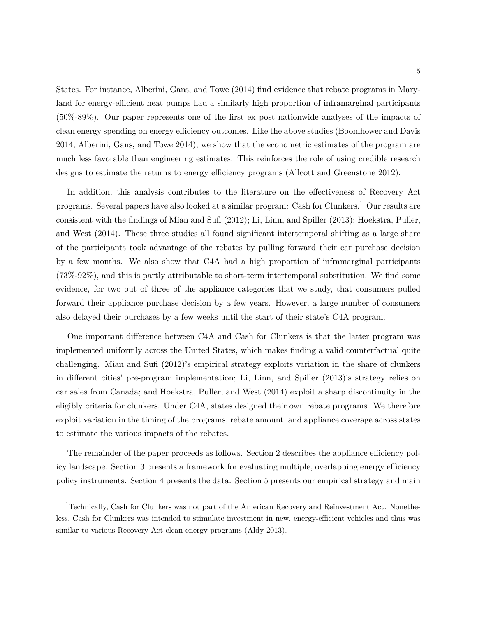States. For instance, Alberini, Gans, and Towe (2014) find evidence that rebate programs in Maryland for energy-efficient heat pumps had a similarly high proportion of inframarginal participants (50%-89%). Our paper represents one of the first ex post nationwide analyses of the impacts of clean energy spending on energy efficiency outcomes. Like the above studies (Boomhower and Davis 2014; Alberini, Gans, and Towe 2014), we show that the econometric estimates of the program are much less favorable than engineering estimates. This reinforces the role of using credible research designs to estimate the returns to energy efficiency programs (Allcott and Greenstone 2012).

In addition, this analysis contributes to the literature on the effectiveness of Recovery Act programs. Several papers have also looked at a similar program: Cash for Clunkers.<sup>1</sup> Our results are consistent with the findings of Mian and Sufi (2012); Li, Linn, and Spiller (2013); Hoekstra, Puller, and West (2014). These three studies all found significant intertemporal shifting as a large share of the participants took advantage of the rebates by pulling forward their car purchase decision by a few months. We also show that C4A had a high proportion of inframarginal participants (73%-92%), and this is partly attributable to short-term intertemporal substitution. We find some evidence, for two out of three of the appliance categories that we study, that consumers pulled forward their appliance purchase decision by a few years. However, a large number of consumers also delayed their purchases by a few weeks until the start of their state's C4A program.

One important difference between C4A and Cash for Clunkers is that the latter program was implemented uniformly across the United States, which makes finding a valid counterfactual quite challenging. Mian and Sufi (2012)'s empirical strategy exploits variation in the share of clunkers in different cities' pre-program implementation; Li, Linn, and Spiller (2013)'s strategy relies on car sales from Canada; and Hoekstra, Puller, and West (2014) exploit a sharp discontinuity in the eligibly criteria for clunkers. Under C4A, states designed their own rebate programs. We therefore exploit variation in the timing of the programs, rebate amount, and appliance coverage across states to estimate the various impacts of the rebates.

The remainder of the paper proceeds as follows. Section 2 describes the appliance efficiency policy landscape. Section 3 presents a framework for evaluating multiple, overlapping energy efficiency policy instruments. Section 4 presents the data. Section 5 presents our empirical strategy and main

<sup>1</sup>Technically, Cash for Clunkers was not part of the American Recovery and Reinvestment Act. Nonetheless, Cash for Clunkers was intended to stimulate investment in new, energy-efficient vehicles and thus was similar to various Recovery Act clean energy programs (Aldy 2013).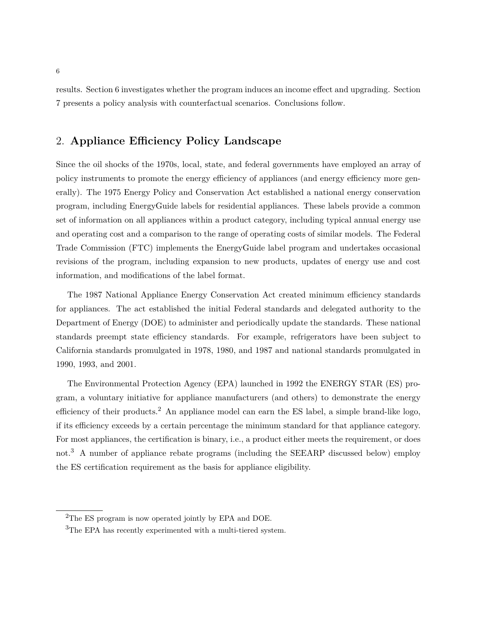results. Section 6 investigates whether the program induces an income effect and upgrading. Section 7 presents a policy analysis with counterfactual scenarios. Conclusions follow.

# 2. **Appliance Efficiency Policy Landscape**

Since the oil shocks of the 1970s, local, state, and federal governments have employed an array of policy instruments to promote the energy efficiency of appliances (and energy efficiency more generally). The 1975 Energy Policy and Conservation Act established a national energy conservation program, including EnergyGuide labels for residential appliances. These labels provide a common set of information on all appliances within a product category, including typical annual energy use and operating cost and a comparison to the range of operating costs of similar models. The Federal Trade Commission (FTC) implements the EnergyGuide label program and undertakes occasional revisions of the program, including expansion to new products, updates of energy use and cost information, and modifications of the label format.

The 1987 National Appliance Energy Conservation Act created minimum efficiency standards for appliances. The act established the initial Federal standards and delegated authority to the Department of Energy (DOE) to administer and periodically update the standards. These national standards preempt state efficiency standards. For example, refrigerators have been subject to California standards promulgated in 1978, 1980, and 1987 and national standards promulgated in 1990, 1993, and 2001.

The Environmental Protection Agency (EPA) launched in 1992 the ENERGY STAR (ES) program, a voluntary initiative for appliance manufacturers (and others) to demonstrate the energy efficiency of their products.<sup>2</sup> An appliance model can earn the ES label, a simple brand-like logo, if its efficiency exceeds by a certain percentage the minimum standard for that appliance category. For most appliances, the certification is binary, i.e., a product either meets the requirement, or does not.<sup>3</sup> A number of appliance rebate programs (including the SEEARP discussed below) employ the ES certification requirement as the basis for appliance eligibility.

<sup>&</sup>lt;sup>2</sup>The ES program is now operated jointly by EPA and DOE.

<sup>&</sup>lt;sup>3</sup>The EPA has recently experimented with a multi-tiered system.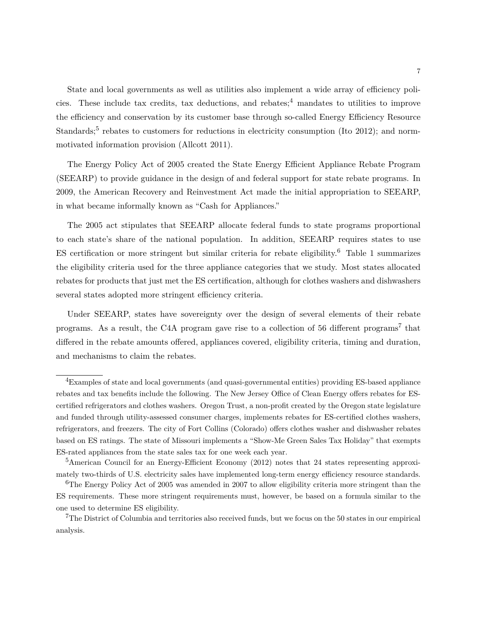State and local governments as well as utilities also implement a wide array of efficiency policies. These include tax credits, tax deductions, and rebates;  $4 \text{ mandates to }$  utilities to improve the efficiency and conservation by its customer base through so-called Energy Efficiency Resource Standards;<sup>5</sup> rebates to customers for reductions in electricity consumption (Ito 2012); and normmotivated information provision (Allcott 2011).

The Energy Policy Act of 2005 created the State Energy Efficient Appliance Rebate Program (SEEARP) to provide guidance in the design of and federal support for state rebate programs. In 2009, the American Recovery and Reinvestment Act made the initial appropriation to SEEARP, in what became informally known as "Cash for Appliances."

The 2005 act stipulates that SEEARP allocate federal funds to state programs proportional to each state's share of the national population. In addition, SEEARP requires states to use ES certification or more stringent but similar criteria for rebate eligibility.<sup>6</sup> Table 1 summarizes the eligibility criteria used for the three appliance categories that we study. Most states allocated rebates for products that just met the ES certification, although for clothes washers and dishwashers several states adopted more stringent efficiency criteria.

Under SEEARP, states have sovereignty over the design of several elements of their rebate programs. As a result, the C4A program gave rise to a collection of 56 different programs<sup>7</sup> that differed in the rebate amounts offered, appliances covered, eligibility criteria, timing and duration, and mechanisms to claim the rebates.

<sup>&</sup>lt;sup>4</sup>Examples of state and local governments (and quasi-governmental entities) providing ES-based appliance rebates and tax benefits include the following. The New Jersey Office of Clean Energy offers rebates for EScertified refrigerators and clothes washers. Oregon Trust, a non-profit created by the Oregon state legislature and funded through utility-assessed consumer charges, implements rebates for ES-certified clothes washers, refrigerators, and freezers. The city of Fort Collins (Colorado) offers clothes washer and dishwasher rebates based on ES ratings. The state of Missouri implements a "Show-Me Green Sales Tax Holiday" that exempts ES-rated appliances from the state sales tax for one week each year.

<sup>&</sup>lt;sup>5</sup>American Council for an Energy-Efficient Economy (2012) notes that 24 states representing approximately two-thirds of U.S. electricity sales have implemented long-term energy efficiency resource standards.

<sup>&</sup>lt;sup>6</sup>The Energy Policy Act of 2005 was amended in 2007 to allow eligibility criteria more stringent than the ES requirements. These more stringent requirements must, however, be based on a formula similar to the one used to determine ES eligibility.

<sup>7</sup>The District of Columbia and territories also received funds, but we focus on the 50 states in our empirical analysis.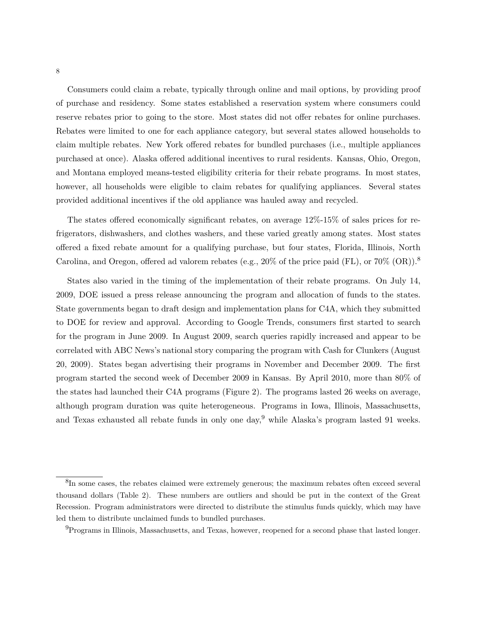Consumers could claim a rebate, typically through online and mail options, by providing proof of purchase and residency. Some states established a reservation system where consumers could reserve rebates prior to going to the store. Most states did not offer rebates for online purchases. Rebates were limited to one for each appliance category, but several states allowed households to claim multiple rebates. New York offered rebates for bundled purchases (i.e., multiple appliances purchased at once). Alaska offered additional incentives to rural residents. Kansas, Ohio, Oregon, and Montana employed means-tested eligibility criteria for their rebate programs. In most states, however, all households were eligible to claim rebates for qualifying appliances. Several states provided additional incentives if the old appliance was hauled away and recycled.

The states offered economically significant rebates, on average 12%-15% of sales prices for refrigerators, dishwashers, and clothes washers, and these varied greatly among states. Most states offered a fixed rebate amount for a qualifying purchase, but four states, Florida, Illinois, North Carolina, and Oregon, offered ad valorem rebates (e.g., 20% of the price paid  $(FL)$ , or 70%  $(OR)$ ).<sup>8</sup>

States also varied in the timing of the implementation of their rebate programs. On July 14, 2009, DOE issued a press release announcing the program and allocation of funds to the states. State governments began to draft design and implementation plans for C4A, which they submitted to DOE for review and approval. According to Google Trends, consumers first started to search for the program in June 2009. In August 2009, search queries rapidly increased and appear to be correlated with ABC News's national story comparing the program with Cash for Clunkers (August 20, 2009). States began advertising their programs in November and December 2009. The first program started the second week of December 2009 in Kansas. By April 2010, more than 80% of the states had launched their C4A programs (Figure 2). The programs lasted 26 weeks on average, although program duration was quite heterogeneous. Programs in Iowa, Illinois, Massachusetts, and Texas exhausted all rebate funds in only one day,<sup>9</sup> while Alaska's program lasted 91 weeks.

<sup>&</sup>lt;sup>8</sup>In some cases, the rebates claimed were extremely generous; the maximum rebates often exceed several thousand dollars (Table 2). These numbers are outliers and should be put in the context of the Great Recession. Program administrators were directed to distribute the stimulus funds quickly, which may have led them to distribute unclaimed funds to bundled purchases.

<sup>9</sup>Programs in Illinois, Massachusetts, and Texas, however, reopened for a second phase that lasted longer.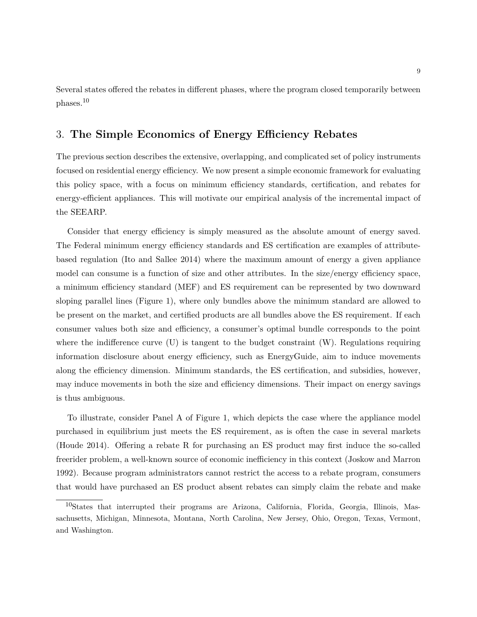Several states offered the rebates in different phases, where the program closed temporarily between phases.<sup>10</sup>

### 3. **The Simple Economics of Energy Efficiency Rebates**

The previous section describes the extensive, overlapping, and complicated set of policy instruments focused on residential energy efficiency. We now present a simple economic framework for evaluating this policy space, with a focus on minimum efficiency standards, certification, and rebates for energy-efficient appliances. This will motivate our empirical analysis of the incremental impact of the SEEARP.

Consider that energy efficiency is simply measured as the absolute amount of energy saved. The Federal minimum energy efficiency standards and ES certification are examples of attributebased regulation (Ito and Sallee 2014) where the maximum amount of energy a given appliance model can consume is a function of size and other attributes. In the size/energy efficiency space, a minimum efficiency standard (MEF) and ES requirement can be represented by two downward sloping parallel lines (Figure 1), where only bundles above the minimum standard are allowed to be present on the market, and certified products are all bundles above the ES requirement. If each consumer values both size and efficiency, a consumer's optimal bundle corresponds to the point where the indifference curve  $(U)$  is tangent to the budget constraint  $(W)$ . Regulations requiring information disclosure about energy efficiency, such as EnergyGuide, aim to induce movements along the efficiency dimension. Minimum standards, the ES certification, and subsidies, however, may induce movements in both the size and efficiency dimensions. Their impact on energy savings is thus ambiguous.

To illustrate, consider Panel A of Figure 1, which depicts the case where the appliance model purchased in equilibrium just meets the ES requirement, as is often the case in several markets (Houde 2014). Offering a rebate R for purchasing an ES product may first induce the so-called freerider problem, a well-known source of economic inefficiency in this context (Joskow and Marron 1992). Because program administrators cannot restrict the access to a rebate program, consumers that would have purchased an ES product absent rebates can simply claim the rebate and make

<sup>10</sup>States that interrupted their programs are Arizona, California, Florida, Georgia, Illinois, Massachusetts, Michigan, Minnesota, Montana, North Carolina, New Jersey, Ohio, Oregon, Texas, Vermont, and Washington.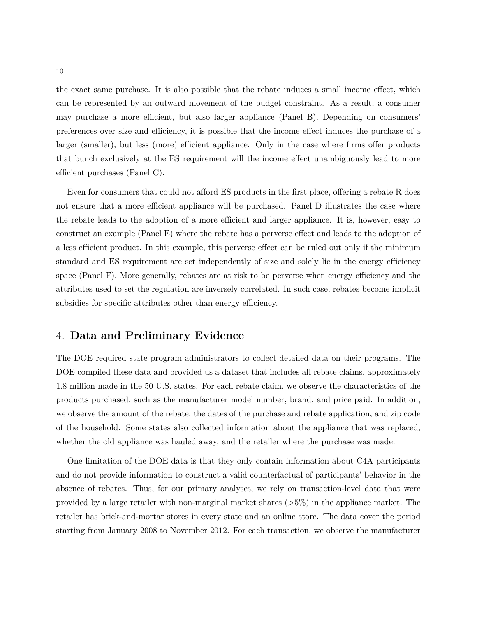the exact same purchase. It is also possible that the rebate induces a small income effect, which can be represented by an outward movement of the budget constraint. As a result, a consumer may purchase a more efficient, but also larger appliance (Panel B). Depending on consumers' preferences over size and efficiency, it is possible that the income effect induces the purchase of a larger (smaller), but less (more) efficient appliance. Only in the case where firms offer products that bunch exclusively at the ES requirement will the income effect unambiguously lead to more efficient purchases (Panel C).

Even for consumers that could not afford ES products in the first place, offering a rebate R does not ensure that a more efficient appliance will be purchased. Panel D illustrates the case where the rebate leads to the adoption of a more efficient and larger appliance. It is, however, easy to construct an example (Panel E) where the rebate has a perverse effect and leads to the adoption of a less efficient product. In this example, this perverse effect can be ruled out only if the minimum standard and ES requirement are set independently of size and solely lie in the energy efficiency space (Panel F). More generally, rebates are at risk to be perverse when energy efficiency and the attributes used to set the regulation are inversely correlated. In such case, rebates become implicit subsidies for specific attributes other than energy efficiency.

### 4. **Data and Preliminary Evidence**

The DOE required state program administrators to collect detailed data on their programs. The DOE compiled these data and provided us a dataset that includes all rebate claims, approximately 1.8 million made in the 50 U.S. states. For each rebate claim, we observe the characteristics of the products purchased, such as the manufacturer model number, brand, and price paid. In addition, we observe the amount of the rebate, the dates of the purchase and rebate application, and zip code of the household. Some states also collected information about the appliance that was replaced, whether the old appliance was hauled away, and the retailer where the purchase was made.

One limitation of the DOE data is that they only contain information about C4A participants and do not provide information to construct a valid counterfactual of participants' behavior in the absence of rebates. Thus, for our primary analyses, we rely on transaction-level data that were provided by a large retailer with non-marginal market shares (*>*5%) in the appliance market. The retailer has brick-and-mortar stores in every state and an online store. The data cover the period starting from January 2008 to November 2012. For each transaction, we observe the manufacturer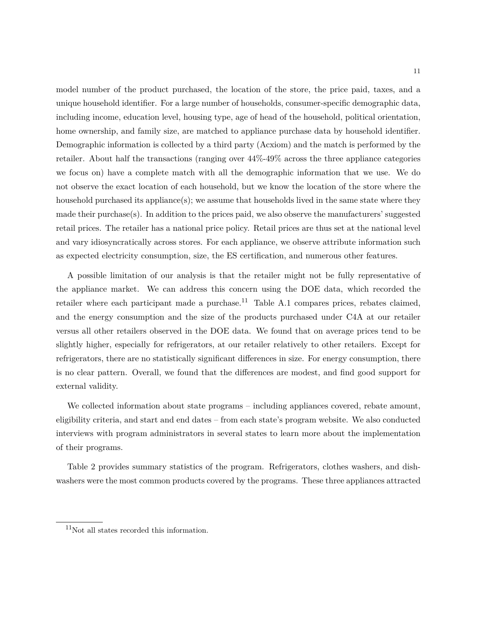model number of the product purchased, the location of the store, the price paid, taxes, and a unique household identifier. For a large number of households, consumer-specific demographic data, including income, education level, housing type, age of head of the household, political orientation, home ownership, and family size, are matched to appliance purchase data by household identifier. Demographic information is collected by a third party (Acxiom) and the match is performed by the retailer. About half the transactions (ranging over 44%-49% across the three appliance categories we focus on) have a complete match with all the demographic information that we use. We do not observe the exact location of each household, but we know the location of the store where the household purchased its appliance(s); we assume that households lived in the same state where they made their purchase $(s)$ . In addition to the prices paid, we also observe the manufacturers' suggested retail prices. The retailer has a national price policy. Retail prices are thus set at the national level and vary idiosyncratically across stores. For each appliance, we observe attribute information such as expected electricity consumption, size, the ES certification, and numerous other features.

A possible limitation of our analysis is that the retailer might not be fully representative of the appliance market. We can address this concern using the DOE data, which recorded the retailer where each participant made a purchase.<sup>11</sup> Table A.1 compares prices, rebates claimed, and the energy consumption and the size of the products purchased under C4A at our retailer versus all other retailers observed in the DOE data. We found that on average prices tend to be slightly higher, especially for refrigerators, at our retailer relatively to other retailers. Except for refrigerators, there are no statistically significant differences in size. For energy consumption, there is no clear pattern. Overall, we found that the differences are modest, and find good support for external validity.

We collected information about state programs – including appliances covered, rebate amount, eligibility criteria, and start and end dates – from each state's program website. We also conducted interviews with program administrators in several states to learn more about the implementation of their programs.

Table 2 provides summary statistics of the program. Refrigerators, clothes washers, and dishwashers were the most common products covered by the programs. These three appliances attracted

<sup>&</sup>lt;sup>11</sup>Not all states recorded this information.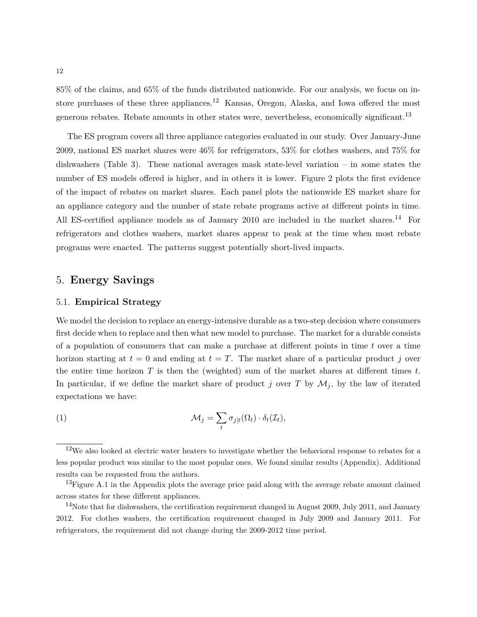85% of the claims, and 65% of the funds distributed nationwide. For our analysis, we focus on instore purchases of these three appliances.<sup>12</sup> Kansas, Oregon, Alaska, and Iowa offered the most generous rebates. Rebate amounts in other states were, nevertheless, economically significant.<sup>13</sup>

The ES program covers all three appliance categories evaluated in our study. Over January-June 2009, national ES market shares were 46% for refrigerators, 53% for clothes washers, and 75% for dishwashers (Table 3). These national averages mask state-level variation – in some states the number of ES models offered is higher, and in others it is lower. Figure 2 plots the first evidence of the impact of rebates on market shares. Each panel plots the nationwide ES market share for an appliance category and the number of state rebate programs active at different points in time. All ES-certified appliance models as of January 2010 are included in the market shares.<sup>14</sup> For refrigerators and clothes washers, market shares appear to peak at the time when most rebate programs were enacted. The patterns suggest potentially short-lived impacts.

### 5. **Energy Savings**

#### 5.1. **Empirical Strategy**

We model the decision to replace an energy-intensive durable as a two-step decision where consumers first decide when to replace and then what new model to purchase. The market for a durable consists of a population of consumers that can make a purchase at different points in time *t* over a time horizon starting at  $t = 0$  and ending at  $t = T$ . The market share of a particular product *j* over the entire time horizon *T* is then the (weighted) sum of the market shares at different times *t*. In particular, if we define the market share of product *j* over *T* by  $\mathcal{M}_j$ , by the law of iterated expectations we have:

(1) 
$$
\mathcal{M}_j = \sum_t \sigma_{j|t}(\Omega_t) \cdot \delta_t(\mathcal{I}_t),
$$

<sup>&</sup>lt;sup>12</sup>We also looked at electric water heaters to investigate whether the behavioral response to rebates for a less popular product was similar to the most popular ones. We found similar results (Appendix). Additional results can be requested from the authors.

<sup>&</sup>lt;sup>13</sup>Figure A.1 in the Appendix plots the average price paid along with the average rebate amount claimed across states for these different appliances.

 $14$ Note that for dishwashers, the certification requirement changed in August 2009, July 2011, and January 2012. For clothes washers, the certification requirement changed in July 2009 and January 2011. For refrigerators, the requirement did not change during the 2009-2012 time period.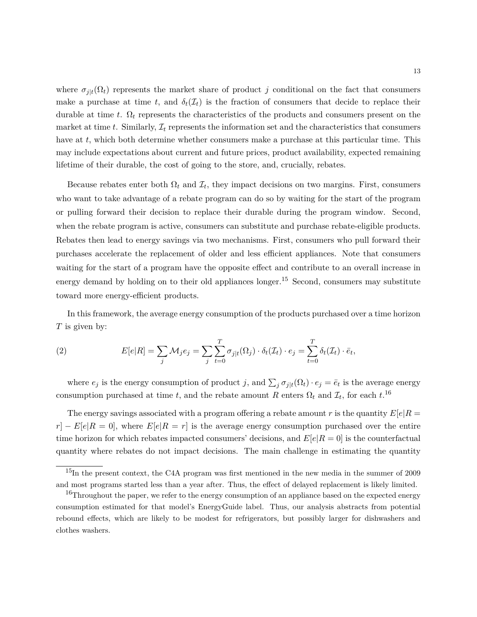where  $\sigma_{j|t}(\Omega_t)$  represents the market share of product *j* conditional on the fact that consumers make a purchase at time *t*, and  $\delta_t(\mathcal{I}_t)$  is the fraction of consumers that decide to replace their durable at time *t*. Ω*<sup>t</sup>* represents the characteristics of the products and consumers present on the market at time  $t$ . Similarly,  $\mathcal{I}_t$  represents the information set and the characteristics that consumers have at *t*, which both determine whether consumers make a purchase at this particular time. This may include expectations about current and future prices, product availability, expected remaining lifetime of their durable, the cost of going to the store, and, crucially, rebates.

Because rebates enter both  $\Omega_t$  and  $\mathcal{I}_t$ , they impact decisions on two margins. First, consumers who want to take advantage of a rebate program can do so by waiting for the start of the program or pulling forward their decision to replace their durable during the program window. Second, when the rebate program is active, consumers can substitute and purchase rebate-eligible products. Rebates then lead to energy savings via two mechanisms. First, consumers who pull forward their purchases accelerate the replacement of older and less efficient appliances. Note that consumers waiting for the start of a program have the opposite effect and contribute to an overall increase in energy demand by holding on to their old appliances longer.<sup>15</sup> Second, consumers may substitute toward more energy-efficient products.

In this framework, the average energy consumption of the products purchased over a time horizon *T* is given by:

(2) 
$$
E[e|R] = \sum_{j} \mathcal{M}_{j} e_{j} = \sum_{j} \sum_{t=0}^{T} \sigma_{j|t}(\Omega_{j}) \cdot \delta_{t}(\mathcal{I}_{t}) \cdot e_{j} = \sum_{t=0}^{T} \delta_{t}(\mathcal{I}_{t}) \cdot \bar{e}_{t},
$$

where  $e_j$  is the energy consumption of product *j*, and  $\sum_j \sigma_{j|t}(\Omega_t) \cdot e_j = \bar{e}_t$  is the average energy consumption purchased at time *t*, and the rebate amount *R* enters  $\Omega_t$  and  $\mathcal{I}_t$ , for each  $t$ <sup>16</sup>

The energy savings associated with a program offering a rebate amount *r* is the quantity  $E[e|R]$  $r$ <sup>|</sup> −  $E[e|R = 0]$ , where  $E[e|R = r]$  is the average energy consumption purchased over the entire time horizon for which rebates impacted consumers' decisions, and  $E[e|R = 0]$  is the counterfactual quantity where rebates do not impact decisions. The main challenge in estimating the quantity

<sup>15</sup>In the present context, the C4A program was first mentioned in the new media in the summer of 2009 and most programs started less than a year after. Thus, the effect of delayed replacement is likely limited.

<sup>&</sup>lt;sup>16</sup>Throughout the paper, we refer to the energy consumption of an appliance based on the expected energy consumption estimated for that model's EnergyGuide label. Thus, our analysis abstracts from potential rebound effects, which are likely to be modest for refrigerators, but possibly larger for dishwashers and clothes washers.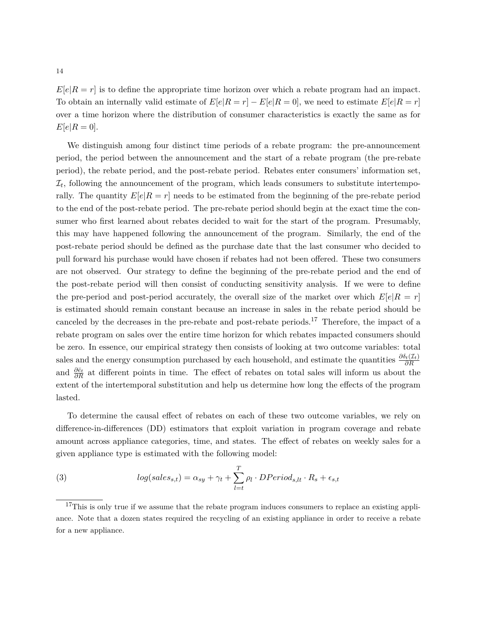$E[e|R=r]$  is to define the appropriate time horizon over which a rebate program had an impact. To obtain an internally valid estimate of  $E[e|R = r] - E[e|R = 0]$ , we need to estimate  $E[e|R = r]$ over a time horizon where the distribution of consumer characteristics is exactly the same as for  $E[e|R = 0].$ 

We distinguish among four distinct time periods of a rebate program: the pre-announcement period, the period between the announcement and the start of a rebate program (the pre-rebate period), the rebate period, and the post-rebate period. Rebates enter consumers' information set,  $\mathcal{I}_t$ , following the announcement of the program, which leads consumers to substitute intertemporally. The quantity  $E[e|R=r]$  needs to be estimated from the beginning of the pre-rebate period to the end of the post-rebate period. The pre-rebate period should begin at the exact time the consumer who first learned about rebates decided to wait for the start of the program. Presumably, this may have happened following the announcement of the program. Similarly, the end of the post-rebate period should be defined as the purchase date that the last consumer who decided to pull forward his purchase would have chosen if rebates had not been offered. These two consumers are not observed. Our strategy to define the beginning of the pre-rebate period and the end of the post-rebate period will then consist of conducting sensitivity analysis. If we were to define the pre-period and post-period accurately, the overall size of the market over which  $E[e|R = r]$ is estimated should remain constant because an increase in sales in the rebate period should be canceled by the decreases in the pre-rebate and post-rebate periods.<sup>17</sup> Therefore, the impact of a rebate program on sales over the entire time horizon for which rebates impacted consumers should be zero. In essence, our empirical strategy then consists of looking at two outcome variables: total sales and the energy consumption purchased by each household, and estimate the quantities  $\frac{\partial \delta_t(\mathcal{I}_t)}{\partial R}$ and  $\frac{\partial \bar{e}_t}{\partial R}$  at different points in time. The effect of rebates on total sales will inform us about the extent of the intertemporal substitution and help us determine how long the effects of the program lasted.

To determine the causal effect of rebates on each of these two outcome variables, we rely on difference-in-differences (DD) estimators that exploit variation in program coverage and rebate amount across appliance categories, time, and states. The effect of rebates on weekly sales for a given appliance type is estimated with the following model:

(3) 
$$
log(sales_{s,t}) = \alpha_{sy} + \gamma_t + \sum_{l=t}^{T} \rho_l \cdot DPeriod_{s,lt} \cdot R_s + \epsilon_{s,t}
$$

<sup>&</sup>lt;sup>17</sup>This is only true if we assume that the rebate program induces consumers to replace an existing appliance. Note that a dozen states required the recycling of an existing appliance in order to receive a rebate for a new appliance.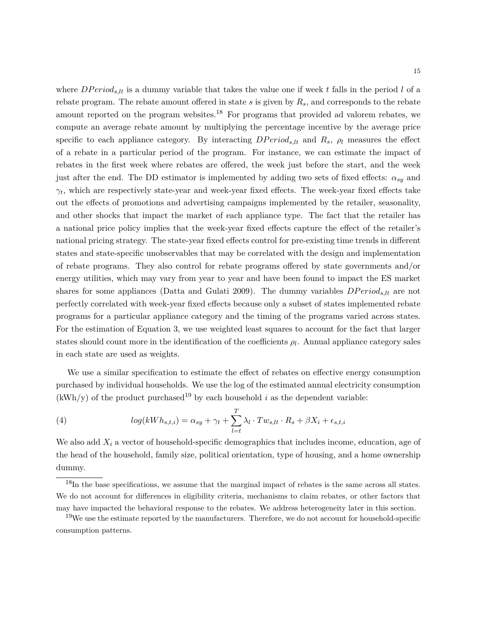where  $DPeriod_{s,lt}$  is a dummy variable that takes the value one if week t falls in the period l of a rebate program. The rebate amount offered in state *s* is given by *Rs*, and corresponds to the rebate amount reported on the program websites.<sup>18</sup> For programs that provided ad valorem rebates, we compute an average rebate amount by multiplying the percentage incentive by the average price specific to each appliance category. By interacting  $DPeriod_{s,lt}$  and  $R_s$ ,  $\rho_l$  measures the effect of a rebate in a particular period of the program. For instance, we can estimate the impact of rebates in the first week where rebates are offered, the week just before the start, and the week just after the end. The DD estimator is implemented by adding two sets of fixed effects: *αsy* and  $\gamma_t$ , which are respectively state-year and week-year fixed effects. The week-year fixed effects take out the effects of promotions and advertising campaigns implemented by the retailer, seasonality, and other shocks that impact the market of each appliance type. The fact that the retailer has a national price policy implies that the week-year fixed effects capture the effect of the retailer's national pricing strategy. The state-year fixed effects control for pre-existing time trends in different states and state-specific unobservables that may be correlated with the design and implementation of rebate programs. They also control for rebate programs offered by state governments and/or energy utilities, which may vary from year to year and have been found to impact the ES market shares for some appliances (Datta and Gulati 2009). The dummy variables *DP eriods,lt* are not perfectly correlated with week-year fixed effects because only a subset of states implemented rebate programs for a particular appliance category and the timing of the programs varied across states. For the estimation of Equation 3, we use weighted least squares to account for the fact that larger states should count more in the identification of the coefficients  $\rho_l$ . Annual appliance category sales in each state are used as weights.

We use a similar specification to estimate the effect of rebates on effective energy consumption purchased by individual households. We use the log of the estimated annual electricity consumption  $(kWh/y)$  of the product purchased<sup>19</sup> by each household *i* as the dependent variable:

(4) 
$$
log(kWh_{s,t,i}) = \alpha_{sy} + \gamma_t + \sum_{l=t}^{T} \lambda_l \cdot Tw_{s,lt} \cdot R_s + \beta X_i + \epsilon_{s,t,i}
$$

We also add *X<sup>i</sup>* a vector of household-specific demographics that includes income, education, age of the head of the household, family size, political orientation, type of housing, and a home ownership dummy.

 $18$ In the base specifications, we assume that the marginal impact of rebates is the same across all states. We do not account for differences in eligibility criteria, mechanisms to claim rebates, or other factors that may have impacted the behavioral response to the rebates. We address heterogeneity later in this section.

 $19W$ e use the estimate reported by the manufacturers. Therefore, we do not account for household-specific consumption patterns.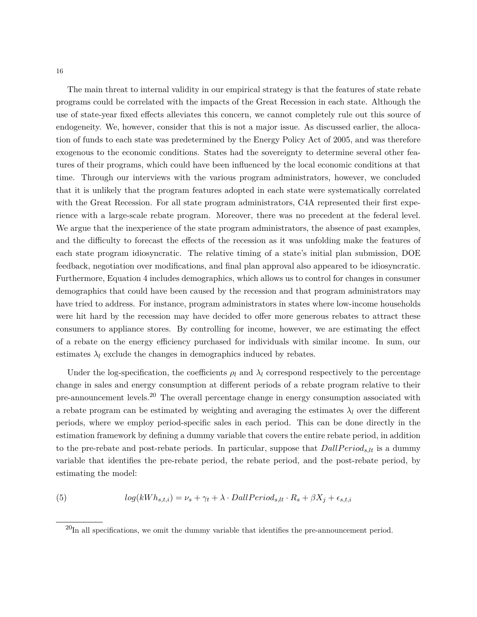16

The main threat to internal validity in our empirical strategy is that the features of state rebate programs could be correlated with the impacts of the Great Recession in each state. Although the use of state-year fixed effects alleviates this concern, we cannot completely rule out this source of endogeneity. We, however, consider that this is not a major issue. As discussed earlier, the allocation of funds to each state was predetermined by the Energy Policy Act of 2005, and was therefore exogenous to the economic conditions. States had the sovereignty to determine several other features of their programs, which could have been influenced by the local economic conditions at that time. Through our interviews with the various program administrators, however, we concluded that it is unlikely that the program features adopted in each state were systematically correlated with the Great Recession. For all state program administrators, C4A represented their first experience with a large-scale rebate program. Moreover, there was no precedent at the federal level. We argue that the inexperience of the state program administrators, the absence of past examples, and the difficulty to forecast the effects of the recession as it was unfolding make the features of each state program idiosyncratic. The relative timing of a state's initial plan submission, DOE feedback, negotiation over modifications, and final plan approval also appeared to be idiosyncratic. Furthermore, Equation 4 includes demographics, which allows us to control for changes in consumer demographics that could have been caused by the recession and that program administrators may have tried to address. For instance, program administrators in states where low-income households were hit hard by the recession may have decided to offer more generous rebates to attract these consumers to appliance stores. By controlling for income, however, we are estimating the effect of a rebate on the energy efficiency purchased for individuals with similar income. In sum, our estimates  $\lambda_l$  exclude the changes in demographics induced by rebates.

Under the log-specification, the coefficients  $\rho_l$  and  $\lambda_l$  correspond respectively to the percentage change in sales and energy consumption at different periods of a rebate program relative to their pre-announcement levels.<sup>20</sup> The overall percentage change in energy consumption associated with a rebate program can be estimated by weighting and averaging the estimates  $\lambda_l$  over the different periods, where we employ period-specific sales in each period. This can be done directly in the estimation framework by defining a dummy variable that covers the entire rebate period, in addition to the pre-rebate and post-rebate periods. In particular, suppose that  $DallPeriod_{s,lt}$  is a dummy variable that identifies the pre-rebate period, the rebate period, and the post-rebate period, by estimating the model:

(5) 
$$
log(kWh_{s,t,i}) = \nu_s + \gamma_t + \lambda \cdot DallPeriod_{s,lt} \cdot R_s + \beta X_j + \epsilon_{s,t,i}
$$

 $^{20}$ In all specifications, we omit the dummy variable that identifies the pre-announcement period.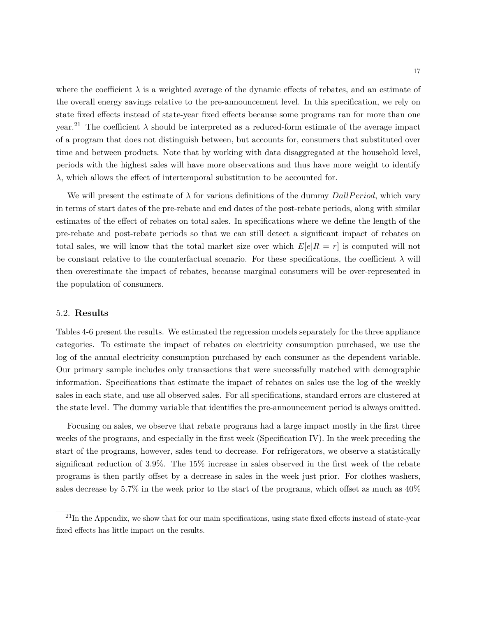where the coefficient  $\lambda$  is a weighted average of the dynamic effects of rebates, and an estimate of the overall energy savings relative to the pre-announcement level. In this specification, we rely on state fixed effects instead of state-year fixed effects because some programs ran for more than one year.<sup>21</sup> The coefficient *λ* should be interpreted as a reduced-form estimate of the average impact of a program that does not distinguish between, but accounts for, consumers that substituted over time and between products. Note that by working with data disaggregated at the household level, periods with the highest sales will have more observations and thus have more weight to identify *λ*, which allows the effect of intertemporal substitution to be accounted for.

We will present the estimate of  $\lambda$  for various definitions of the dummy *DallPeriod*, which vary in terms of start dates of the pre-rebate and end dates of the post-rebate periods, along with similar estimates of the effect of rebates on total sales. In specifications where we define the length of the pre-rebate and post-rebate periods so that we can still detect a significant impact of rebates on total sales, we will know that the total market size over which  $E[e|R = r]$  is computed will not be constant relative to the counterfactual scenario. For these specifications, the coefficient  $\lambda$  will then overestimate the impact of rebates, because marginal consumers will be over-represented in the population of consumers.

#### 5.2. **Results**

Tables 4-6 present the results. We estimated the regression models separately for the three appliance categories. To estimate the impact of rebates on electricity consumption purchased, we use the log of the annual electricity consumption purchased by each consumer as the dependent variable. Our primary sample includes only transactions that were successfully matched with demographic information. Specifications that estimate the impact of rebates on sales use the log of the weekly sales in each state, and use all observed sales. For all specifications, standard errors are clustered at the state level. The dummy variable that identifies the pre-announcement period is always omitted.

Focusing on sales, we observe that rebate programs had a large impact mostly in the first three weeks of the programs, and especially in the first week (Specification IV). In the week preceding the start of the programs, however, sales tend to decrease. For refrigerators, we observe a statistically significant reduction of 3.9%. The 15% increase in sales observed in the first week of the rebate programs is then partly offset by a decrease in sales in the week just prior. For clothes washers, sales decrease by 5.7% in the week prior to the start of the programs, which offset as much as 40%

 $^{21}$ In the Appendix, we show that for our main specifications, using state fixed effects instead of state-year fixed effects has little impact on the results.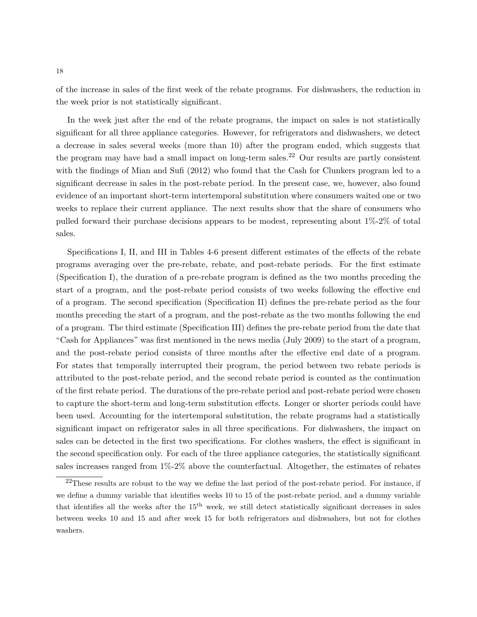of the increase in sales of the first week of the rebate programs. For dishwashers, the reduction in the week prior is not statistically significant.

In the week just after the end of the rebate programs, the impact on sales is not statistically significant for all three appliance categories. However, for refrigerators and dishwashers, we detect a decrease in sales several weeks (more than 10) after the program ended, which suggests that the program may have had a small impact on long-term sales.<sup>22</sup> Our results are partly consistent with the findings of Mian and Sufi (2012) who found that the Cash for Clunkers program led to a significant decrease in sales in the post-rebate period. In the present case, we, however, also found evidence of an important short-term intertemporal substitution where consumers waited one or two weeks to replace their current appliance. The next results show that the share of consumers who pulled forward their purchase decisions appears to be modest, representing about 1%-2% of total sales.

Specifications I, II, and III in Tables 4-6 present different estimates of the effects of the rebate programs averaging over the pre-rebate, rebate, and post-rebate periods. For the first estimate (Specification I), the duration of a pre-rebate program is defined as the two months preceding the start of a program, and the post-rebate period consists of two weeks following the effective end of a program. The second specification (Specification II) defines the pre-rebate period as the four months preceding the start of a program, and the post-rebate as the two months following the end of a program. The third estimate (Specification III) defines the pre-rebate period from the date that "Cash for Appliances" was first mentioned in the news media (July 2009) to the start of a program, and the post-rebate period consists of three months after the effective end date of a program. For states that temporally interrupted their program, the period between two rebate periods is attributed to the post-rebate period, and the second rebate period is counted as the continuation of the first rebate period. The durations of the pre-rebate period and post-rebate period were chosen to capture the short-term and long-term substitution effects. Longer or shorter periods could have been used. Accounting for the intertemporal substitution, the rebate programs had a statistically significant impact on refrigerator sales in all three specifications. For dishwashers, the impact on sales can be detected in the first two specifications. For clothes washers, the effect is significant in the second specification only. For each of the three appliance categories, the statistically significant sales increases ranged from  $1\%2\%$  above the counterfactual. Altogether, the estimates of rebates

 $22$ These results are robust to the way we define the last period of the post-rebate period. For instance, if we define a dummy variable that identifies weeks 10 to 15 of the post-rebate period, and a dummy variable that identifies all the weeks after the  $15<sup>th</sup>$  week, we still detect statistically significant decreases in sales between weeks 10 and 15 and after week 15 for both refrigerators and dishwashers, but not for clothes washers.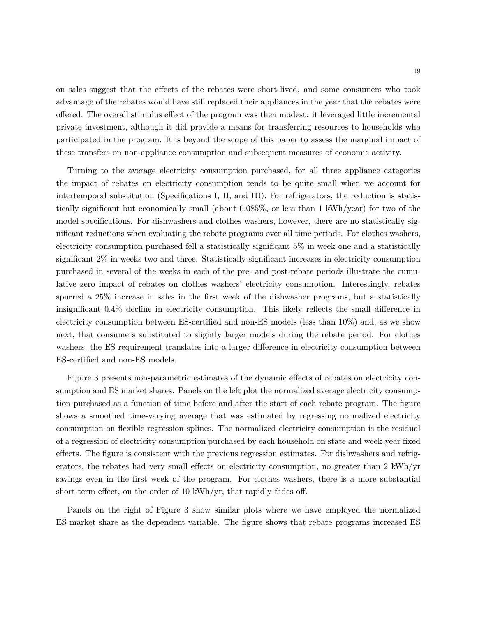on sales suggest that the effects of the rebates were short-lived, and some consumers who took advantage of the rebates would have still replaced their appliances in the year that the rebates were offered. The overall stimulus effect of the program was then modest: it leveraged little incremental private investment, although it did provide a means for transferring resources to households who participated in the program. It is beyond the scope of this paper to assess the marginal impact of these transfers on non-appliance consumption and subsequent measures of economic activity.

Turning to the average electricity consumption purchased, for all three appliance categories the impact of rebates on electricity consumption tends to be quite small when we account for intertemporal substitution (Specifications I, II, and III). For refrigerators, the reduction is statistically significant but economically small (about 0.085%, or less than 1 kWh/year) for two of the model specifications. For dishwashers and clothes washers, however, there are no statistically significant reductions when evaluating the rebate programs over all time periods. For clothes washers, electricity consumption purchased fell a statistically significant 5% in week one and a statistically significant 2% in weeks two and three. Statistically significant increases in electricity consumption purchased in several of the weeks in each of the pre- and post-rebate periods illustrate the cumulative zero impact of rebates on clothes washers' electricity consumption. Interestingly, rebates spurred a 25% increase in sales in the first week of the dishwasher programs, but a statistically insignificant 0.4% decline in electricity consumption. This likely reflects the small difference in electricity consumption between ES-certified and non-ES models (less than 10%) and, as we show next, that consumers substituted to slightly larger models during the rebate period. For clothes washers, the ES requirement translates into a larger difference in electricity consumption between ES-certified and non-ES models.

Figure 3 presents non-parametric estimates of the dynamic effects of rebates on electricity consumption and ES market shares. Panels on the left plot the normalized average electricity consumption purchased as a function of time before and after the start of each rebate program. The figure shows a smoothed time-varying average that was estimated by regressing normalized electricity consumption on flexible regression splines. The normalized electricity consumption is the residual of a regression of electricity consumption purchased by each household on state and week-year fixed effects. The figure is consistent with the previous regression estimates. For dishwashers and refrigerators, the rebates had very small effects on electricity consumption, no greater than 2 kWh/yr savings even in the first week of the program. For clothes washers, there is a more substantial short-term effect, on the order of 10 kWh/yr, that rapidly fades off.

Panels on the right of Figure 3 show similar plots where we have employed the normalized ES market share as the dependent variable. The figure shows that rebate programs increased ES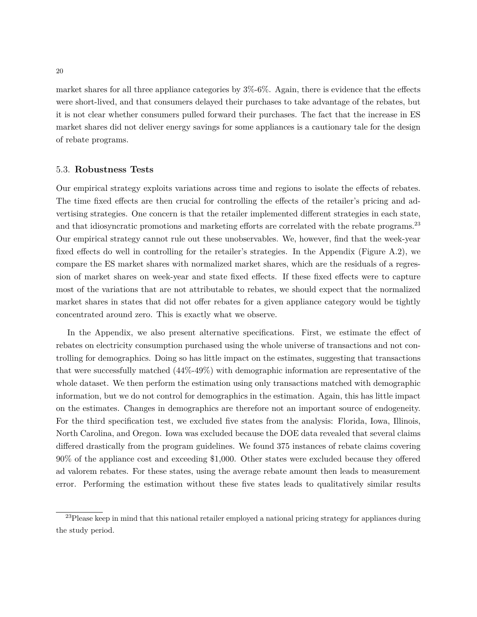market shares for all three appliance categories by 3%-6%. Again, there is evidence that the effects were short-lived, and that consumers delayed their purchases to take advantage of the rebates, but it is not clear whether consumers pulled forward their purchases. The fact that the increase in ES market shares did not deliver energy savings for some appliances is a cautionary tale for the design of rebate programs.

#### 5.3. **Robustness Tests**

Our empirical strategy exploits variations across time and regions to isolate the effects of rebates. The time fixed effects are then crucial for controlling the effects of the retailer's pricing and advertising strategies. One concern is that the retailer implemented different strategies in each state, and that idiosyncratic promotions and marketing efforts are correlated with the rebate programs.<sup>23</sup> Our empirical strategy cannot rule out these unobservables. We, however, find that the week-year fixed effects do well in controlling for the retailer's strategies. In the Appendix (Figure A.2), we compare the ES market shares with normalized market shares, which are the residuals of a regression of market shares on week-year and state fixed effects. If these fixed effects were to capture most of the variations that are not attributable to rebates, we should expect that the normalized market shares in states that did not offer rebates for a given appliance category would be tightly concentrated around zero. This is exactly what we observe.

In the Appendix, we also present alternative specifications. First, we estimate the effect of rebates on electricity consumption purchased using the whole universe of transactions and not controlling for demographics. Doing so has little impact on the estimates, suggesting that transactions that were successfully matched (44%-49%) with demographic information are representative of the whole dataset. We then perform the estimation using only transactions matched with demographic information, but we do not control for demographics in the estimation. Again, this has little impact on the estimates. Changes in demographics are therefore not an important source of endogeneity. For the third specification test, we excluded five states from the analysis: Florida, Iowa, Illinois, North Carolina, and Oregon. Iowa was excluded because the DOE data revealed that several claims differed drastically from the program guidelines. We found 375 instances of rebate claims covering 90% of the appliance cost and exceeding \$1,000. Other states were excluded because they offered ad valorem rebates. For these states, using the average rebate amount then leads to measurement error. Performing the estimation without these five states leads to qualitatively similar results

<sup>&</sup>lt;sup>23</sup>Please keep in mind that this national retailer employed a national pricing strategy for appliances during the study period.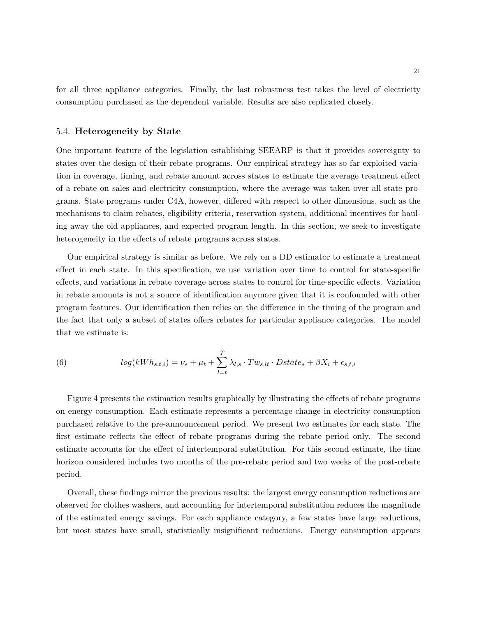for all three appliance categories. Finally, the last robustness test takes the level of electricity consumption purchased as the dependent variable. Results are also replicated closely.

#### 5.4. **Heterogeneity by State**

One important feature of the legislation establishing SEEARP is that it provides sovereignty to states over the design of their rebate programs. Our empirical strategy has so far exploited variation in coverage, timing, and rebate amount across states to estimate the average treatment effect of a rebate on sales and electricity consumption, where the average was taken over all state programs. State programs under C4A, however, differed with respect to other dimensions, such as the mechanisms to claim rebates, eligibility criteria, reservation system, additional incentives for hauling away the old appliances, and expected program length. In this section, we seek to investigate heterogeneity in the effects of rebate programs across states.

Our empirical strategy is similar as before. We rely on a DD estimator to estimate a treatment effect in each state. In this specification, we use variation over time to control for state-specific effects, and variations in rebate coverage across states to control for time-specific effects. Variation in rebate amounts is not a source of identification anymore given that it is confounded with other program features. Our identification then relies on the difference in the timing of the program and the fact that only a subset of states offers rebates for particular appliance categories. The model that we estimate is:

(6) 
$$
log(kWh_{s,t,i}) = \nu_s + \mu_t + \sum_{l=t}^{T} \lambda_{l,s} \cdot Tw_{s,lt} \cdot Dstate_s + \beta X_i + \epsilon_{s,t,i}
$$

Figure 4 presents the estimation results graphically by illustrating the effects of rebate programs on energy consumption. Each estimate represents a percentage change in electricity consumption purchased relative to the pre-announcement period. We present two estimates for each state. The first estimate reflects the effect of rebate programs during the rebate period only. The second estimate accounts for the effect of intertemporal substitution. For this second estimate, the time horizon considered includes two months of the pre-rebate period and two weeks of the post-rebate period.

Overall, these findings mirror the previous results: the largest energy consumption reductions are observed for clothes washers, and accounting for intertemporal substitution reduces the magnitude of the estimated energy savings. For each appliance category, a few states have large reductions, but most states have small, statistically insignificant reductions. Energy consumption appears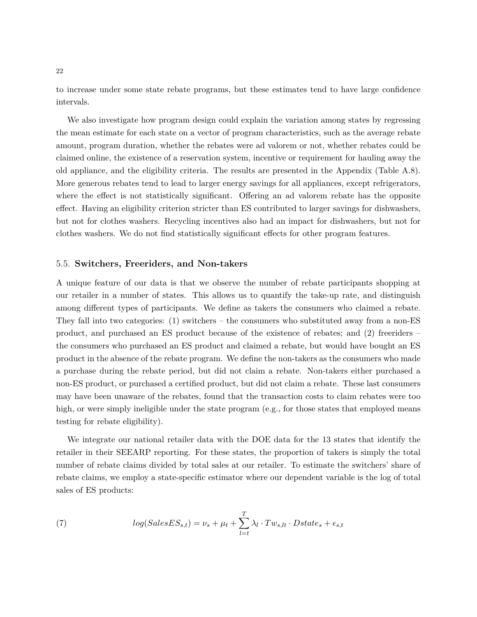to increase under some state rebate programs, but these estimates tend to have large confidence intervals.

We also investigate how program design could explain the variation among states by regressing the mean estimate for each state on a vector of program characteristics, such as the average rebate amount, program duration, whether the rebates were ad valorem or not, whether rebates could be claimed online, the existence of a reservation system, incentive or requirement for hauling away the old appliance, and the eligibility criteria. The results are presented in the Appendix (Table A.8). More generous rebates tend to lead to larger energy savings for all appliances, except refrigerators, where the effect is not statistically significant. Offering an ad valorem rebate has the opposite effect. Having an eligibility criterion stricter than ES contributed to larger savings for dishwashers, but not for clothes washers. Recycling incentives also had an impact for dishwashers, but not for clothes washers. We do not find statistically significant effects for other program features.

#### 5.5. **Switchers, Freeriders, and Non-takers**

A unique feature of our data is that we observe the number of rebate participants shopping at our retailer in a number of states. This allows us to quantify the take-up rate, and distinguish among different types of participants. We define as takers the consumers who claimed a rebate. They fall into two categories: (1) switchers – the consumers who substituted away from a non-ES product, and purchased an ES product because of the existence of rebates; and (2) freeriders – the consumers who purchased an ES product and claimed a rebate, but would have bought an ES product in the absence of the rebate program. We define the non-takers as the consumers who made a purchase during the rebate period, but did not claim a rebate. Non-takers either purchased a non-ES product, or purchased a certified product, but did not claim a rebate. These last consumers may have been unaware of the rebates, found that the transaction costs to claim rebates were too high, or were simply ineligible under the state program (e.g., for those states that employed means testing for rebate eligibility).

We integrate our national retailer data with the DOE data for the 13 states that identify the retailer in their SEEARP reporting. For these states, the proportion of takers is simply the total number of rebate claims divided by total sales at our retailer. To estimate the switchers' share of rebate claims, we employ a state-specific estimator where our dependent variable is the log of total sales of ES products:

(7) 
$$
log(SalesES_{s,t}) = \nu_s + \mu_t + \sum_{l=t}^{T} \lambda_l \cdot Tw_{s,lt} \cdot Dstate_s + \epsilon_{s,t}
$$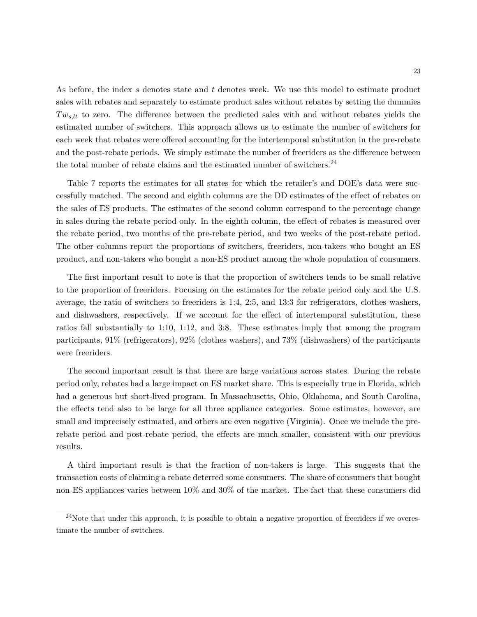As before, the index *s* denotes state and *t* denotes week. We use this model to estimate product sales with rebates and separately to estimate product sales without rebates by setting the dummies *T ws,lt* to zero. The difference between the predicted sales with and without rebates yields the estimated number of switchers. This approach allows us to estimate the number of switchers for each week that rebates were offered accounting for the intertemporal substitution in the pre-rebate and the post-rebate periods. We simply estimate the number of freeriders as the difference between the total number of rebate claims and the estimated number of switchers. $^{24}$ 

Table 7 reports the estimates for all states for which the retailer's and DOE's data were successfully matched. The second and eighth columns are the DD estimates of the effect of rebates on the sales of ES products. The estimates of the second column correspond to the percentage change in sales during the rebate period only. In the eighth column, the effect of rebates is measured over the rebate period, two months of the pre-rebate period, and two weeks of the post-rebate period. The other columns report the proportions of switchers, freeriders, non-takers who bought an ES product, and non-takers who bought a non-ES product among the whole population of consumers.

The first important result to note is that the proportion of switchers tends to be small relative to the proportion of freeriders. Focusing on the estimates for the rebate period only and the U.S. average, the ratio of switchers to freeriders is 1:4, 2:5, and 13:3 for refrigerators, clothes washers, and dishwashers, respectively. If we account for the effect of intertemporal substitution, these ratios fall substantially to 1:10, 1:12, and 3:8. These estimates imply that among the program participants, 91% (refrigerators), 92% (clothes washers), and 73% (dishwashers) of the participants were freeriders.

The second important result is that there are large variations across states. During the rebate period only, rebates had a large impact on ES market share. This is especially true in Florida, which had a generous but short-lived program. In Massachusetts, Ohio, Oklahoma, and South Carolina, the effects tend also to be large for all three appliance categories. Some estimates, however, are small and imprecisely estimated, and others are even negative (Virginia). Once we include the prerebate period and post-rebate period, the effects are much smaller, consistent with our previous results.

A third important result is that the fraction of non-takers is large. This suggests that the transaction costs of claiming a rebate deterred some consumers. The share of consumers that bought non-ES appliances varies between 10% and 30% of the market. The fact that these consumers did

 $^{24}$ Note that under this approach, it is possible to obtain a negative proportion of freeriders if we overestimate the number of switchers.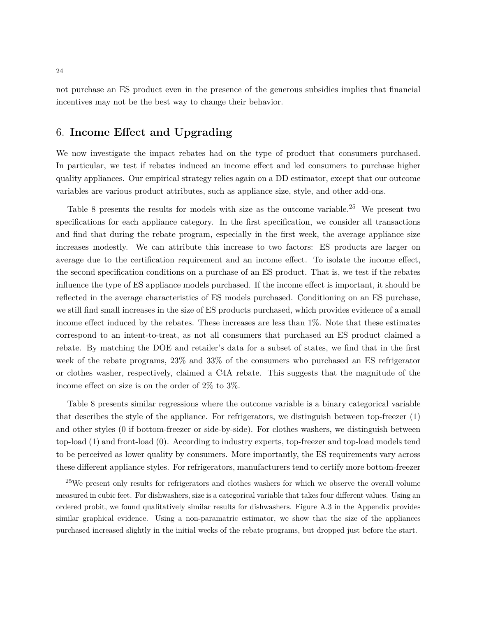not purchase an ES product even in the presence of the generous subsidies implies that financial incentives may not be the best way to change their behavior.

# 6. **Income Effect and Upgrading**

We now investigate the impact rebates had on the type of product that consumers purchased. In particular, we test if rebates induced an income effect and led consumers to purchase higher quality appliances. Our empirical strategy relies again on a DD estimator, except that our outcome variables are various product attributes, such as appliance size, style, and other add-ons.

Table 8 presents the results for models with size as the outcome variable.<sup>25</sup> We present two specifications for each appliance category. In the first specification, we consider all transactions and find that during the rebate program, especially in the first week, the average appliance size increases modestly. We can attribute this increase to two factors: ES products are larger on average due to the certification requirement and an income effect. To isolate the income effect, the second specification conditions on a purchase of an ES product. That is, we test if the rebates influence the type of ES appliance models purchased. If the income effect is important, it should be reflected in the average characteristics of ES models purchased. Conditioning on an ES purchase, we still find small increases in the size of ES products purchased, which provides evidence of a small income effect induced by the rebates. These increases are less than 1%. Note that these estimates correspond to an intent-to-treat, as not all consumers that purchased an ES product claimed a rebate. By matching the DOE and retailer's data for a subset of states, we find that in the first week of the rebate programs, 23% and 33% of the consumers who purchased an ES refrigerator or clothes washer, respectively, claimed a C4A rebate. This suggests that the magnitude of the income effect on size is on the order of 2% to 3%.

Table 8 presents similar regressions where the outcome variable is a binary categorical variable that describes the style of the appliance. For refrigerators, we distinguish between top-freezer (1) and other styles (0 if bottom-freezer or side-by-side). For clothes washers, we distinguish between top-load (1) and front-load (0). According to industry experts, top-freezer and top-load models tend to be perceived as lower quality by consumers. More importantly, the ES requirements vary across these different appliance styles. For refrigerators, manufacturers tend to certify more bottom-freezer

<sup>25</sup>We present only results for refrigerators and clothes washers for which we observe the overall volume measured in cubic feet. For dishwashers, size is a categorical variable that takes four different values. Using an ordered probit, we found qualitatively similar results for dishwashers. Figure A.3 in the Appendix provides similar graphical evidence. Using a non-paramatric estimator, we show that the size of the appliances purchased increased slightly in the initial weeks of the rebate programs, but dropped just before the start.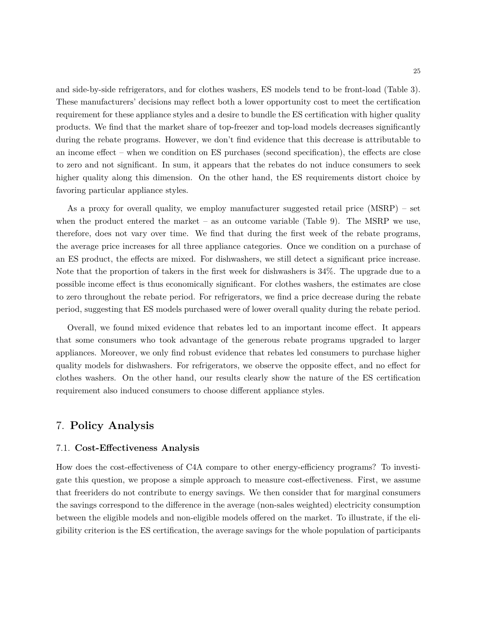and side-by-side refrigerators, and for clothes washers, ES models tend to be front-load (Table 3). These manufacturers' decisions may reflect both a lower opportunity cost to meet the certification requirement for these appliance styles and a desire to bundle the ES certification with higher quality products. We find that the market share of top-freezer and top-load models decreases significantly during the rebate programs. However, we don't find evidence that this decrease is attributable to an income effect – when we condition on ES purchases (second specification), the effects are close to zero and not significant. In sum, it appears that the rebates do not induce consumers to seek higher quality along this dimension. On the other hand, the ES requirements distort choice by favoring particular appliance styles.

As a proxy for overall quality, we employ manufacturer suggested retail price (MSRP) – set when the product entered the market – as an outcome variable (Table 9). The MSRP we use, therefore, does not vary over time. We find that during the first week of the rebate programs, the average price increases for all three appliance categories. Once we condition on a purchase of an ES product, the effects are mixed. For dishwashers, we still detect a significant price increase. Note that the proportion of takers in the first week for dishwashers is 34%. The upgrade due to a possible income effect is thus economically significant. For clothes washers, the estimates are close to zero throughout the rebate period. For refrigerators, we find a price decrease during the rebate period, suggesting that ES models purchased were of lower overall quality during the rebate period.

Overall, we found mixed evidence that rebates led to an important income effect. It appears that some consumers who took advantage of the generous rebate programs upgraded to larger appliances. Moreover, we only find robust evidence that rebates led consumers to purchase higher quality models for dishwashers. For refrigerators, we observe the opposite effect, and no effect for clothes washers. On the other hand, our results clearly show the nature of the ES certification requirement also induced consumers to choose different appliance styles.

### 7. **Policy Analysis**

#### 7.1. **Cost-Effectiveness Analysis**

How does the cost-effectiveness of C4A compare to other energy-efficiency programs? To investigate this question, we propose a simple approach to measure cost-effectiveness. First, we assume that freeriders do not contribute to energy savings. We then consider that for marginal consumers the savings correspond to the difference in the average (non-sales weighted) electricity consumption between the eligible models and non-eligible models offered on the market. To illustrate, if the eligibility criterion is the ES certification, the average savings for the whole population of participants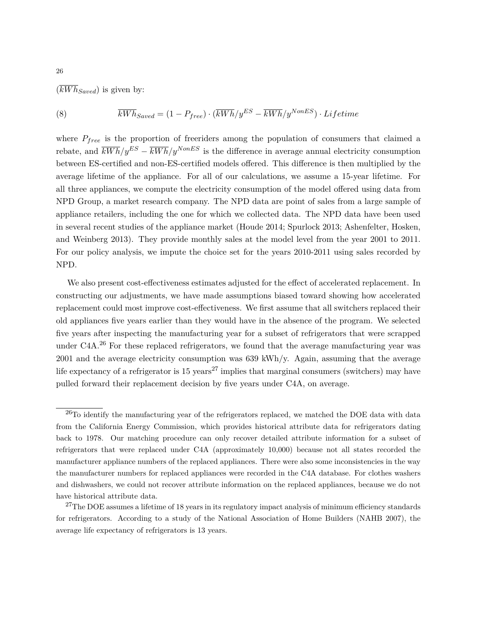$(\overline{kWh}_{Saved})$  is given by:

(8) 
$$
\overline{kWh}_{Saved} = (1 - P_{free}) \cdot (\overline{kWh}/y^{ES} - \overline{kWh}/y^{NonES}) \cdot Lifetime
$$

where *Pfree* is the proportion of freeriders among the population of consumers that claimed a rebate, and  $\overline{kWh}/y^{ES} - \overline{kWh}/y^{NonES}$  is the difference in average annual electricity consumption between ES-certified and non-ES-certified models offered. This difference is then multiplied by the average lifetime of the appliance. For all of our calculations, we assume a 15-year lifetime. For all three appliances, we compute the electricity consumption of the model offered using data from NPD Group, a market research company. The NPD data are point of sales from a large sample of appliance retailers, including the one for which we collected data. The NPD data have been used in several recent studies of the appliance market (Houde 2014; Spurlock 2013; Ashenfelter, Hosken, and Weinberg 2013). They provide monthly sales at the model level from the year 2001 to 2011. For our policy analysis, we impute the choice set for the years 2010-2011 using sales recorded by NPD.

We also present cost-effectiveness estimates adjusted for the effect of accelerated replacement. In constructing our adjustments, we have made assumptions biased toward showing how accelerated replacement could most improve cost-effectiveness. We first assume that all switchers replaced their old appliances five years earlier than they would have in the absence of the program. We selected five years after inspecting the manufacturing year for a subset of refrigerators that were scrapped under C4A.<sup>26</sup> For these replaced refrigerators, we found that the average manufacturing year was 2001 and the average electricity consumption was 639 kWh/y. Again, assuming that the average life expectancy of a refrigerator is  $15 \text{ years}^{27}$  implies that marginal consumers (switchers) may have pulled forward their replacement decision by five years under C4A, on average.

 $^{26}$ To identify the manufacturing year of the refrigerators replaced, we matched the DOE data with data from the California Energy Commission, which provides historical attribute data for refrigerators dating back to 1978. Our matching procedure can only recover detailed attribute information for a subset of refrigerators that were replaced under C4A (approximately 10,000) because not all states recorded the manufacturer appliance numbers of the replaced appliances. There were also some inconsistencies in the way the manufacturer numbers for replaced appliances were recorded in the C4A database. For clothes washers and dishwashers, we could not recover attribute information on the replaced appliances, because we do not have historical attribute data.

<sup>&</sup>lt;sup>27</sup>The DOE assumes a lifetime of 18 years in its regulatory impact analysis of minimum efficiency standards for refrigerators. According to a study of the National Association of Home Builders (NAHB 2007), the average life expectancy of refrigerators is 13 years.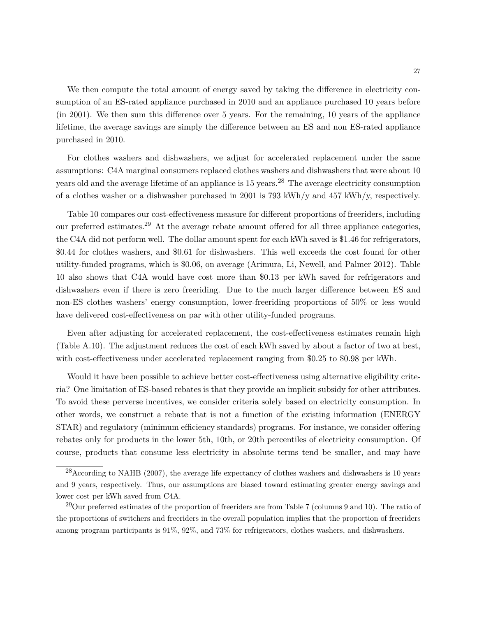We then compute the total amount of energy saved by taking the difference in electricity consumption of an ES-rated appliance purchased in 2010 and an appliance purchased 10 years before (in 2001). We then sum this difference over 5 years. For the remaining, 10 years of the appliance lifetime, the average savings are simply the difference between an ES and non ES-rated appliance purchased in 2010.

For clothes washers and dishwashers, we adjust for accelerated replacement under the same assumptions: C4A marginal consumers replaced clothes washers and dishwashers that were about 10 years old and the average lifetime of an appliance is  $15$  years.<sup>28</sup> The average electricity consumption of a clothes washer or a dishwasher purchased in 2001 is 793 kWh/y and 457 kWh/y, respectively.

Table 10 compares our cost-effectiveness measure for different proportions of freeriders, including our preferred estimates.<sup>29</sup> At the average rebate amount offered for all three appliance categories, the C4A did not perform well. The dollar amount spent for each kWh saved is \$1.46 for refrigerators, \$0.44 for clothes washers, and \$0.61 for dishwashers. This well exceeds the cost found for other utility-funded programs, which is \$0.06, on average (Arimura, Li, Newell, and Palmer 2012). Table 10 also shows that C4A would have cost more than \$0.13 per kWh saved for refrigerators and dishwashers even if there is zero freeriding. Due to the much larger difference between ES and non-ES clothes washers' energy consumption, lower-freeriding proportions of 50% or less would have delivered cost-effectiveness on par with other utility-funded programs.

Even after adjusting for accelerated replacement, the cost-effectiveness estimates remain high (Table A.10). The adjustment reduces the cost of each kWh saved by about a factor of two at best, with cost-effectiveness under accelerated replacement ranging from \$0.25 to \$0.98 per kWh.

Would it have been possible to achieve better cost-effectiveness using alternative eligibility criteria? One limitation of ES-based rebates is that they provide an implicit subsidy for other attributes. To avoid these perverse incentives, we consider criteria solely based on electricity consumption. In other words, we construct a rebate that is not a function of the existing information (ENERGY STAR) and regulatory (minimum efficiency standards) programs. For instance, we consider offering rebates only for products in the lower 5th, 10th, or 20th percentiles of electricity consumption. Of course, products that consume less electricity in absolute terms tend be smaller, and may have

 $^{28}$ According to NAHB (2007), the average life expectancy of clothes washers and dishwashers is 10 years and 9 years, respectively. Thus, our assumptions are biased toward estimating greater energy savings and lower cost per kWh saved from C4A.

 $^{29}$ Our preferred estimates of the proportion of freeriders are from Table 7 (columns 9 and 10). The ratio of the proportions of switchers and freeriders in the overall population implies that the proportion of freeriders among program participants is 91%, 92%, and 73% for refrigerators, clothes washers, and dishwashers.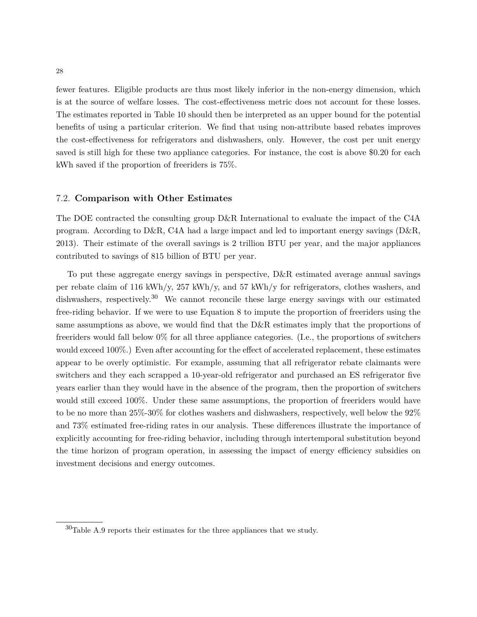fewer features. Eligible products are thus most likely inferior in the non-energy dimension, which is at the source of welfare losses. The cost-effectiveness metric does not account for these losses. The estimates reported in Table 10 should then be interpreted as an upper bound for the potential benefits of using a particular criterion. We find that using non-attribute based rebates improves the cost-effectiveness for refrigerators and dishwashers, only. However, the cost per unit energy saved is still high for these two appliance categories. For instance, the cost is above \$0.20 for each kWh saved if the proportion of freeriders is 75%.

#### 7.2. **Comparison with Other Estimates**

The DOE contracted the consulting group D&R International to evaluate the impact of the C4A program. According to D&R, C4A had a large impact and led to important energy savings (D&R, 2013). Their estimate of the overall savings is 2 trillion BTU per year, and the major appliances contributed to savings of 815 billion of BTU per year.

To put these aggregate energy savings in perspective, D&R estimated average annual savings per rebate claim of 116 kWh/y, 257 kWh/y, and 57 kWh/y for refrigerators, clothes washers, and dishwashers, respectively.<sup>30</sup> We cannot reconcile these large energy savings with our estimated free-riding behavior. If we were to use Equation 8 to impute the proportion of freeriders using the same assumptions as above, we would find that the D&R estimates imply that the proportions of freeriders would fall below 0% for all three appliance categories. (I.e., the proportions of switchers would exceed 100%.) Even after accounting for the effect of accelerated replacement, these estimates appear to be overly optimistic. For example, assuming that all refrigerator rebate claimants were switchers and they each scrapped a 10-year-old refrigerator and purchased an ES refrigerator five years earlier than they would have in the absence of the program, then the proportion of switchers would still exceed 100%. Under these same assumptions, the proportion of freeriders would have to be no more than 25%-30% for clothes washers and dishwashers, respectively, well below the 92% and 73% estimated free-riding rates in our analysis. These differences illustrate the importance of explicitly accounting for free-riding behavior, including through intertemporal substitution beyond the time horizon of program operation, in assessing the impact of energy efficiency subsidies on investment decisions and energy outcomes.

 $30$ Table A.9 reports their estimates for the three appliances that we study.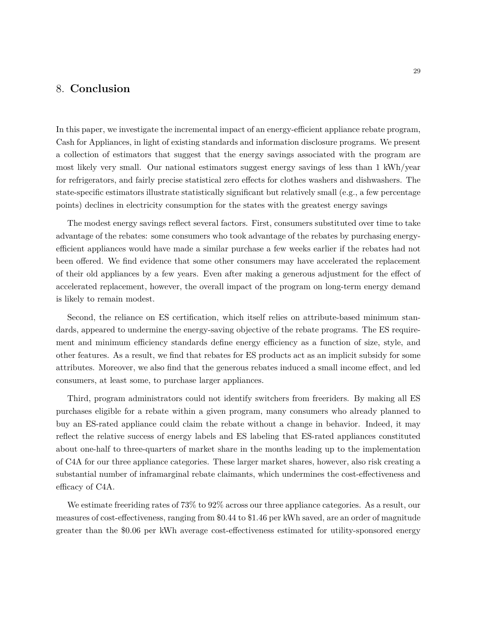### 8. **Conclusion**

In this paper, we investigate the incremental impact of an energy-efficient appliance rebate program, Cash for Appliances, in light of existing standards and information disclosure programs. We present a collection of estimators that suggest that the energy savings associated with the program are most likely very small. Our national estimators suggest energy savings of less than 1 kWh/year for refrigerators, and fairly precise statistical zero effects for clothes washers and dishwashers. The state-specific estimators illustrate statistically significant but relatively small (e.g., a few percentage points) declines in electricity consumption for the states with the greatest energy savings

The modest energy savings reflect several factors. First, consumers substituted over time to take advantage of the rebates: some consumers who took advantage of the rebates by purchasing energyefficient appliances would have made a similar purchase a few weeks earlier if the rebates had not been offered. We find evidence that some other consumers may have accelerated the replacement of their old appliances by a few years. Even after making a generous adjustment for the effect of accelerated replacement, however, the overall impact of the program on long-term energy demand is likely to remain modest.

Second, the reliance on ES certification, which itself relies on attribute-based minimum standards, appeared to undermine the energy-saving objective of the rebate programs. The ES requirement and minimum efficiency standards define energy efficiency as a function of size, style, and other features. As a result, we find that rebates for ES products act as an implicit subsidy for some attributes. Moreover, we also find that the generous rebates induced a small income effect, and led consumers, at least some, to purchase larger appliances.

Third, program administrators could not identify switchers from freeriders. By making all ES purchases eligible for a rebate within a given program, many consumers who already planned to buy an ES-rated appliance could claim the rebate without a change in behavior. Indeed, it may reflect the relative success of energy labels and ES labeling that ES-rated appliances constituted about one-half to three-quarters of market share in the months leading up to the implementation of C4A for our three appliance categories. These larger market shares, however, also risk creating a substantial number of inframarginal rebate claimants, which undermines the cost-effectiveness and efficacy of C4A.

We estimate freeriding rates of 73% to 92% across our three appliance categories. As a result, our measures of cost-effectiveness, ranging from \$0.44 to \$1.46 per kWh saved, are an order of magnitude greater than the \$0.06 per kWh average cost-effectiveness estimated for utility-sponsored energy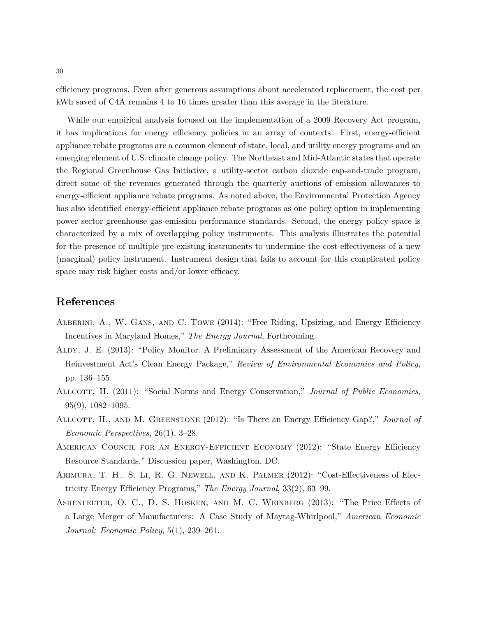efficiency programs. Even after generous assumptions about accelerated replacement, the cost per kWh saved of C4A remains 4 to 16 times greater than this average in the literature.

While our empirical analysis focused on the implementation of a 2009 Recovery Act program, it has implications for energy efficiency policies in an array of contexts. First, energy-efficient appliance rebate programs are a common element of state, local, and utility energy programs and an emerging element of U.S. climate change policy. The Northeast and Mid-Atlantic states that operate the Regional Greenhouse Gas Initiative, a utility-sector carbon dioxide cap-and-trade program, direct some of the revenues generated through the quarterly auctions of emission allowances to energy-efficient appliance rebate programs. As noted above, the Environmental Protection Agency has also identified energy-efficient appliance rebate programs as one policy option in implementing power sector greenhouse gas emission performance standards. Second, the energy policy space is characterized by a mix of overlapping policy instruments. This analysis illustrates the potential for the presence of multiple pre-existing instruments to undermine the cost-effectiveness of a new (marginal) policy instrument. Instrument design that fails to account for this complicated policy space may risk higher costs and/or lower efficacy.

## **References**

- Alberini, A., W. Gans, and C. Towe (2014): "Free Riding, Upsizing, and Energy Efficiency Incentives in Maryland Homes," *The Energy Journal*, Forthcoming.
- Aldy, J. E. (2013): "Policy Monitor. A Preliminary Assessment of the American Recovery and Reinvestment Act's Clean Energy Package," *Review of Environmental Economics and Policy*, pp. 136–155.
- ALLCOTT, H. (2011): "Social Norms and Energy Conservation," *Journal of Public Economics*, 95(9), 1082–1095.
- Allcott, H., and M. Greenstone (2012): "Is There an Energy Efficiency Gap?," *Journal of Economic Perspectives*, 26(1), 3–28.
- AMERICAN COUNCIL FOR AN ENERGY-EFFICIENT ECONOMY (2012): "State Energy Efficiency Resource Standards," Discussion paper, Washington, DC.
- Arimura, T. H., S. Li, R. G. Newell, and K. Palmer (2012): "Cost-Effectiveness of Electricity Energy Efficiency Programs," *The Energy Journal*, 33(2), 63–99.
- Ashenfelter, O. C., D. S. Hosken, and M. C. Weinberg (2013): "The Price Effects of a Large Merger of Manufacturers: A Case Study of Maytag-Whirlpool," *American Economic Journal: Economic Policy*, 5(1), 239–261.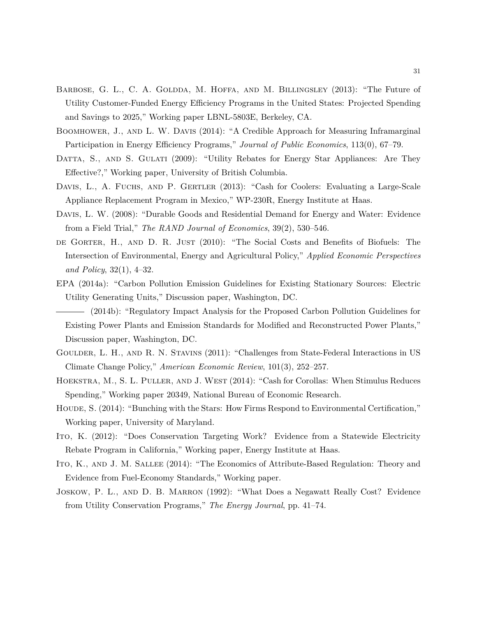- BARBOSE, G. L., C. A. GOLDDA, M. HOFFA, AND M. BILLINGSLEY (2013): "The Future of Utility Customer-Funded Energy Efficiency Programs in the United States: Projected Spending and Savings to 2025," Working paper LBNL-5803E, Berkeley, CA.
- BOOMHOWER, J., AND L. W. DAVIS (2014): "A Credible Approach for Measuring Inframarginal Participation in Energy Efficiency Programs," *Journal of Public Economics*, 113(0), 67–79.
- DATTA, S., AND S. GULATI (2009): "Utility Rebates for Energy Star Appliances: Are They Effective?," Working paper, University of British Columbia.
- DAVIS, L., A. FUCHS, AND P. GERTLER (2013): "Cash for Coolers: Evaluating a Large-Scale Appliance Replacement Program in Mexico," WP-230R, Energy Institute at Haas.
- Davis, L. W. (2008): "Durable Goods and Residential Demand for Energy and Water: Evidence from a Field Trial," *The RAND Journal of Economics*, 39(2), 530–546.
- DE GORTER, H., AND D. R. JUST (2010): "The Social Costs and Benefits of Biofuels: The Intersection of Environmental, Energy and Agricultural Policy," *Applied Economic Perspectives and Policy*, 32(1), 4–32.
- EPA (2014a): "Carbon Pollution Emission Guidelines for Existing Stationary Sources: Electric Utility Generating Units," Discussion paper, Washington, DC.
- (2014b): "Regulatory Impact Analysis for the Proposed Carbon Pollution Guidelines for Existing Power Plants and Emission Standards for Modified and Reconstructed Power Plants," Discussion paper, Washington, DC.
- GOULDER, L. H., AND R. N. STAVINS (2011): "Challenges from State-Federal Interactions in US Climate Change Policy," *American Economic Review*, 101(3), 252–257.
- Hoekstra, M., S. L. Puller, and J. West (2014): "Cash for Corollas: When Stimulus Reduces Spending," Working paper 20349, National Bureau of Economic Research.
- HOUDE, S. (2014): "Bunching with the Stars: How Firms Respond to Environmental Certification," Working paper, University of Maryland.
- Ito, K. (2012): "Does Conservation Targeting Work? Evidence from a Statewide Electricity Rebate Program in California," Working paper, Energy Institute at Haas.
- ITO, K., AND J. M. SALLEE (2014): "The Economics of Attribute-Based Regulation: Theory and Evidence from Fuel-Economy Standards," Working paper.
- Joskow, P. L., and D. B. Marron (1992): "What Does a Negawatt Really Cost? Evidence from Utility Conservation Programs," *The Energy Journal*, pp. 41–74.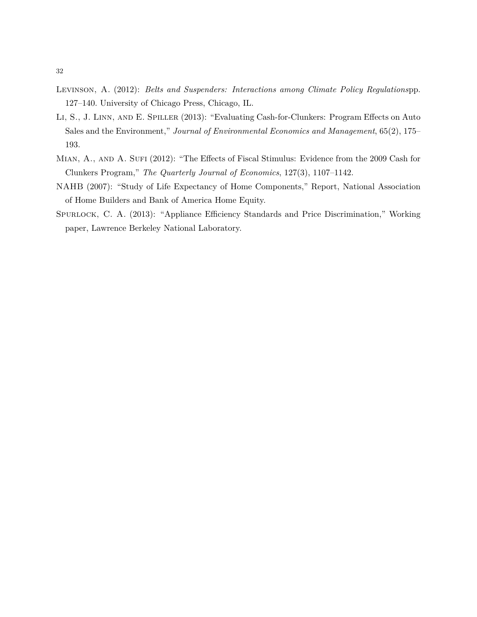- Levinson, A. (2012): *Belts and Suspenders: Interactions among Climate Policy Regulations*pp. 127–140. University of Chicago Press, Chicago, IL.
- Li, S., J. Linn, and E. Spiller (2013): "Evaluating Cash-for-Clunkers: Program Effects on Auto Sales and the Environment," *Journal of Environmental Economics and Management*, 65(2), 175– 193.
- MIAN, A., AND A. SUFI (2012): "The Effects of Fiscal Stimulus: Evidence from the 2009 Cash for Clunkers Program," *The Quarterly Journal of Economics*, 127(3), 1107–1142.
- NAHB (2007): "Study of Life Expectancy of Home Components," Report, National Association of Home Builders and Bank of America Home Equity.
- Spurlock, C. A. (2013): "Appliance Efficiency Standards and Price Discrimination," Working paper, Lawrence Berkeley National Laboratory.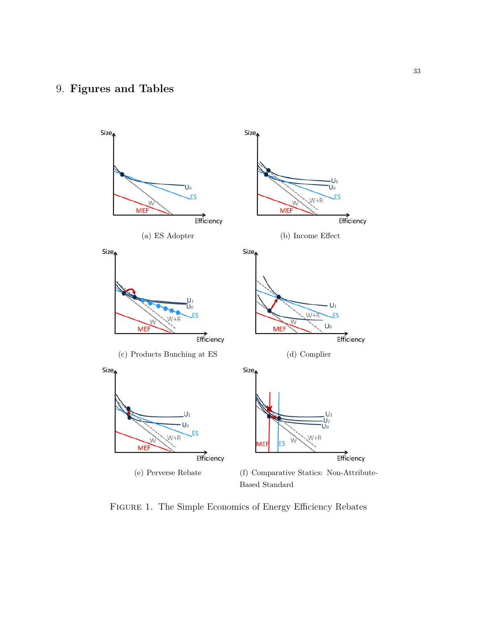# 9. **Figures and Tables**



Figure 1. The Simple Economics of Energy Efficiency Rebates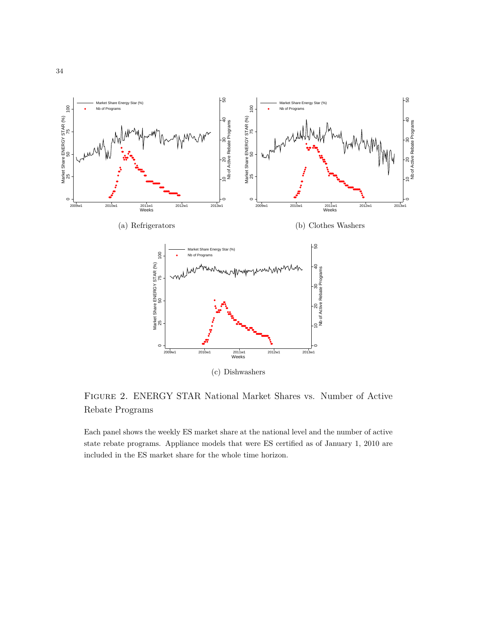

Figure 2. ENERGY STAR National Market Shares vs. Number of Active Rebate Programs

Each panel shows the weekly ES market share at the national level and the number of active state rebate programs. Appliance models that were ES certified as of January 1, 2010 are included in the ES market share for the whole time horizon.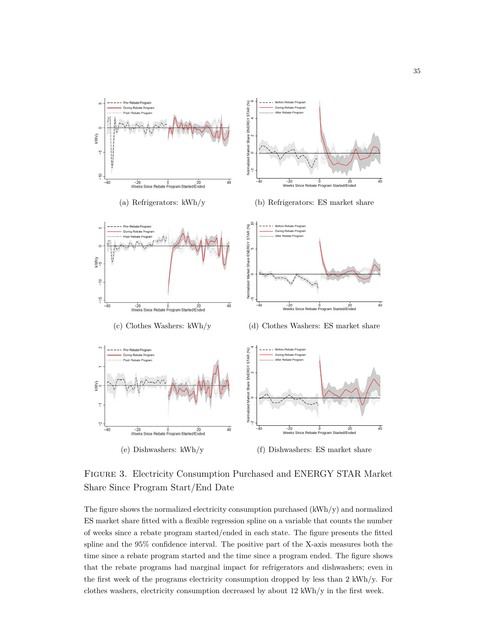

Figure 3. Electricity Consumption Purchased and ENERGY STAR Market Share Since Program Start/End Date

The figure shows the normalized electricity consumption purchased (kWh/y) and normalized ES market share fitted with a flexible regression spline on a variable that counts the number of weeks since a rebate program started/ended in each state. The figure presents the fitted spline and the 95% confidence interval. The positive part of the X-axis measures both the time since a rebate program started and the time since a program ended. The figure shows that the rebate programs had marginal impact for refrigerators and dishwashers; even in the first week of the programs electricity consumption dropped by less than 2 kWh/y. For clothes washers, electricity consumption decreased by about 12 kWh/y in the first week.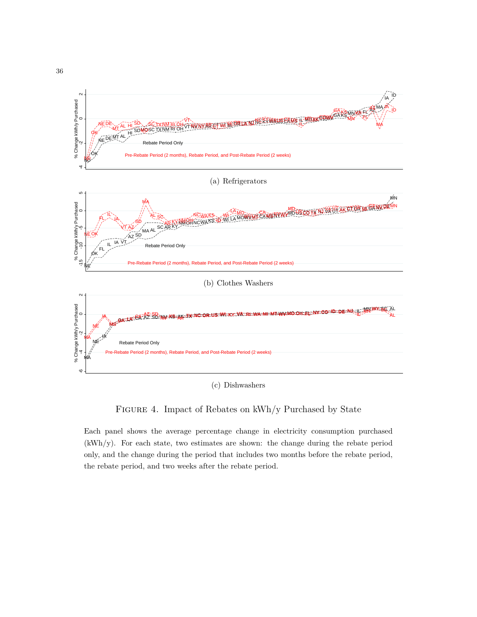

(c) Dishwashers

### FIGURE 4. Impact of Rebates on kWh/y Purchased by State

Each panel shows the average percentage change in electricity consumption purchased (kWh/y). For each state, two estimates are shown: the change during the rebate period only, and the change during the period that includes two months before the rebate period, the rebate period, and two weeks after the rebate period.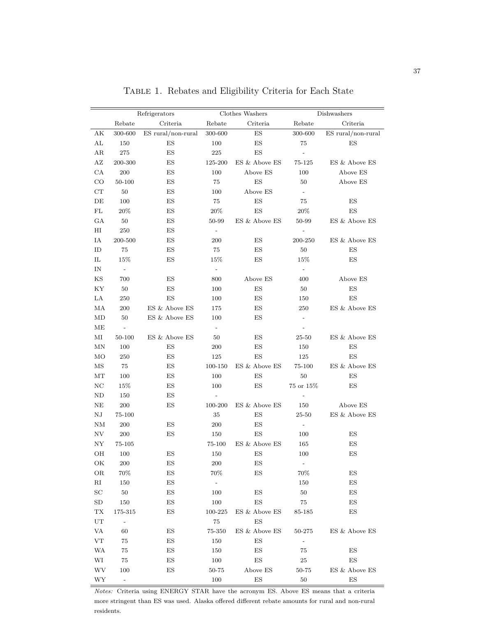|                                                                                                                                                                                                                                                                                                                                                 | Refrigerators                                                                                                                                                                                                                                                                                                                                 |                                                                                                                                                                                                                                                                                                                                                                                                                                                                                   |                                                                                                                                                                                                                                                                                                       | Clothes Washers                                                                                                                                                                                                                                                                                                                                                           |                                                                                                                                                                                                                                                                                                                                                                                   | Dishwashers                                                                                                                                                                                                                                                                                          |
|-------------------------------------------------------------------------------------------------------------------------------------------------------------------------------------------------------------------------------------------------------------------------------------------------------------------------------------------------|-----------------------------------------------------------------------------------------------------------------------------------------------------------------------------------------------------------------------------------------------------------------------------------------------------------------------------------------------|-----------------------------------------------------------------------------------------------------------------------------------------------------------------------------------------------------------------------------------------------------------------------------------------------------------------------------------------------------------------------------------------------------------------------------------------------------------------------------------|-------------------------------------------------------------------------------------------------------------------------------------------------------------------------------------------------------------------------------------------------------------------------------------------------------|---------------------------------------------------------------------------------------------------------------------------------------------------------------------------------------------------------------------------------------------------------------------------------------------------------------------------------------------------------------------------|-----------------------------------------------------------------------------------------------------------------------------------------------------------------------------------------------------------------------------------------------------------------------------------------------------------------------------------------------------------------------------------|------------------------------------------------------------------------------------------------------------------------------------------------------------------------------------------------------------------------------------------------------------------------------------------------------|
|                                                                                                                                                                                                                                                                                                                                                 | Rebate                                                                                                                                                                                                                                                                                                                                        | Criteria                                                                                                                                                                                                                                                                                                                                                                                                                                                                          | Rebate                                                                                                                                                                                                                                                                                                | Criteria                                                                                                                                                                                                                                                                                                                                                                  | Rebate                                                                                                                                                                                                                                                                                                                                                                            | Criteria                                                                                                                                                                                                                                                                                             |
| АK                                                                                                                                                                                                                                                                                                                                              | 300-600                                                                                                                                                                                                                                                                                                                                       | ES rural/non-rural                                                                                                                                                                                                                                                                                                                                                                                                                                                                | $300 - 600$                                                                                                                                                                                                                                                                                           | $\mathop{\hbox{\rm ES}}$                                                                                                                                                                                                                                                                                                                                                  | 300-600                                                                                                                                                                                                                                                                                                                                                                           | ES rural/non-rural                                                                                                                                                                                                                                                                                   |
| AL                                                                                                                                                                                                                                                                                                                                              | 150                                                                                                                                                                                                                                                                                                                                           | ES                                                                                                                                                                                                                                                                                                                                                                                                                                                                                | 100                                                                                                                                                                                                                                                                                                   | $\mathop{\hbox{\rm ES}}$                                                                                                                                                                                                                                                                                                                                                  | 75                                                                                                                                                                                                                                                                                                                                                                                | ES                                                                                                                                                                                                                                                                                                   |
| ΑR                                                                                                                                                                                                                                                                                                                                              | $275\,$                                                                                                                                                                                                                                                                                                                                       | ES                                                                                                                                                                                                                                                                                                                                                                                                                                                                                | 225                                                                                                                                                                                                                                                                                                   | ES                                                                                                                                                                                                                                                                                                                                                                        | $\overline{\phantom{a}}$                                                                                                                                                                                                                                                                                                                                                          |                                                                                                                                                                                                                                                                                                      |
| AZ                                                                                                                                                                                                                                                                                                                                              | 200-300                                                                                                                                                                                                                                                                                                                                       | ES                                                                                                                                                                                                                                                                                                                                                                                                                                                                                | 125-200                                                                                                                                                                                                                                                                                               | ES & Above ES                                                                                                                                                                                                                                                                                                                                                             | 75-125                                                                                                                                                                                                                                                                                                                                                                            | ES & Above ES                                                                                                                                                                                                                                                                                        |
| CA                                                                                                                                                                                                                                                                                                                                              | 200                                                                                                                                                                                                                                                                                                                                           | $\mathop{\hbox{\rm ES}}$                                                                                                                                                                                                                                                                                                                                                                                                                                                          | 100                                                                                                                                                                                                                                                                                                   | Above ES                                                                                                                                                                                                                                                                                                                                                                  | 100                                                                                                                                                                                                                                                                                                                                                                               | Above ES                                                                                                                                                                                                                                                                                             |
| CO                                                                                                                                                                                                                                                                                                                                              | 50-100                                                                                                                                                                                                                                                                                                                                        | $\mathop{\hbox{\rm ES}}$                                                                                                                                                                                                                                                                                                                                                                                                                                                          | 75                                                                                                                                                                                                                                                                                                    | $\mathop{\hbox{\rm ES}}$                                                                                                                                                                                                                                                                                                                                                  | 50                                                                                                                                                                                                                                                                                                                                                                                | Above ES                                                                                                                                                                                                                                                                                             |
| CT                                                                                                                                                                                                                                                                                                                                              | 50                                                                                                                                                                                                                                                                                                                                            | $\mathop{\hbox{\rm ES}}$                                                                                                                                                                                                                                                                                                                                                                                                                                                          | 100                                                                                                                                                                                                                                                                                                   | Above ES                                                                                                                                                                                                                                                                                                                                                                  | $\overline{\phantom{a}}$                                                                                                                                                                                                                                                                                                                                                          |                                                                                                                                                                                                                                                                                                      |
| DE                                                                                                                                                                                                                                                                                                                                              | 100                                                                                                                                                                                                                                                                                                                                           | $\mathop{\hbox{\rm ES}}$                                                                                                                                                                                                                                                                                                                                                                                                                                                          | 75                                                                                                                                                                                                                                                                                                    | ${\rm ES}$                                                                                                                                                                                                                                                                                                                                                                | 75                                                                                                                                                                                                                                                                                                                                                                                | $_{\rm ES}$                                                                                                                                                                                                                                                                                          |
| $\mathbf{FL}$                                                                                                                                                                                                                                                                                                                                   | 20%                                                                                                                                                                                                                                                                                                                                           | $\mathop{\hbox{\rm ES}}$                                                                                                                                                                                                                                                                                                                                                                                                                                                          | 20%                                                                                                                                                                                                                                                                                                   | ${\rm ES}$                                                                                                                                                                                                                                                                                                                                                                | 20%                                                                                                                                                                                                                                                                                                                                                                               | ES                                                                                                                                                                                                                                                                                                   |
| GA                                                                                                                                                                                                                                                                                                                                              | $50\,$                                                                                                                                                                                                                                                                                                                                        | $\mathop{\hbox{\rm ES}}$                                                                                                                                                                                                                                                                                                                                                                                                                                                          | 50-99                                                                                                                                                                                                                                                                                                 | ES & Above ES                                                                                                                                                                                                                                                                                                                                                             | 50-99                                                                                                                                                                                                                                                                                                                                                                             | ES & Above ES                                                                                                                                                                                                                                                                                        |
| $_{\rm HI}$                                                                                                                                                                                                                                                                                                                                     | 250                                                                                                                                                                                                                                                                                                                                           | $\mathop{\hbox{\rm ES}}$                                                                                                                                                                                                                                                                                                                                                                                                                                                          | $\overline{\phantom{a}}$                                                                                                                                                                                                                                                                              |                                                                                                                                                                                                                                                                                                                                                                           | $\overline{a}$                                                                                                                                                                                                                                                                                                                                                                    |                                                                                                                                                                                                                                                                                                      |
| IA                                                                                                                                                                                                                                                                                                                                              | 200-500                                                                                                                                                                                                                                                                                                                                       | ES                                                                                                                                                                                                                                                                                                                                                                                                                                                                                | 200                                                                                                                                                                                                                                                                                                   | ES                                                                                                                                                                                                                                                                                                                                                                        | 200-250                                                                                                                                                                                                                                                                                                                                                                           | ES & Above ES                                                                                                                                                                                                                                                                                        |
| ID                                                                                                                                                                                                                                                                                                                                              | 75                                                                                                                                                                                                                                                                                                                                            | ES                                                                                                                                                                                                                                                                                                                                                                                                                                                                                | 75                                                                                                                                                                                                                                                                                                    | ES                                                                                                                                                                                                                                                                                                                                                                        | 50                                                                                                                                                                                                                                                                                                                                                                                | ES                                                                                                                                                                                                                                                                                                   |
|                                                                                                                                                                                                                                                                                                                                                 |                                                                                                                                                                                                                                                                                                                                               |                                                                                                                                                                                                                                                                                                                                                                                                                                                                                   |                                                                                                                                                                                                                                                                                                       |                                                                                                                                                                                                                                                                                                                                                                           |                                                                                                                                                                                                                                                                                                                                                                                   |                                                                                                                                                                                                                                                                                                      |
|                                                                                                                                                                                                                                                                                                                                                 |                                                                                                                                                                                                                                                                                                                                               |                                                                                                                                                                                                                                                                                                                                                                                                                                                                                   |                                                                                                                                                                                                                                                                                                       |                                                                                                                                                                                                                                                                                                                                                                           |                                                                                                                                                                                                                                                                                                                                                                                   |                                                                                                                                                                                                                                                                                                      |
|                                                                                                                                                                                                                                                                                                                                                 |                                                                                                                                                                                                                                                                                                                                               |                                                                                                                                                                                                                                                                                                                                                                                                                                                                                   |                                                                                                                                                                                                                                                                                                       |                                                                                                                                                                                                                                                                                                                                                                           |                                                                                                                                                                                                                                                                                                                                                                                   |                                                                                                                                                                                                                                                                                                      |
|                                                                                                                                                                                                                                                                                                                                                 |                                                                                                                                                                                                                                                                                                                                               |                                                                                                                                                                                                                                                                                                                                                                                                                                                                                   |                                                                                                                                                                                                                                                                                                       |                                                                                                                                                                                                                                                                                                                                                                           |                                                                                                                                                                                                                                                                                                                                                                                   |                                                                                                                                                                                                                                                                                                      |
|                                                                                                                                                                                                                                                                                                                                                 |                                                                                                                                                                                                                                                                                                                                               |                                                                                                                                                                                                                                                                                                                                                                                                                                                                                   |                                                                                                                                                                                                                                                                                                       |                                                                                                                                                                                                                                                                                                                                                                           |                                                                                                                                                                                                                                                                                                                                                                                   |                                                                                                                                                                                                                                                                                                      |
|                                                                                                                                                                                                                                                                                                                                                 |                                                                                                                                                                                                                                                                                                                                               |                                                                                                                                                                                                                                                                                                                                                                                                                                                                                   |                                                                                                                                                                                                                                                                                                       |                                                                                                                                                                                                                                                                                                                                                                           |                                                                                                                                                                                                                                                                                                                                                                                   |                                                                                                                                                                                                                                                                                                      |
|                                                                                                                                                                                                                                                                                                                                                 |                                                                                                                                                                                                                                                                                                                                               |                                                                                                                                                                                                                                                                                                                                                                                                                                                                                   |                                                                                                                                                                                                                                                                                                       |                                                                                                                                                                                                                                                                                                                                                                           |                                                                                                                                                                                                                                                                                                                                                                                   |                                                                                                                                                                                                                                                                                                      |
|                                                                                                                                                                                                                                                                                                                                                 |                                                                                                                                                                                                                                                                                                                                               |                                                                                                                                                                                                                                                                                                                                                                                                                                                                                   |                                                                                                                                                                                                                                                                                                       |                                                                                                                                                                                                                                                                                                                                                                           |                                                                                                                                                                                                                                                                                                                                                                                   |                                                                                                                                                                                                                                                                                                      |
|                                                                                                                                                                                                                                                                                                                                                 |                                                                                                                                                                                                                                                                                                                                               |                                                                                                                                                                                                                                                                                                                                                                                                                                                                                   |                                                                                                                                                                                                                                                                                                       |                                                                                                                                                                                                                                                                                                                                                                           |                                                                                                                                                                                                                                                                                                                                                                                   |                                                                                                                                                                                                                                                                                                      |
|                                                                                                                                                                                                                                                                                                                                                 |                                                                                                                                                                                                                                                                                                                                               |                                                                                                                                                                                                                                                                                                                                                                                                                                                                                   |                                                                                                                                                                                                                                                                                                       |                                                                                                                                                                                                                                                                                                                                                                           |                                                                                                                                                                                                                                                                                                                                                                                   |                                                                                                                                                                                                                                                                                                      |
|                                                                                                                                                                                                                                                                                                                                                 |                                                                                                                                                                                                                                                                                                                                               |                                                                                                                                                                                                                                                                                                                                                                                                                                                                                   |                                                                                                                                                                                                                                                                                                       |                                                                                                                                                                                                                                                                                                                                                                           |                                                                                                                                                                                                                                                                                                                                                                                   |                                                                                                                                                                                                                                                                                                      |
|                                                                                                                                                                                                                                                                                                                                                 |                                                                                                                                                                                                                                                                                                                                               |                                                                                                                                                                                                                                                                                                                                                                                                                                                                                   |                                                                                                                                                                                                                                                                                                       |                                                                                                                                                                                                                                                                                                                                                                           |                                                                                                                                                                                                                                                                                                                                                                                   |                                                                                                                                                                                                                                                                                                      |
|                                                                                                                                                                                                                                                                                                                                                 |                                                                                                                                                                                                                                                                                                                                               |                                                                                                                                                                                                                                                                                                                                                                                                                                                                                   |                                                                                                                                                                                                                                                                                                       |                                                                                                                                                                                                                                                                                                                                                                           |                                                                                                                                                                                                                                                                                                                                                                                   |                                                                                                                                                                                                                                                                                                      |
|                                                                                                                                                                                                                                                                                                                                                 |                                                                                                                                                                                                                                                                                                                                               |                                                                                                                                                                                                                                                                                                                                                                                                                                                                                   |                                                                                                                                                                                                                                                                                                       |                                                                                                                                                                                                                                                                                                                                                                           |                                                                                                                                                                                                                                                                                                                                                                                   |                                                                                                                                                                                                                                                                                                      |
|                                                                                                                                                                                                                                                                                                                                                 |                                                                                                                                                                                                                                                                                                                                               |                                                                                                                                                                                                                                                                                                                                                                                                                                                                                   |                                                                                                                                                                                                                                                                                                       |                                                                                                                                                                                                                                                                                                                                                                           |                                                                                                                                                                                                                                                                                                                                                                                   |                                                                                                                                                                                                                                                                                                      |
|                                                                                                                                                                                                                                                                                                                                                 |                                                                                                                                                                                                                                                                                                                                               |                                                                                                                                                                                                                                                                                                                                                                                                                                                                                   |                                                                                                                                                                                                                                                                                                       |                                                                                                                                                                                                                                                                                                                                                                           |                                                                                                                                                                                                                                                                                                                                                                                   |                                                                                                                                                                                                                                                                                                      |
|                                                                                                                                                                                                                                                                                                                                                 |                                                                                                                                                                                                                                                                                                                                               |                                                                                                                                                                                                                                                                                                                                                                                                                                                                                   |                                                                                                                                                                                                                                                                                                       |                                                                                                                                                                                                                                                                                                                                                                           |                                                                                                                                                                                                                                                                                                                                                                                   |                                                                                                                                                                                                                                                                                                      |
|                                                                                                                                                                                                                                                                                                                                                 |                                                                                                                                                                                                                                                                                                                                               |                                                                                                                                                                                                                                                                                                                                                                                                                                                                                   |                                                                                                                                                                                                                                                                                                       |                                                                                                                                                                                                                                                                                                                                                                           |                                                                                                                                                                                                                                                                                                                                                                                   |                                                                                                                                                                                                                                                                                                      |
|                                                                                                                                                                                                                                                                                                                                                 |                                                                                                                                                                                                                                                                                                                                               |                                                                                                                                                                                                                                                                                                                                                                                                                                                                                   |                                                                                                                                                                                                                                                                                                       |                                                                                                                                                                                                                                                                                                                                                                           |                                                                                                                                                                                                                                                                                                                                                                                   |                                                                                                                                                                                                                                                                                                      |
|                                                                                                                                                                                                                                                                                                                                                 |                                                                                                                                                                                                                                                                                                                                               |                                                                                                                                                                                                                                                                                                                                                                                                                                                                                   |                                                                                                                                                                                                                                                                                                       |                                                                                                                                                                                                                                                                                                                                                                           |                                                                                                                                                                                                                                                                                                                                                                                   |                                                                                                                                                                                                                                                                                                      |
|                                                                                                                                                                                                                                                                                                                                                 |                                                                                                                                                                                                                                                                                                                                               |                                                                                                                                                                                                                                                                                                                                                                                                                                                                                   |                                                                                                                                                                                                                                                                                                       |                                                                                                                                                                                                                                                                                                                                                                           |                                                                                                                                                                                                                                                                                                                                                                                   |                                                                                                                                                                                                                                                                                                      |
|                                                                                                                                                                                                                                                                                                                                                 |                                                                                                                                                                                                                                                                                                                                               |                                                                                                                                                                                                                                                                                                                                                                                                                                                                                   |                                                                                                                                                                                                                                                                                                       |                                                                                                                                                                                                                                                                                                                                                                           |                                                                                                                                                                                                                                                                                                                                                                                   |                                                                                                                                                                                                                                                                                                      |
|                                                                                                                                                                                                                                                                                                                                                 |                                                                                                                                                                                                                                                                                                                                               |                                                                                                                                                                                                                                                                                                                                                                                                                                                                                   |                                                                                                                                                                                                                                                                                                       |                                                                                                                                                                                                                                                                                                                                                                           |                                                                                                                                                                                                                                                                                                                                                                                   |                                                                                                                                                                                                                                                                                                      |
|                                                                                                                                                                                                                                                                                                                                                 |                                                                                                                                                                                                                                                                                                                                               |                                                                                                                                                                                                                                                                                                                                                                                                                                                                                   |                                                                                                                                                                                                                                                                                                       |                                                                                                                                                                                                                                                                                                                                                                           |                                                                                                                                                                                                                                                                                                                                                                                   |                                                                                                                                                                                                                                                                                                      |
|                                                                                                                                                                                                                                                                                                                                                 |                                                                                                                                                                                                                                                                                                                                               |                                                                                                                                                                                                                                                                                                                                                                                                                                                                                   |                                                                                                                                                                                                                                                                                                       |                                                                                                                                                                                                                                                                                                                                                                           |                                                                                                                                                                                                                                                                                                                                                                                   |                                                                                                                                                                                                                                                                                                      |
|                                                                                                                                                                                                                                                                                                                                                 |                                                                                                                                                                                                                                                                                                                                               |                                                                                                                                                                                                                                                                                                                                                                                                                                                                                   |                                                                                                                                                                                                                                                                                                       |                                                                                                                                                                                                                                                                                                                                                                           |                                                                                                                                                                                                                                                                                                                                                                                   |                                                                                                                                                                                                                                                                                                      |
|                                                                                                                                                                                                                                                                                                                                                 |                                                                                                                                                                                                                                                                                                                                               |                                                                                                                                                                                                                                                                                                                                                                                                                                                                                   |                                                                                                                                                                                                                                                                                                       |                                                                                                                                                                                                                                                                                                                                                                           |                                                                                                                                                                                                                                                                                                                                                                                   |                                                                                                                                                                                                                                                                                                      |
|                                                                                                                                                                                                                                                                                                                                                 |                                                                                                                                                                                                                                                                                                                                               |                                                                                                                                                                                                                                                                                                                                                                                                                                                                                   |                                                                                                                                                                                                                                                                                                       |                                                                                                                                                                                                                                                                                                                                                                           |                                                                                                                                                                                                                                                                                                                                                                                   |                                                                                                                                                                                                                                                                                                      |
|                                                                                                                                                                                                                                                                                                                                                 |                                                                                                                                                                                                                                                                                                                                               |                                                                                                                                                                                                                                                                                                                                                                                                                                                                                   |                                                                                                                                                                                                                                                                                                       |                                                                                                                                                                                                                                                                                                                                                                           |                                                                                                                                                                                                                                                                                                                                                                                   |                                                                                                                                                                                                                                                                                                      |
|                                                                                                                                                                                                                                                                                                                                                 |                                                                                                                                                                                                                                                                                                                                               |                                                                                                                                                                                                                                                                                                                                                                                                                                                                                   |                                                                                                                                                                                                                                                                                                       |                                                                                                                                                                                                                                                                                                                                                                           |                                                                                                                                                                                                                                                                                                                                                                                   |                                                                                                                                                                                                                                                                                                      |
|                                                                                                                                                                                                                                                                                                                                                 |                                                                                                                                                                                                                                                                                                                                               |                                                                                                                                                                                                                                                                                                                                                                                                                                                                                   |                                                                                                                                                                                                                                                                                                       |                                                                                                                                                                                                                                                                                                                                                                           |                                                                                                                                                                                                                                                                                                                                                                                   |                                                                                                                                                                                                                                                                                                      |
|                                                                                                                                                                                                                                                                                                                                                 |                                                                                                                                                                                                                                                                                                                                               |                                                                                                                                                                                                                                                                                                                                                                                                                                                                                   |                                                                                                                                                                                                                                                                                                       |                                                                                                                                                                                                                                                                                                                                                                           |                                                                                                                                                                                                                                                                                                                                                                                   |                                                                                                                                                                                                                                                                                                      |
|                                                                                                                                                                                                                                                                                                                                                 |                                                                                                                                                                                                                                                                                                                                               |                                                                                                                                                                                                                                                                                                                                                                                                                                                                                   |                                                                                                                                                                                                                                                                                                       |                                                                                                                                                                                                                                                                                                                                                                           |                                                                                                                                                                                                                                                                                                                                                                                   |                                                                                                                                                                                                                                                                                                      |
|                                                                                                                                                                                                                                                                                                                                                 |                                                                                                                                                                                                                                                                                                                                               |                                                                                                                                                                                                                                                                                                                                                                                                                                                                                   |                                                                                                                                                                                                                                                                                                       |                                                                                                                                                                                                                                                                                                                                                                           |                                                                                                                                                                                                                                                                                                                                                                                   |                                                                                                                                                                                                                                                                                                      |
| IL<br>$\rm{IN}$<br>KS<br>KY<br>LA<br>MA<br>MD<br>ΜЕ<br>MI<br>ΜN<br>MO<br>$\rm MS$<br>MТ<br>$_{\mathrm{NC}}$<br>ND<br>NE<br>${\rm N J}$<br><b>NM</b><br>NV<br>ΝY<br>OН<br>ОK<br>OR<br>$\rm RI$<br>$\operatorname{SC}$<br>${\rm SD}$<br>${\rm TX}$<br>$_{\rm UT}$<br>$\ensuremath{\text{VA}}\xspace$<br>${\rm VT}$<br><b>WA</b><br>WI<br>WV<br>WY | 15%<br>$\overline{\phantom{a}}$<br>700<br>$50\,$<br>250<br>200<br>50<br>$\overline{\phantom{a}}$<br>50-100<br>100<br>250<br>75<br>100<br>15%<br>150<br>$200\,$<br>75-100<br>200<br>200<br>75-105<br>$100\,$<br>200<br>70%<br>150<br>$50\,$<br>150<br>175-315<br>$\overline{\phantom{a}}$<br>60<br>75<br>$75\,$<br>75<br>100<br>$\blacksquare$ | ES<br>ES<br>$\mathop{\hbox{\rm ES}}$<br>$\mathop{\hbox{\rm ES}}$<br>ES & Above ES<br>ES & Above ES<br>ES & Above ES<br>ES<br>ES<br>$\mathop{\hbox{\rm ES}}$<br>ES<br>ES<br>ES<br>ES<br>$\mathop{\hbox{\rm ES}}$<br>ES<br>${\rm ES}$<br>ES<br>$\mathop{\hbox{\rm ES}}$<br>$_{\rm ES}$<br>$_{\rm ES}$<br>$\mathop{\hbox{\rm ES}}$<br>$\mathop{\hbox{\rm ES}}$<br>$\mathop{\hbox{\rm ES}}$<br>$\mathop{\hbox{\rm ES}}$<br>$\mathop{\hbox{\rm ES}}$<br>$\mathop{\hbox{\rm ES}}$<br>ES | 15%<br>$\overline{\phantom{a}}$<br>800<br>100<br>100<br>175<br>100<br>$\overline{\phantom{a}}$<br>50<br>200<br>125<br>100-150<br>100<br>100<br>100-200<br>35<br>200<br>150<br>75-100<br>$150\,$<br>200<br>70%<br>$\sim$<br>100<br>100<br>100-225<br>75<br>75-350<br>150<br>150<br>100<br>50-75<br>100 | ES<br>Above ES<br>ES<br>ES<br>ES<br>ES<br>ES<br>ES<br>ES<br>ES & Above ES<br>ES<br>ES<br>ES & Above ES<br>ES<br>ES<br>ES<br>ES & Above ES<br>$\mathop{\hbox{\rm ES}}$<br>ES<br>ES<br>ES<br>$\mathop{\hbox{\rm ES}}$<br>ES & Above ES<br>$\mathop{\hbox{\rm ES}}$<br>ES & Above ES<br>ES<br>$\mathop{\hbox{\rm ES}}$<br>${\rm ES}$<br>Above $\mathop{\hbox{\rm ES}}$<br>ES | 15%<br>$\overline{\phantom{a}}$<br>400<br>50<br>150<br>250<br>$\overline{\phantom{a}}$<br>$\overline{\phantom{a}}$<br>25-50<br>150<br>125<br>75-100<br>50<br>75 or 15\%<br>150<br>$25 - 50$<br>$\overline{\phantom{0}}$<br>100<br>165<br>$100\,$<br>$\equiv$<br>70%<br>150<br>$50\,$<br>$75\,$<br>85-185<br>$50 - 275$<br>$\overline{\phantom{a}}$<br>75<br>$25\,$<br>50-75<br>50 | ES<br>Above ES<br>$_{\rm ES}$<br>ES<br>ES & Above ES<br>ES & Above ES<br>ES<br>ES<br>ES & Above ES<br>ES<br>ES<br>Above ES<br>ES & Above ES<br>ES<br>ES<br>$_{\rm ES}$<br>ES<br>ES<br>ES<br>ES<br>ES<br>ES & Above ES<br>ES<br>ES<br>$\mathop{\hbox{\rm ES}}$ & Above $\mathop{\hbox{\rm ES}}$<br>ES |

TABLE 1. Rebates and Eligibility Criteria for Each State

*Notes:* Criteria using ENERGY STAR have the acronym ES. Above ES means that a criteria more stringent than ES was used. Alaska offered different rebate amounts for rural and non-rural residents.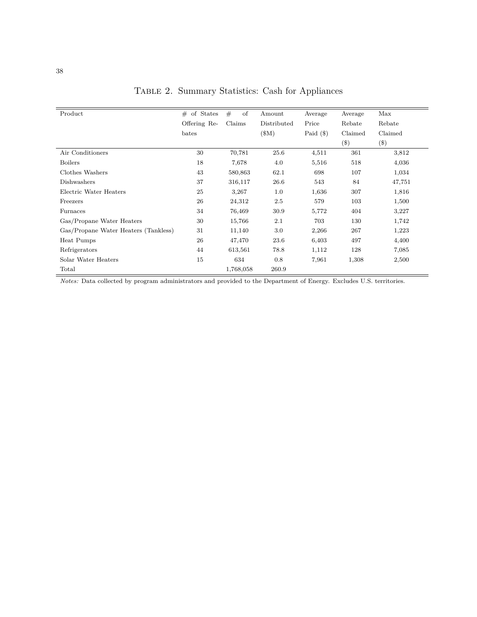| Product                              | $#$ of States | #<br>of   | Amount      | Average     | Average | Max         |
|--------------------------------------|---------------|-----------|-------------|-------------|---------|-------------|
|                                      | Offering Re-  | Claims    | Distributed | Price       | Rebate  | Rebate      |
|                                      | bates         |           | (\$M)       | Paid $(\$)$ | Claimed | Claimed     |
|                                      |               |           |             |             | $(\$\)$ | $(\$\math>$ |
| Air Conditioners                     | 30            | 70,781    | 25.6        | 4,511       | 361     | 3,812       |
| <b>Boilers</b>                       | 18            | 7,678     | 4.0         | 5,516       | 518     | 4,036       |
| Clothes Washers                      | 43            | 580,863   | 62.1        | 698         | 107     | 1,034       |
| Dishwashers                          | 37            | 316,117   | 26.6        | 543         | 84      | 47,751      |
| Electric Water Heaters               | 25            | 3,267     | 1.0         | 1,636       | 307     | 1,816       |
| Freezers                             | 26            | 24,312    | 2.5         | 579         | 103     | 1,500       |
| Furnaces                             | 34            | 76,469    | 30.9        | 5,772       | 404     | 3,227       |
| Gas/Propane Water Heaters            | 30            | 15,766    | 2.1         | 703         | 130     | 1,742       |
| Gas/Propane Water Heaters (Tankless) | 31            | 11,140    | 3.0         | 2,266       | 267     | 1,223       |
| Heat Pumps                           | 26            | 47,470    | 23.6        | 6,403       | 497     | 4,400       |
| Refrigerators                        | 44            | 613,561   | 78.8        | 1,112       | 128     | 7,085       |
| Solar Water Heaters                  | 15            | 634       | 0.8         | 7,961       | 1,308   | 2,500       |
| Total                                |               | 1,768,058 | 260.9       |             |         |             |

Table 2. Summary Statistics: Cash for Appliances

*Notes:* Data collected by program administrators and provided to the Department of Energy. Excludes U.S. territories.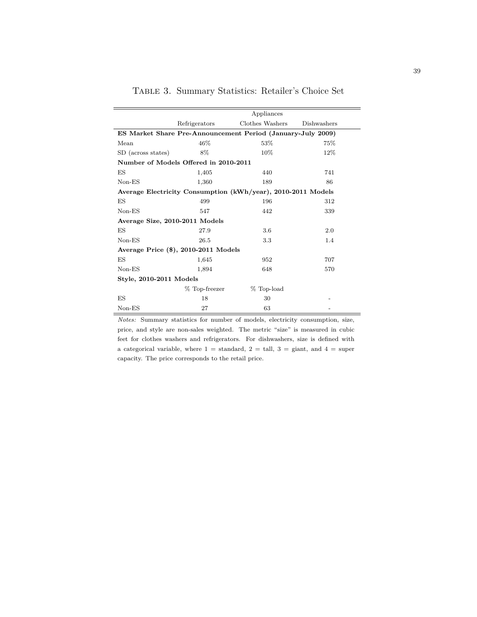|                                       |               | Appliances                                                   |             |
|---------------------------------------|---------------|--------------------------------------------------------------|-------------|
|                                       | Refrigerators | Clothes Washers                                              | Dishwashers |
|                                       |               | ES Market Share Pre-Announcement Period (January-July 2009)  |             |
| Mean                                  | 46\%          | $53\%$                                                       | 75%         |
| SD (across states)                    | 8%            | 10%                                                          | 12%         |
| Number of Models Offered in 2010-2011 |               |                                                              |             |
| ES                                    | 1,405         | 440                                                          | 741         |
| $Non-ES$                              | 1,360         | 189                                                          | 86          |
|                                       |               | Average Electricity Consumption (kWh/year), 2010-2011 Models |             |
| ES                                    | 499           | 196                                                          | 312         |
| $Non-ES$                              | 547           | 442                                                          | 339         |
| Average Size, 2010-2011 Models        |               |                                                              |             |
| ES                                    | 27.9          | 3.6                                                          | 2.0         |
| $Non-ES$                              | 26.5          | 3.3                                                          | 1.4         |
| Average Price (\$), 2010-2011 Models  |               |                                                              |             |
| ES                                    | 1,645         | 952                                                          | 707         |
| $Non-ES$                              | 1,894         | 648                                                          | 570         |
| Style, 2010-2011 Models               |               |                                                              |             |
|                                       | % Top-freezer | % Top-load                                                   |             |
| ES                                    | 18            | 30                                                           |             |
| $Non-ES$                              | 27            | 63                                                           |             |

Table 3. Summary Statistics: Retailer's Choice Set

*Notes:* Summary statistics for number of models, electricity consumption, size, price, and style are non-sales weighted. The metric "size" is measured in cubic feet for clothes washers and refrigerators. For dishwashers, size is defined with a categorical variable, where  $1 =$  standard,  $2 =$  tall,  $3 =$  giant, and  $4 =$  super capacity. The price corresponds to the retail price.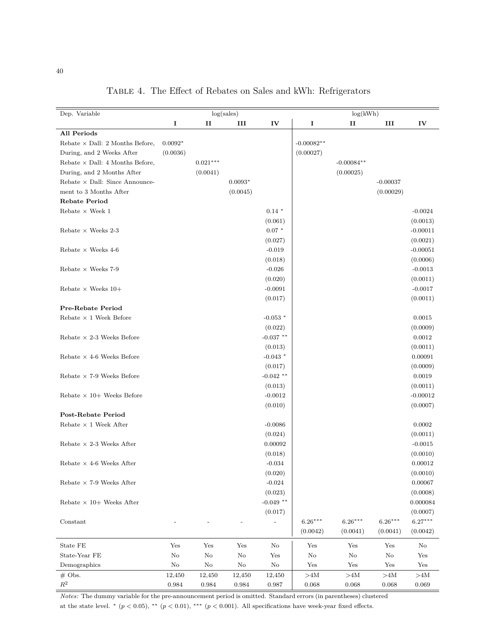| I<br>$\mathbf{I}$<br>III<br>IV<br>I<br>III<br>IV<br>п<br>All Periods<br>$0.0092*$<br>$-0.00082**$<br>Rebate $\times$ Dall: 2 Months Before,<br>(0.00027)<br>During, and 2 Weeks After<br>(0.0036)<br>$0.021***$<br>Rebate $\times$ Dall: 4 Months Before,<br>$-0.00084**$<br>(0.0041)<br>(0.00025)<br>During, and 2 Months After<br>Rebate $\times$ Dall: Since Announce-<br>$0.0093*$<br>$-0.00037$<br>(0.0045)<br>(0.00029)<br>ment to 3 Months After<br><b>Rebate Period</b><br>Rebate $\times$ Week $1$<br>$0.14*$<br>$-0.0024$<br>(0.061)<br>(0.0013)<br>$0.07*$<br>$-0.00011$<br>Rebate $\times$ Weeks 2-3<br>(0.027)<br>(0.0021)<br>Rebate $\times$ Weeks 4-6<br>$-0.019$<br>$-0.00051$<br>(0.018)<br>(0.0006)<br>$-0.026$<br>Rebate $\times$ Weeks 7-9<br>$-0.0013$<br>(0.020)<br>(0.0011)<br>$-0.0091$<br>$-0.0017$<br>Rebate $\times$ Weeks 10+<br>(0.0011)<br>(0.017)<br>Pre-Rebate Period<br>$-0.053$ *<br>Rebate $\times$ 1 Week Before<br>0.0015<br>(0.022)<br>(0.0009)<br>$-0.037$ **<br>0.0012<br>Rebate $\times$ 2-3 Weeks Before<br>(0.013)<br>(0.0011)<br>$-0.043$ *<br>0.00091<br>Rebate $\times$ 4-6 Weeks Before<br>(0.017)<br>(0.0009)<br>$-0.042$ **<br>Rebate $\times$ 7-9 Weeks Before<br>0.0019<br>(0.013)<br>(0.0011)<br>$-0.0012$<br>$-0.00012$<br>Rebate $\times$ 10+ Weeks Before<br>(0.010)<br>(0.0007)<br><b>Post-Rebate Period</b><br>0.0002<br>Rebate $\times$ 1 Week After<br>$-0.0086$<br>(0.024)<br>(0.0011)<br>0.00092<br>Rebate $\times$ 2-3 Weeks After<br>$-0.0015$<br>(0.018)<br>(0.0010)<br>$-0.034$<br>0.00012<br>Rebate $\times$ 4-6 Weeks After<br>(0.020)<br>(0.0010)<br>Rebate $\times$ 7-9 Weeks After<br>$-0.024$<br>0.00067<br>(0.023)<br>(0.0008)<br>$-0.049$ **<br>0.000084<br>Rebate $\times$ 10+ Weeks After<br>(0.017)<br>(0.0007)<br>$6.27***$<br>$6.26***$<br>$6.26***$<br>$6.26***$<br>Constant<br>$\overline{a}$<br>(0.0042)<br>(0.0041)<br>(0.0041)<br>(0.0042)<br>State FE<br>Yes<br>${\rm Yes}$<br>Yes<br>$\rm No$<br>Yes<br>Yes<br>Yes<br>No<br>$\rm No$<br>$\rm No$<br>State-Year FE<br>$\rm No$<br>$\rm No$<br>$\rm No$<br>$\rm No$<br>Yes<br>Yes<br>Demographics<br>$\rm No$<br>No<br>$\rm No$<br>$\rm No$<br>Yes<br>Yes<br>Yes<br>Yes<br>$#$ Obs.<br>12,450<br>12,450<br>12,450<br>${>}4\mathrm{M}$<br>${>}4\mathrm{M}$<br>${>}4\mathrm{M}$<br>${>}4\mathrm{M}$<br>12,450 | Dep. Variable | log(sales) |  |  | log(kWh) |  |  |
|------------------------------------------------------------------------------------------------------------------------------------------------------------------------------------------------------------------------------------------------------------------------------------------------------------------------------------------------------------------------------------------------------------------------------------------------------------------------------------------------------------------------------------------------------------------------------------------------------------------------------------------------------------------------------------------------------------------------------------------------------------------------------------------------------------------------------------------------------------------------------------------------------------------------------------------------------------------------------------------------------------------------------------------------------------------------------------------------------------------------------------------------------------------------------------------------------------------------------------------------------------------------------------------------------------------------------------------------------------------------------------------------------------------------------------------------------------------------------------------------------------------------------------------------------------------------------------------------------------------------------------------------------------------------------------------------------------------------------------------------------------------------------------------------------------------------------------------------------------------------------------------------------------------------------------------------------------------------------------------------------------------------------------------------------------------------------------------------------------------------------------------------------------------------------------------------------------------------------------------------------------------------------------------------------------------------------------------------|---------------|------------|--|--|----------|--|--|
|                                                                                                                                                                                                                                                                                                                                                                                                                                                                                                                                                                                                                                                                                                                                                                                                                                                                                                                                                                                                                                                                                                                                                                                                                                                                                                                                                                                                                                                                                                                                                                                                                                                                                                                                                                                                                                                                                                                                                                                                                                                                                                                                                                                                                                                                                                                                                |               |            |  |  |          |  |  |
|                                                                                                                                                                                                                                                                                                                                                                                                                                                                                                                                                                                                                                                                                                                                                                                                                                                                                                                                                                                                                                                                                                                                                                                                                                                                                                                                                                                                                                                                                                                                                                                                                                                                                                                                                                                                                                                                                                                                                                                                                                                                                                                                                                                                                                                                                                                                                |               |            |  |  |          |  |  |
|                                                                                                                                                                                                                                                                                                                                                                                                                                                                                                                                                                                                                                                                                                                                                                                                                                                                                                                                                                                                                                                                                                                                                                                                                                                                                                                                                                                                                                                                                                                                                                                                                                                                                                                                                                                                                                                                                                                                                                                                                                                                                                                                                                                                                                                                                                                                                |               |            |  |  |          |  |  |
|                                                                                                                                                                                                                                                                                                                                                                                                                                                                                                                                                                                                                                                                                                                                                                                                                                                                                                                                                                                                                                                                                                                                                                                                                                                                                                                                                                                                                                                                                                                                                                                                                                                                                                                                                                                                                                                                                                                                                                                                                                                                                                                                                                                                                                                                                                                                                |               |            |  |  |          |  |  |
|                                                                                                                                                                                                                                                                                                                                                                                                                                                                                                                                                                                                                                                                                                                                                                                                                                                                                                                                                                                                                                                                                                                                                                                                                                                                                                                                                                                                                                                                                                                                                                                                                                                                                                                                                                                                                                                                                                                                                                                                                                                                                                                                                                                                                                                                                                                                                |               |            |  |  |          |  |  |
|                                                                                                                                                                                                                                                                                                                                                                                                                                                                                                                                                                                                                                                                                                                                                                                                                                                                                                                                                                                                                                                                                                                                                                                                                                                                                                                                                                                                                                                                                                                                                                                                                                                                                                                                                                                                                                                                                                                                                                                                                                                                                                                                                                                                                                                                                                                                                |               |            |  |  |          |  |  |
|                                                                                                                                                                                                                                                                                                                                                                                                                                                                                                                                                                                                                                                                                                                                                                                                                                                                                                                                                                                                                                                                                                                                                                                                                                                                                                                                                                                                                                                                                                                                                                                                                                                                                                                                                                                                                                                                                                                                                                                                                                                                                                                                                                                                                                                                                                                                                |               |            |  |  |          |  |  |
|                                                                                                                                                                                                                                                                                                                                                                                                                                                                                                                                                                                                                                                                                                                                                                                                                                                                                                                                                                                                                                                                                                                                                                                                                                                                                                                                                                                                                                                                                                                                                                                                                                                                                                                                                                                                                                                                                                                                                                                                                                                                                                                                                                                                                                                                                                                                                |               |            |  |  |          |  |  |
|                                                                                                                                                                                                                                                                                                                                                                                                                                                                                                                                                                                                                                                                                                                                                                                                                                                                                                                                                                                                                                                                                                                                                                                                                                                                                                                                                                                                                                                                                                                                                                                                                                                                                                                                                                                                                                                                                                                                                                                                                                                                                                                                                                                                                                                                                                                                                |               |            |  |  |          |  |  |
|                                                                                                                                                                                                                                                                                                                                                                                                                                                                                                                                                                                                                                                                                                                                                                                                                                                                                                                                                                                                                                                                                                                                                                                                                                                                                                                                                                                                                                                                                                                                                                                                                                                                                                                                                                                                                                                                                                                                                                                                                                                                                                                                                                                                                                                                                                                                                |               |            |  |  |          |  |  |
|                                                                                                                                                                                                                                                                                                                                                                                                                                                                                                                                                                                                                                                                                                                                                                                                                                                                                                                                                                                                                                                                                                                                                                                                                                                                                                                                                                                                                                                                                                                                                                                                                                                                                                                                                                                                                                                                                                                                                                                                                                                                                                                                                                                                                                                                                                                                                |               |            |  |  |          |  |  |
|                                                                                                                                                                                                                                                                                                                                                                                                                                                                                                                                                                                                                                                                                                                                                                                                                                                                                                                                                                                                                                                                                                                                                                                                                                                                                                                                                                                                                                                                                                                                                                                                                                                                                                                                                                                                                                                                                                                                                                                                                                                                                                                                                                                                                                                                                                                                                |               |            |  |  |          |  |  |
|                                                                                                                                                                                                                                                                                                                                                                                                                                                                                                                                                                                                                                                                                                                                                                                                                                                                                                                                                                                                                                                                                                                                                                                                                                                                                                                                                                                                                                                                                                                                                                                                                                                                                                                                                                                                                                                                                                                                                                                                                                                                                                                                                                                                                                                                                                                                                |               |            |  |  |          |  |  |
|                                                                                                                                                                                                                                                                                                                                                                                                                                                                                                                                                                                                                                                                                                                                                                                                                                                                                                                                                                                                                                                                                                                                                                                                                                                                                                                                                                                                                                                                                                                                                                                                                                                                                                                                                                                                                                                                                                                                                                                                                                                                                                                                                                                                                                                                                                                                                |               |            |  |  |          |  |  |
|                                                                                                                                                                                                                                                                                                                                                                                                                                                                                                                                                                                                                                                                                                                                                                                                                                                                                                                                                                                                                                                                                                                                                                                                                                                                                                                                                                                                                                                                                                                                                                                                                                                                                                                                                                                                                                                                                                                                                                                                                                                                                                                                                                                                                                                                                                                                                |               |            |  |  |          |  |  |
|                                                                                                                                                                                                                                                                                                                                                                                                                                                                                                                                                                                                                                                                                                                                                                                                                                                                                                                                                                                                                                                                                                                                                                                                                                                                                                                                                                                                                                                                                                                                                                                                                                                                                                                                                                                                                                                                                                                                                                                                                                                                                                                                                                                                                                                                                                                                                |               |            |  |  |          |  |  |
|                                                                                                                                                                                                                                                                                                                                                                                                                                                                                                                                                                                                                                                                                                                                                                                                                                                                                                                                                                                                                                                                                                                                                                                                                                                                                                                                                                                                                                                                                                                                                                                                                                                                                                                                                                                                                                                                                                                                                                                                                                                                                                                                                                                                                                                                                                                                                |               |            |  |  |          |  |  |
|                                                                                                                                                                                                                                                                                                                                                                                                                                                                                                                                                                                                                                                                                                                                                                                                                                                                                                                                                                                                                                                                                                                                                                                                                                                                                                                                                                                                                                                                                                                                                                                                                                                                                                                                                                                                                                                                                                                                                                                                                                                                                                                                                                                                                                                                                                                                                |               |            |  |  |          |  |  |
|                                                                                                                                                                                                                                                                                                                                                                                                                                                                                                                                                                                                                                                                                                                                                                                                                                                                                                                                                                                                                                                                                                                                                                                                                                                                                                                                                                                                                                                                                                                                                                                                                                                                                                                                                                                                                                                                                                                                                                                                                                                                                                                                                                                                                                                                                                                                                |               |            |  |  |          |  |  |
|                                                                                                                                                                                                                                                                                                                                                                                                                                                                                                                                                                                                                                                                                                                                                                                                                                                                                                                                                                                                                                                                                                                                                                                                                                                                                                                                                                                                                                                                                                                                                                                                                                                                                                                                                                                                                                                                                                                                                                                                                                                                                                                                                                                                                                                                                                                                                |               |            |  |  |          |  |  |
|                                                                                                                                                                                                                                                                                                                                                                                                                                                                                                                                                                                                                                                                                                                                                                                                                                                                                                                                                                                                                                                                                                                                                                                                                                                                                                                                                                                                                                                                                                                                                                                                                                                                                                                                                                                                                                                                                                                                                                                                                                                                                                                                                                                                                                                                                                                                                |               |            |  |  |          |  |  |
|                                                                                                                                                                                                                                                                                                                                                                                                                                                                                                                                                                                                                                                                                                                                                                                                                                                                                                                                                                                                                                                                                                                                                                                                                                                                                                                                                                                                                                                                                                                                                                                                                                                                                                                                                                                                                                                                                                                                                                                                                                                                                                                                                                                                                                                                                                                                                |               |            |  |  |          |  |  |
|                                                                                                                                                                                                                                                                                                                                                                                                                                                                                                                                                                                                                                                                                                                                                                                                                                                                                                                                                                                                                                                                                                                                                                                                                                                                                                                                                                                                                                                                                                                                                                                                                                                                                                                                                                                                                                                                                                                                                                                                                                                                                                                                                                                                                                                                                                                                                |               |            |  |  |          |  |  |
|                                                                                                                                                                                                                                                                                                                                                                                                                                                                                                                                                                                                                                                                                                                                                                                                                                                                                                                                                                                                                                                                                                                                                                                                                                                                                                                                                                                                                                                                                                                                                                                                                                                                                                                                                                                                                                                                                                                                                                                                                                                                                                                                                                                                                                                                                                                                                |               |            |  |  |          |  |  |
|                                                                                                                                                                                                                                                                                                                                                                                                                                                                                                                                                                                                                                                                                                                                                                                                                                                                                                                                                                                                                                                                                                                                                                                                                                                                                                                                                                                                                                                                                                                                                                                                                                                                                                                                                                                                                                                                                                                                                                                                                                                                                                                                                                                                                                                                                                                                                |               |            |  |  |          |  |  |
|                                                                                                                                                                                                                                                                                                                                                                                                                                                                                                                                                                                                                                                                                                                                                                                                                                                                                                                                                                                                                                                                                                                                                                                                                                                                                                                                                                                                                                                                                                                                                                                                                                                                                                                                                                                                                                                                                                                                                                                                                                                                                                                                                                                                                                                                                                                                                |               |            |  |  |          |  |  |
|                                                                                                                                                                                                                                                                                                                                                                                                                                                                                                                                                                                                                                                                                                                                                                                                                                                                                                                                                                                                                                                                                                                                                                                                                                                                                                                                                                                                                                                                                                                                                                                                                                                                                                                                                                                                                                                                                                                                                                                                                                                                                                                                                                                                                                                                                                                                                |               |            |  |  |          |  |  |
|                                                                                                                                                                                                                                                                                                                                                                                                                                                                                                                                                                                                                                                                                                                                                                                                                                                                                                                                                                                                                                                                                                                                                                                                                                                                                                                                                                                                                                                                                                                                                                                                                                                                                                                                                                                                                                                                                                                                                                                                                                                                                                                                                                                                                                                                                                                                                |               |            |  |  |          |  |  |
|                                                                                                                                                                                                                                                                                                                                                                                                                                                                                                                                                                                                                                                                                                                                                                                                                                                                                                                                                                                                                                                                                                                                                                                                                                                                                                                                                                                                                                                                                                                                                                                                                                                                                                                                                                                                                                                                                                                                                                                                                                                                                                                                                                                                                                                                                                                                                |               |            |  |  |          |  |  |
|                                                                                                                                                                                                                                                                                                                                                                                                                                                                                                                                                                                                                                                                                                                                                                                                                                                                                                                                                                                                                                                                                                                                                                                                                                                                                                                                                                                                                                                                                                                                                                                                                                                                                                                                                                                                                                                                                                                                                                                                                                                                                                                                                                                                                                                                                                                                                |               |            |  |  |          |  |  |
|                                                                                                                                                                                                                                                                                                                                                                                                                                                                                                                                                                                                                                                                                                                                                                                                                                                                                                                                                                                                                                                                                                                                                                                                                                                                                                                                                                                                                                                                                                                                                                                                                                                                                                                                                                                                                                                                                                                                                                                                                                                                                                                                                                                                                                                                                                                                                |               |            |  |  |          |  |  |
|                                                                                                                                                                                                                                                                                                                                                                                                                                                                                                                                                                                                                                                                                                                                                                                                                                                                                                                                                                                                                                                                                                                                                                                                                                                                                                                                                                                                                                                                                                                                                                                                                                                                                                                                                                                                                                                                                                                                                                                                                                                                                                                                                                                                                                                                                                                                                |               |            |  |  |          |  |  |
|                                                                                                                                                                                                                                                                                                                                                                                                                                                                                                                                                                                                                                                                                                                                                                                                                                                                                                                                                                                                                                                                                                                                                                                                                                                                                                                                                                                                                                                                                                                                                                                                                                                                                                                                                                                                                                                                                                                                                                                                                                                                                                                                                                                                                                                                                                                                                |               |            |  |  |          |  |  |
|                                                                                                                                                                                                                                                                                                                                                                                                                                                                                                                                                                                                                                                                                                                                                                                                                                                                                                                                                                                                                                                                                                                                                                                                                                                                                                                                                                                                                                                                                                                                                                                                                                                                                                                                                                                                                                                                                                                                                                                                                                                                                                                                                                                                                                                                                                                                                |               |            |  |  |          |  |  |
|                                                                                                                                                                                                                                                                                                                                                                                                                                                                                                                                                                                                                                                                                                                                                                                                                                                                                                                                                                                                                                                                                                                                                                                                                                                                                                                                                                                                                                                                                                                                                                                                                                                                                                                                                                                                                                                                                                                                                                                                                                                                                                                                                                                                                                                                                                                                                |               |            |  |  |          |  |  |
|                                                                                                                                                                                                                                                                                                                                                                                                                                                                                                                                                                                                                                                                                                                                                                                                                                                                                                                                                                                                                                                                                                                                                                                                                                                                                                                                                                                                                                                                                                                                                                                                                                                                                                                                                                                                                                                                                                                                                                                                                                                                                                                                                                                                                                                                                                                                                |               |            |  |  |          |  |  |
|                                                                                                                                                                                                                                                                                                                                                                                                                                                                                                                                                                                                                                                                                                                                                                                                                                                                                                                                                                                                                                                                                                                                                                                                                                                                                                                                                                                                                                                                                                                                                                                                                                                                                                                                                                                                                                                                                                                                                                                                                                                                                                                                                                                                                                                                                                                                                |               |            |  |  |          |  |  |
|                                                                                                                                                                                                                                                                                                                                                                                                                                                                                                                                                                                                                                                                                                                                                                                                                                                                                                                                                                                                                                                                                                                                                                                                                                                                                                                                                                                                                                                                                                                                                                                                                                                                                                                                                                                                                                                                                                                                                                                                                                                                                                                                                                                                                                                                                                                                                |               |            |  |  |          |  |  |
|                                                                                                                                                                                                                                                                                                                                                                                                                                                                                                                                                                                                                                                                                                                                                                                                                                                                                                                                                                                                                                                                                                                                                                                                                                                                                                                                                                                                                                                                                                                                                                                                                                                                                                                                                                                                                                                                                                                                                                                                                                                                                                                                                                                                                                                                                                                                                |               |            |  |  |          |  |  |
|                                                                                                                                                                                                                                                                                                                                                                                                                                                                                                                                                                                                                                                                                                                                                                                                                                                                                                                                                                                                                                                                                                                                                                                                                                                                                                                                                                                                                                                                                                                                                                                                                                                                                                                                                                                                                                                                                                                                                                                                                                                                                                                                                                                                                                                                                                                                                |               |            |  |  |          |  |  |
|                                                                                                                                                                                                                                                                                                                                                                                                                                                                                                                                                                                                                                                                                                                                                                                                                                                                                                                                                                                                                                                                                                                                                                                                                                                                                                                                                                                                                                                                                                                                                                                                                                                                                                                                                                                                                                                                                                                                                                                                                                                                                                                                                                                                                                                                                                                                                |               |            |  |  |          |  |  |
|                                                                                                                                                                                                                                                                                                                                                                                                                                                                                                                                                                                                                                                                                                                                                                                                                                                                                                                                                                                                                                                                                                                                                                                                                                                                                                                                                                                                                                                                                                                                                                                                                                                                                                                                                                                                                                                                                                                                                                                                                                                                                                                                                                                                                                                                                                                                                |               |            |  |  |          |  |  |
|                                                                                                                                                                                                                                                                                                                                                                                                                                                                                                                                                                                                                                                                                                                                                                                                                                                                                                                                                                                                                                                                                                                                                                                                                                                                                                                                                                                                                                                                                                                                                                                                                                                                                                                                                                                                                                                                                                                                                                                                                                                                                                                                                                                                                                                                                                                                                |               |            |  |  |          |  |  |
|                                                                                                                                                                                                                                                                                                                                                                                                                                                                                                                                                                                                                                                                                                                                                                                                                                                                                                                                                                                                                                                                                                                                                                                                                                                                                                                                                                                                                                                                                                                                                                                                                                                                                                                                                                                                                                                                                                                                                                                                                                                                                                                                                                                                                                                                                                                                                |               |            |  |  |          |  |  |
|                                                                                                                                                                                                                                                                                                                                                                                                                                                                                                                                                                                                                                                                                                                                                                                                                                                                                                                                                                                                                                                                                                                                                                                                                                                                                                                                                                                                                                                                                                                                                                                                                                                                                                                                                                                                                                                                                                                                                                                                                                                                                                                                                                                                                                                                                                                                                |               |            |  |  |          |  |  |
|                                                                                                                                                                                                                                                                                                                                                                                                                                                                                                                                                                                                                                                                                                                                                                                                                                                                                                                                                                                                                                                                                                                                                                                                                                                                                                                                                                                                                                                                                                                                                                                                                                                                                                                                                                                                                                                                                                                                                                                                                                                                                                                                                                                                                                                                                                                                                |               |            |  |  |          |  |  |
|                                                                                                                                                                                                                                                                                                                                                                                                                                                                                                                                                                                                                                                                                                                                                                                                                                                                                                                                                                                                                                                                                                                                                                                                                                                                                                                                                                                                                                                                                                                                                                                                                                                                                                                                                                                                                                                                                                                                                                                                                                                                                                                                                                                                                                                                                                                                                |               |            |  |  |          |  |  |
|                                                                                                                                                                                                                                                                                                                                                                                                                                                                                                                                                                                                                                                                                                                                                                                                                                                                                                                                                                                                                                                                                                                                                                                                                                                                                                                                                                                                                                                                                                                                                                                                                                                                                                                                                                                                                                                                                                                                                                                                                                                                                                                                                                                                                                                                                                                                                |               |            |  |  |          |  |  |
|                                                                                                                                                                                                                                                                                                                                                                                                                                                                                                                                                                                                                                                                                                                                                                                                                                                                                                                                                                                                                                                                                                                                                                                                                                                                                                                                                                                                                                                                                                                                                                                                                                                                                                                                                                                                                                                                                                                                                                                                                                                                                                                                                                                                                                                                                                                                                |               |            |  |  |          |  |  |
| $\mathbb{R}^2$<br>$\,0.984\,$<br>$\,0.984\,$<br>$\,0.984\,$<br>$\rm 0.987$<br>$\,0.068\,$<br>$\,0.068\,$<br>$\,0.068\,$<br>0.069                                                                                                                                                                                                                                                                                                                                                                                                                                                                                                                                                                                                                                                                                                                                                                                                                                                                                                                                                                                                                                                                                                                                                                                                                                                                                                                                                                                                                                                                                                                                                                                                                                                                                                                                                                                                                                                                                                                                                                                                                                                                                                                                                                                                               |               |            |  |  |          |  |  |

Table 4. The Effect of Rebates on Sales and kWh: Refrigerators

*Notes:* The dummy variable for the pre-announcement period is omitted. Standard errors (in parentheses) clustered at the state level.  $*(p < 0.05), ** (p < 0.01), ** (p < 0.001)$ . All specifications have week-year fixed effects.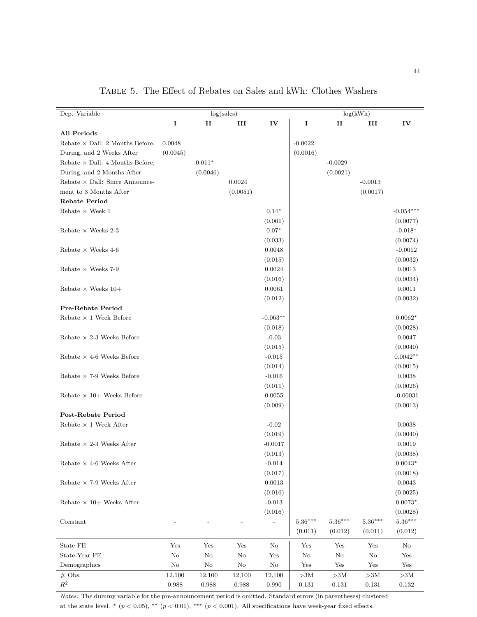| Dep. Variable                          |          |          | log(sales)  |                   |                  |                       | log(kWh)         |                       |
|----------------------------------------|----------|----------|-------------|-------------------|------------------|-----------------------|------------------|-----------------------|
|                                        | I        | п        | III         | IV                | 1                | $\mathbf{H}$          | III              | IV                    |
| All Periods                            |          |          |             |                   |                  |                       |                  |                       |
| Rebate $\times$ Dall: 2 Months Before, | 0.0048   |          |             |                   | $-0.0022$        |                       |                  |                       |
| During, and 2 Weeks After              | (0.0045) |          |             |                   | (0.0016)         |                       |                  |                       |
| Rebate $\times$ Dall: 4 Months Before, |          | $0.011*$ |             |                   |                  | $-0.0029$             |                  |                       |
| During, and 2 Months After             |          | (0.0046) |             |                   |                  | (0.0021)              |                  |                       |
| Rebate $\times$ Dall: Since Announce-  |          |          | 0.0024      |                   |                  |                       | $-0.0013$        |                       |
| ment to 3 Months After                 |          |          | (0.0051)    |                   |                  |                       | (0.0017)         |                       |
| <b>Rebate Period</b>                   |          |          |             |                   |                  |                       |                  |                       |
| Rebate $\times$ Week 1                 |          |          |             | $0.14*$           |                  |                       |                  | $-0.054***$           |
|                                        |          |          |             | (0.061)           |                  |                       |                  | (0.0077)              |
| Rebate $\times$ Weeks 2-3              |          |          |             | $0.07*$           |                  |                       |                  | $-0.018*$             |
|                                        |          |          |             | (0.033)           |                  |                       |                  | (0.0074)              |
|                                        |          |          |             |                   |                  |                       |                  |                       |
| Rebate $\times$ Weeks 4-6              |          |          |             | 0.0048            |                  |                       |                  | $-0.0012$             |
|                                        |          |          |             | (0.015)           |                  |                       |                  | (0.0032)              |
| Rebate $\times$ Weeks 7-9              |          |          |             | 0.0024            |                  |                       |                  | 0.0013                |
|                                        |          |          |             | (0.016)           |                  |                       |                  | (0.0034)              |
| Rebate $\times$ Weeks 10+              |          |          |             | 0.0061            |                  |                       |                  | 0.0011                |
|                                        |          |          |             | (0.012)           |                  |                       |                  | (0.0032)              |
| Pre-Rebate Period                      |          |          |             |                   |                  |                       |                  |                       |
| Rebate $\times$ 1 Week Before          |          |          |             | $-0.063**$        |                  |                       |                  | $0.0062*$             |
|                                        |          |          |             | (0.018)           |                  |                       |                  | (0.0028)              |
| Rebate $\times$ 2-3 Weeks Before       |          |          |             | $-0.03$           |                  |                       |                  | 0.0047                |
|                                        |          |          |             | (0.015)           |                  |                       |                  | (0.0040)              |
| Rebate $\times$ 4-6 Weeks Before       |          |          |             | $-0.015$          |                  |                       |                  | $0.0042**$            |
|                                        |          |          |             | (0.014)           |                  |                       |                  | (0.0015)              |
| Rebate $\times$ 7-9 Weeks Before       |          |          |             | $-0.016$          |                  |                       |                  | 0.0038                |
|                                        |          |          |             | (0.011)           |                  |                       |                  | (0.0026)              |
| Rebate $\times$ 10+ Weeks Before       |          |          |             | 0.0055            |                  |                       |                  | $-0.00031$            |
|                                        |          |          |             | (0.009)           |                  |                       |                  | (0.0013)              |
| <b>Post-Rebate Period</b>              |          |          |             |                   |                  |                       |                  |                       |
| Rebate $\times$ 1 Week After           |          |          |             | $-0.02$           |                  |                       |                  | 0.0038                |
|                                        |          |          |             | (0.019)           |                  |                       |                  | (0.0040)              |
| Rebate $\times$ 2-3 Weeks After        |          |          |             | $-0.0017$         |                  |                       |                  | 0.0019                |
|                                        |          |          |             | (0.013)           |                  |                       |                  | (0.0038)              |
| Rebate $\times$ 4-6 Weeks After        |          |          |             | $-0.014$          |                  |                       |                  | $0.0043*$             |
|                                        |          |          |             | (0.017)           |                  |                       |                  | (0.0018)              |
| Rebate $\times$ 7-9 Weeks After        |          |          |             | $\,0.0013\,$      |                  |                       |                  | $\,0.0043\,$          |
|                                        |          |          |             | (0.016)           |                  |                       |                  | (0.0025)              |
| Rebate $\times$ 10+ Weeks After        |          |          |             | $-0.013$          |                  |                       |                  |                       |
|                                        |          |          |             |                   |                  |                       |                  | $0.0073*$<br>(0.0028) |
|                                        |          |          |             | (0.016)           |                  |                       |                  |                       |
| Constant                               |          |          |             | $\qquad \qquad -$ | $5.36***$        | $5.36^{\ast\ast\ast}$ | $5.36***$        | $5.36***$             |
|                                        |          |          |             |                   | (0.011)          | (0.012)               | (0.011)          | (0.012)               |
| State FE                               | Yes      | Yes      | Yes         | $\rm No$          | Yes              | Yes                   | Yes              | No                    |
| State-Year FE                          | $\rm No$ | No       | $\rm No$    | Yes               | No               | $\rm No$              | $\rm No$         | ${\rm Yes}$           |
| Demographics                           | $\rm No$ | $\rm No$ | $\rm No$    | $\rm No$          | Yes              | Yes                   | Yes              | ${\rm Yes}$           |
| $#$ Obs.                               | 12,100   | 12,100   | 12,100      | 12,100            | ${>}3\mathrm{M}$ | ${>}3\mathrm{M}$      | ${>}3\mathrm{M}$ | ${>}3\mathrm{M}$      |
| $\mathbb{R}^2$                         | 0.988    | 0.988    | $\,0.988\,$ | $0.990\,$         | 0.131            | 0.131                 | 0.131            | $\rm 0.132$           |

Table 5. The Effect of Rebates on Sales and kWh: Clothes Washers

*Notes:* The dummy variable for the pre-announcement period is omitted. Standard errors (in parentheses) clustered at the state level.  $*(p < 0.05), ** (p < 0.01), ** (p < 0.001)$ . All specifications have week-year fixed effects.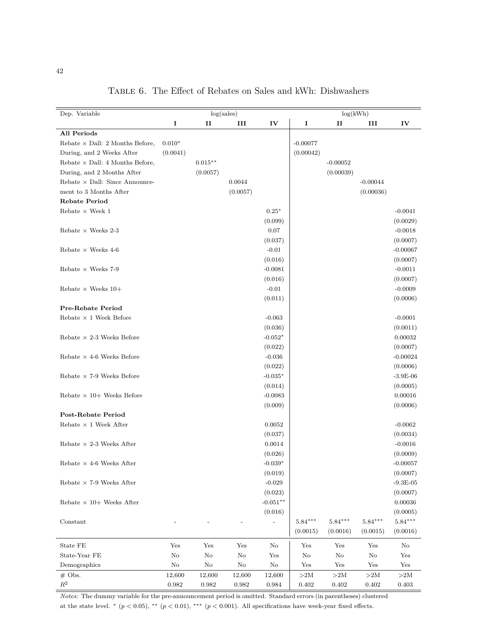| Dep. Variable                          |                |             | log(sales)  |                |                  | log(kWh)         |            |               |
|----------------------------------------|----------------|-------------|-------------|----------------|------------------|------------------|------------|---------------|
|                                        | $\bf I$        | п           | III         | IV             | 1                | $\mathbf{I}$     | III        | IV            |
| All Periods                            |                |             |             |                |                  |                  |            |               |
| Rebate $\times$ Dall: 2 Months Before, | $0.010^{\ast}$ |             |             |                | $-0.00077$       |                  |            |               |
| During, and 2 Weeks After              | (0.0041)       |             |             |                | (0.00042)        |                  |            |               |
| Rebate $\times$ Dall: 4 Months Before, |                | $0.015***$  |             |                |                  | $-0.00052$       |            |               |
| During, and 2 Months After             |                | (0.0057)    |             |                |                  | (0.00039)        |            |               |
| Rebate $\times$ Dall: Since Announce-  |                |             | 0.0044      |                |                  |                  | $-0.00044$ |               |
| ment to 3 Months After                 |                |             | (0.0057)    |                |                  |                  | (0.00036)  |               |
| <b>Rebate Period</b>                   |                |             |             |                |                  |                  |            |               |
| Rebate $\times$ Week 1                 |                |             |             | $0.25*$        |                  |                  |            | $-0.0041$     |
|                                        |                |             |             | (0.099)        |                  |                  |            | (0.0029)      |
| Rebate $\times$ Weeks 2-3              |                |             |             | 0.07           |                  |                  |            | $-0.0018$     |
|                                        |                |             |             | (0.037)        |                  |                  |            | (0.0007)      |
| Rebate $\times$ Weeks 4-6              |                |             |             | $-0.01$        |                  |                  |            | $-0.00067$    |
|                                        |                |             |             | (0.016)        |                  |                  |            |               |
|                                        |                |             |             |                |                  |                  |            | (0.0007)      |
| Rebate $\times$ Weeks 7-9              |                |             |             | $-0.0081$      |                  |                  |            | $-0.0011$     |
|                                        |                |             |             | (0.016)        |                  |                  |            | (0.0007)      |
| Rebate $\times$ Weeks 10+              |                |             |             | $-0.01$        |                  |                  |            | $-0.0009$     |
|                                        |                |             |             | (0.011)        |                  |                  |            | (0.0006)      |
| <b>Pre-Rebate Period</b>               |                |             |             |                |                  |                  |            |               |
| Rebate $\times$ 1 Week Before          |                |             |             | $-0.063$       |                  |                  |            | $-0.0001$     |
|                                        |                |             |             | (0.036)        |                  |                  |            | (0.0011)      |
| Rebate $\times$ 2-3 Weeks Before       |                |             |             | $-0.052*$      |                  |                  |            | 0.00032       |
|                                        |                |             |             | (0.022)        |                  |                  |            | (0.0007)      |
| Rebate $\times$ 4-6 Weeks Before       |                |             |             | $-0.036$       |                  |                  |            | $-0.00024$    |
|                                        |                |             |             | (0.022)        |                  |                  |            | (0.0006)      |
| Rebate $\times$ 7-9 Weeks Before       |                |             |             | $-0.035*$      |                  |                  |            | $-3.9E-06$    |
|                                        |                |             |             | (0.014)        |                  |                  |            | (0.0005)      |
| Rebate $\times$ 10+ Weeks Before       |                |             |             | $-0.0083$      |                  |                  |            | 0.00016       |
|                                        |                |             |             | (0.009)        |                  |                  |            | (0.0006)      |
| <b>Post-Rebate Period</b>              |                |             |             |                |                  |                  |            |               |
| Rebate $\times$ 1 Week After           |                |             |             | 0.0052         |                  |                  |            | $-0.0062$     |
|                                        |                |             |             | (0.037)        |                  |                  |            | (0.0034)      |
| Rebate $\times$ 2-3 Weeks After        |                |             |             | 0.0014         |                  |                  |            | $-0.0016$     |
|                                        |                |             |             | (0.026)        |                  |                  |            | (0.0009)      |
| Rebate $\times$ 4-6 Weeks After        |                |             |             | $-0.039*$      |                  |                  |            | $-0.00057$    |
|                                        |                |             |             | (0.019)        |                  |                  |            | (0.0007)      |
| Rebate $\times$ 7-9 Weeks After        |                |             |             | $-0.029$       |                  |                  |            | $-9.3E-05$    |
|                                        |                |             |             | (0.023)        |                  |                  |            | (0.0007)      |
| Rebate $\times$ 10+ Weeks After        |                |             |             | $-0.051**$     |                  |                  |            | 0.00036       |
|                                        |                |             |             | (0.016)        |                  |                  |            | (0.0005)      |
| Constant                               |                |             |             | $\overline{a}$ | $5.84***$        | $5.84***$        | $5.84***$  | $5.84***$     |
|                                        |                |             |             |                | (0.0015)         | (0.0016)         | (0.0015)   | (0.0016)      |
|                                        |                |             |             |                |                  |                  |            |               |
| State FE<br>State-Year FE              | Yes            | Yes         | Yes         | $\rm No$       | Yes              | Yes              | Yes        | No            |
|                                        | $\rm No$       | $\rm No$    | $\rm No$    | Yes            | $\rm No$         | $\rm No$         | $\rm No$   | Yes           |
| Demographics                           | $\rm No$       | $\rm No$    | $\rm No$    | $\rm No$       | Yes              | Yes              | Yes        | Yes           |
| $#$ Obs.<br>$\mathbb{R}^2$             | 12,600         | 12,600      | 12,600      | 12,600         | ${>}2\mathrm{M}$ | ${>}2\mathrm{M}$ | >2M        | ${>}2{\rm M}$ |
|                                        | $\,0.982\,$    | $\,0.982\,$ | $\,0.982\,$ | $\,0.984\,$    | $0.402\,$        | $\,0.402\,$      | $0.402\,$  | 0.403         |

Table 6. The Effect of Rebates on Sales and kWh: Dishwashers

*Notes:* The dummy variable for the pre-announcement period is omitted. Standard errors (in parentheses) clustered at the state level.  $*(p < 0.05)$ ,  $** (p < 0.01)$ ,  $*** (p < 0.001)$ . All specifications have week-year fixed effects.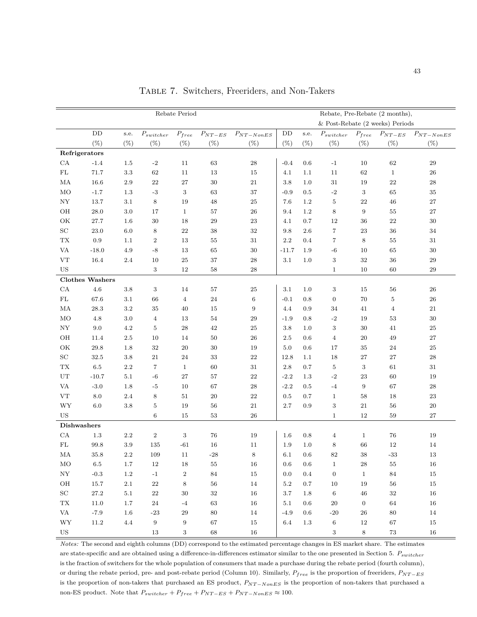|                                 |                        |             |                                    | Rebate Period                   |                       |                                    |                       |                 |                          |                  | Rebate, Pre-Rebate (2 months),<br>& Post-Rebate (2 weeks) Periods |                                  |
|---------------------------------|------------------------|-------------|------------------------------------|---------------------------------|-----------------------|------------------------------------|-----------------------|-----------------|--------------------------|------------------|-------------------------------------------------------------------|----------------------------------|
|                                 | $\rm{DD}$<br>$(\%)$    | s.e.<br>(%) | $\mathcal{P}_{switcher}$<br>$(\%)$ | $\mathcal{P}_{free}$<br>$(\% )$ | $P_{NT-ES}$<br>$(\%)$ | $\mathcal{P}_{NT-NonES}$<br>$(\%)$ | $\mathrm{DD}$<br>(% ) | s.e.<br>$(\% )$ | $P_{switcher}$<br>$(\%)$ | $(\%)$           | $P_{free}$ $P_{NT-ES}$<br>$(\%)$                                  | $\mathcal{P}_{NT-NonES}$<br>(% ) |
|                                 | Refrigerators          |             |                                    |                                 |                       |                                    |                       |                 |                          |                  |                                                                   |                                  |
| ${\rm CA}$                      | $-1.4$                 | 1.5         | $-2$                               | 11                              | 63                    | 28                                 | $-0.4$                | 0.6             | $-1$                     | 10               | 62                                                                | $\,29$                           |
| ${\rm FL}$                      | 71.7                   | 3.3         | 62                                 | 11                              | 13                    | 15                                 | 4.1                   | 1.1             | 11                       | 62               | $\mathbf{1}$                                                      | $26\,$                           |
| MA                              | 16.6                   | 2.9         | 22                                 | 27                              | $30\,$                | 21                                 | 3.8                   | 1.0             | 31                       | 19               | 22                                                                | $\bf 28$                         |
| <b>MO</b>                       | $-1.7$                 | 1.3         | $^{\rm -3}$                        | 3                               | 63                    | 37                                 | $-0.9$                | 0.5             | $-2$                     | 3                | 65                                                                | 35                               |
| NY                              | 13.7                   | 3.1         | 8                                  | 19                              | 48                    | 25                                 | 7.6                   | 1.2             | $\overline{5}$           | 22               | 46                                                                | $27\,$                           |
| OH                              | 28.0                   | 3.0         | 17                                 | $\mathbf{1}$                    | 57                    | 26                                 | 9.4                   | 1.2             | $\,8\,$                  | 9                | 55                                                                | $27\,$                           |
| $\mathrm{OK}$                   | 27.7                   | 1.6         | $30\,$                             | 18                              | 29                    | 23                                 | 4.1                   | 0.7             | 12                       | 36               | 22                                                                | $30\,$                           |
| $\operatorname{SC}$             | 23.0                   | 6.0         | 8                                  | 22                              | 38                    | 32                                 | 9.8                   | 2.6             | $\overline{7}$           | 23               | 36                                                                | 34                               |
| $\mathcal{T}\mathcal{X}$        | 0.9                    | 1.1         | $\boldsymbol{2}$                   | 13                              | 55                    | $31\,$                             | 2.2                   | 0.4             | 7                        | 8                | 55                                                                | 31                               |
| <b>VA</b>                       | $-18.0$                | 4.9         | $\text{-}8$                        | 13                              | 65                    | $30\,$                             | $-11.7$               | 1.9             | $-6\phantom{1}$          | 10               | 65                                                                | 30                               |
| VT                              | 16.4                   | $2.4\,$     | 10                                 | 25                              | 37                    | 28                                 | 3.1                   | 1.0             | $\,3$                    | 32               | 36                                                                | $\,29$                           |
| <b>US</b>                       |                        |             | 3                                  | $12\,$                          | $58\,$                | $\sqrt{28}$                        |                       |                 | $\mathbf{1}$             | 10               | 60                                                                | $\,29$                           |
|                                 | <b>Clothes Washers</b> |             |                                    |                                 |                       |                                    |                       |                 |                          |                  |                                                                   |                                  |
| ${\rm CA}$                      | $4.6\,$                | $3.8\,$     | $\,3$                              | 14                              | 57                    | $25\,$                             | 3.1                   | $1.0\,$         | $\,3$                    | 15               | 56                                                                | ${\bf 26}$                       |
| $\rm FL$                        | 67.6                   | 3.1         | 66                                 | $\overline{4}$                  | 24                    | 6                                  | $-0.1$                | $0.8\,$         | $\boldsymbol{0}$         | 70               | 5                                                                 | ${\bf 26}$                       |
| $\rm MA$                        | 28.3                   | 3.2         | $35\,$                             | 40                              | 15                    | 9                                  | 4.4                   | 0.9             | 34                       | 41               | $\overline{4}$                                                    | $21\,$                           |
| MO                              | 4.8                    | 3.0         | $\overline{4}$                     | 13                              | 54                    | 29                                 | $-1.9$                | $0.8\,$         | $-2$                     | 19               | 53                                                                | 30                               |
| ${\rm NY}$                      | 9.0                    | 4.2         | $\bf 5$                            | 28                              | 42                    | 25                                 | $3.8\,$               | 1.0             | 3                        | 30               | 41                                                                | $25\,$                           |
| OH                              | 11.4                   | 2.5         | 10                                 | 14                              | 50                    | 26                                 | 2.5                   | 0.6             | $\overline{4}$           | $20\,$           | 49                                                                | 27                               |
| OK                              | 29.8                   | 1.8         | $32\,$                             | 20                              | 30                    | 19                                 | 5.0                   | 0.6             | 17                       | $35\,$           | 24                                                                | 25                               |
| $\operatorname{SC}$             | 32.5                   | $3.8\,$     | 21                                 | 24                              | 33                    | 22                                 | 12.8                  | 1.1             | 18                       | $27\,$           | 27                                                                | 28                               |
| $\mathcal{T}\mathcal{X}$        | $6.5\,$                | 2.2         | $\overline{7}$                     | $\mathbf{1}$                    | 60                    | $31\,$                             | 2.8                   | 0.7             | $\bf 5$                  | $\sqrt{3}$       | 61                                                                | 31                               |
| UT                              | $-10.7$                | 5.1         | $^{\rm -6}$                        | 27                              | 57                    | $\bf{22}$                          | $-2.2$                | 1.3             | $-2$                     | 23               | 60                                                                | 19                               |
| <b>VA</b>                       | $-3.0$                 | 1.8         | $-5$                               | 10                              | 67                    | $\,28$                             | $-2.2$                | 0.5             | $-4$                     | $\overline{9}$   | 67                                                                | $\,28$                           |
| ${\rm VT}$                      | 8.0                    | $2.4\,$     | 8                                  | $51\,$                          | 20                    | 22                                 | $0.5\,$               | 0.7             | $\mathbf{1}$             | 58               | 18                                                                | 23                               |
| <b>WY</b>                       | 6.0                    | $3.8\,$     | $\bf 5$                            | 19                              | 56                    | 21                                 | 2.7                   | 0.9             | $\,3$                    | $21\,$           | 56                                                                | $20\,$                           |
| US                              |                        |             | 6                                  | 15                              | 53                    | 26                                 |                       |                 | $\mathbf{1}$             | 12               | 59                                                                | 27                               |
| <b>Dishwashers</b>              |                        |             |                                    |                                 |                       |                                    |                       |                 |                          |                  |                                                                   |                                  |
| CA                              | 1.3                    | $2.2\,$     | $\boldsymbol{2}$                   | 3                               | 76                    | 19                                 | 1.6                   | 0.8             | $\overline{4}$           | $\mathbf{1}$     | 76                                                                | 19                               |
| FL                              | 99.8                   | $3.9\,$     | 135                                | -61                             | 16                    | 11                                 | $1.9\,$               | 1.0             | 8                        | 66               | 12                                                                | 14                               |
| MA                              | $35.8\,$               | $2.2\,$     | $109\,$                            | $11\,$                          | $\mbox{-} 28$         | 8                                  | $6.1\,$               | $0.6\,$         | $82\,$                   | $38\,$           | $\mbox{-}33$                                                      | $13\,$                           |
| $_{\rm MO}$                     | $6.5\,$                | $1.7\,$     | 12                                 | $18\,$                          | $55\,$                | $16\,$                             | 0.6                   | 0.6             | $\mathbf{1}$             | $\bf 28$         | $55\,$                                                            | $16\,$                           |
| ${\rm NY}$                      | $-0.3$                 | $1.2\,$     | $-1$                               | $\,2$                           | $\bf 84$              | 15                                 | 0.0                   | 0.4             | $\boldsymbol{0}$         | $\mathbf{1}$     | $\rm 84$                                                          | 15                               |
| $\rm OH$                        | $15.7\,$               | $2.1\,$     | $22\,$                             | 8                               | $56\,$                | 14                                 | $5.2\,$               | 0.7             | $10\,$                   | 19               | $56\,$                                                            | 15                               |
| $\operatorname{SC}$             | $27.2\,$               | $5.1\,$     | $22\,$                             | 30                              | $32\,$                | 16                                 | 3.7                   | 1.8             | $\,6\,$                  | $\sqrt{46}$      | $32\,$                                                            | 16                               |
| ${\rm TX}$                      | 11.0                   | 1.7         | $\bf 24$                           | $-4$                            | 63                    | 16                                 | 5.1                   | 0.6             | 20                       | $\boldsymbol{0}$ | 64                                                                | 16                               |
| $\ensuremath{\text{VA}}\xspace$ | $-7.9$                 | $1.6\,$     | $\mbox{-} 23$                      | $\,29$                          | $80\,$                | $14\,$                             | $-4.9$                | 0.6             | $-20$                    | $26\,$           | 80                                                                | $14\,$                           |
| $\ensuremath{\text{WY}}$        | $11.2\,$               | $4.4\,$     | $\boldsymbol{9}$                   | $\boldsymbol{9}$                | 67                    | $15\,$                             | 6.4                   | $1.3\,$         | $\,6\,$                  | $12\,$           | $67\,$                                                            | $15\,$                           |
| $_{\rm US}$                     |                        |             | $13\,$                             | $\,3$                           | $68\,$                | $16\,$                             |                       |                 | $\sqrt{3}$               | $\,8\,$          | $73\,$                                                            | $16\,$                           |

Table 7. Switchers, Freeriders, and Non-Takers

*Notes:* The second and eighth columns (DD) correspond to the estimated percentage changes in ES market share. The estimates are state-specific and are obtained using a difference-in-differences estimator similar to the one presented in Section 5. *Pswitcher* is the fraction of switchers for the whole population of consumers that made a purchase during the rebate period (fourth column), or during the rebate period, pre- and post-rebate period (Column 10). Similarly, *Pfree* is the proportion of freeriders, *PNT* <sup>−</sup>*ES* is the proportion of non-takers that purchased an ES product, *PNT* <sup>−</sup>*NonES* is the proportion of non-takers that purchased a non-ES product. Note that  $P_{switcher} + P_{free} + P_{NT-ES} + P_{NT-NonES} \approx 100$ .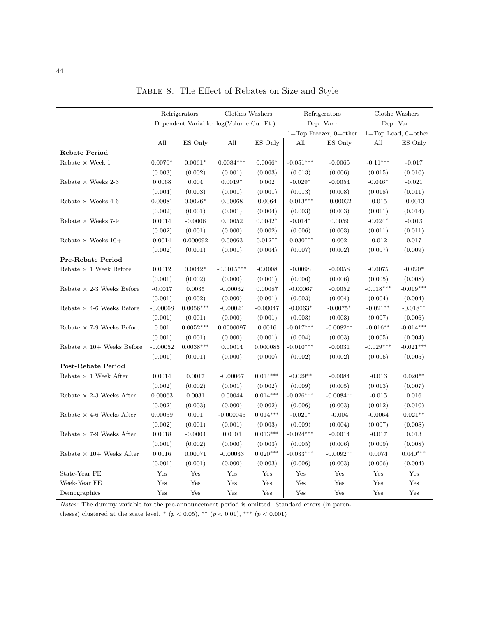|                                  |            | Refrigerators                           | Clothes Washers |            |             | Refrigerators                  |                      | Clothe Washers              |
|----------------------------------|------------|-----------------------------------------|-----------------|------------|-------------|--------------------------------|----------------------|-----------------------------|
|                                  |            | Dependent Variable: log(Volume Cu. Ft.) |                 |            |             | Dep. Var.:                     |                      | Dep. Var.:                  |
|                                  |            |                                         |                 |            |             | $1 = Top$ Freezer, $0 = other$ |                      | $1 = Top$ Load, $0 = other$ |
|                                  | All        | ES Only                                 | All             | ES Only    | All         | ES Only                        | All                  | ES Only                     |
| <b>Rebate Period</b>             |            |                                         |                 |            |             |                                |                      |                             |
| Rebate $\times$ Week 1           | $0.0076*$  | $0.0061*$                               | $0.0084***$     | $0.0066*$  | $-0.051***$ | $-0.0065$                      | $-0.11***$           | $-0.017$                    |
|                                  | (0.003)    | (0.002)                                 | (0.001)         | (0.003)    | (0.013)     | (0.006)                        | (0.015)              | (0.010)                     |
| Rebate $\times$ Weeks 2-3        | 0.0068     | 0.004                                   | $0.0019*$       | 0.002      | $-0.029*$   | $-0.0054$                      | $-0.046*$            | $-0.021$                    |
|                                  | (0.004)    | (0.003)                                 | (0.001)         | (0.001)    | (0.013)     | (0.008)                        | (0.018)              | (0.011)                     |
| Rebate $\times$ Weeks 4-6        | 0.00081    | $0.0026*$                               | 0.00068         | 0.0064     | $-0.013***$ | $-0.00032$                     | $-0.015$             | $-0.0013$                   |
|                                  | (0.002)    | (0.001)                                 | (0.001)         | (0.004)    | (0.003)     | (0.003)                        | (0.011)              | (0.014)                     |
| Rebate $\times$ Weeks 7-9        | 0.0014     | $-0.0006$                               | 0.00052         | $0.0042*$  | $-0.014*$   | 0.0059                         | $-0.024*$            | $-0.013$                    |
|                                  | (0.002)    | (0.001)                                 | (0.000)         | (0.002)    | (0.006)     | (0.003)                        | (0.011)              | (0.011)                     |
| Rebate $\times$ Weeks 10+        | 0.0014     | 0.000092                                | 0.00063         | $0.012**$  | $-0.030***$ | 0.002                          | $-0.012$             | 0.017                       |
|                                  | (0.002)    | (0.001)                                 | (0.001)         | (0.004)    | (0.007)     | (0.002)                        | (0.007)              | (0.009)                     |
| <b>Pre-Rebate Period</b>         |            |                                         |                 |            |             |                                |                      |                             |
| Rebate $\times$ 1 Week Before    | 0.0012     | $0.0042*$                               | $-0.0015***$    | $-0.0008$  | $-0.0098$   | $-0.0058$                      | $-0.0075$            | $-0.020*$                   |
|                                  | (0.001)    | (0.002)                                 | (0.000)         | (0.001)    | (0.006)     | (0.006)                        | (0.005)              | (0.008)                     |
| Rebate $\times$ 2-3 Weeks Before | $-0.0017$  | 0.0035                                  | $-0.00032$      | 0.00087    | $-0.00067$  | $-0.0052$                      | $-0.018***$          | $-0.019***$                 |
|                                  | (0.001)    | (0.002)                                 | (0.000)         | (0.001)    | (0.003)     | (0.004)                        | (0.004)              | (0.004)                     |
| Rebate $\times$ 4-6 Weeks Before | $-0.00068$ | $0.0056***$                             | $-0.00024$      | $-0.00047$ | $-0.0063*$  | $-0.0075*$                     | $-0.021**$           | $-0.018**$                  |
|                                  | (0.001)    | (0.001)                                 | (0.000)         | (0.001)    | (0.003)     | (0.003)                        | (0.007)              | (0.006)                     |
| Rebate $\times$ 7-9 Weeks Before | 0.001      | $0.0052***$                             | 0.0000097       | 0.0016     | $-0.017***$ | $-0.0082**$                    | $-0.016**$           | $-0.014***$                 |
|                                  | (0.001)    | (0.001)                                 | (0.000)         | (0.001)    | (0.004)     | (0.003)                        | (0.005)              | (0.004)                     |
| Rebate $\times$ 10+ Weeks Before | $-0.00052$ | $0.0038***$                             | 0.00014         | 0.000085   | $-0.010***$ | $-0.0031$                      | $-0.029***$          | $-0.021***$                 |
|                                  | (0.001)    | (0.001)                                 | (0.000)         | (0.000)    | (0.002)     | (0.002)                        | (0.006)              | (0.005)                     |
| Post-Rebate Period               |            |                                         |                 |            |             |                                |                      |                             |
| Rebate $\times$ 1 Week After     | 0.0014     | 0.0017                                  | $-0.00067$      | $0.014***$ | $-0.029**$  | $-0.0084$                      | $-0.016$             | $0.020**$                   |
|                                  | (0.002)    | (0.002)                                 | (0.001)         | (0.002)    | (0.009)     | (0.005)                        | (0.013)              | (0.007)                     |
| Rebate $\times$ 2-3 Weeks After  | 0.00063    | 0.0031                                  | 0.00044         | $0.014***$ | $-0.026***$ | $-0.0084**$                    | $-0.015$             | 0.016                       |
|                                  | (0.002)    | (0.003)                                 | (0.000)         | (0.002)    | (0.006)     | (0.003)                        | (0.012)              | (0.010)                     |
| Rebate $\times$ 4-6 Weeks After  | 0.00069    | 0.001                                   | $-0.000046$     | $0.014***$ | $-0.021*$   | $-0.004$                       | $-0.0064$            | $0.021**$                   |
|                                  | (0.002)    | (0.001)                                 | (0.001)         | (0.003)    | (0.009)     | (0.004)                        | (0.007)              | (0.008)                     |
| Rebate $\times$ 7-9 Weeks After  | 0.0018     | $-0.0004$                               | 0.0004          | $0.013***$ | $-0.024***$ | $-0.0014$                      | $-0.017$             | 0.013                       |
|                                  | (0.001)    | (0.002)                                 | (0.000)         | (0.003)    | (0.005)     | (0.006)                        | (0.009)              | (0.008)                     |
| Rebate $\times$ 10+ Weeks After  | 0.0016     | 0.00071                                 | $-0.00033$      | $0.020***$ | $-0.033***$ | $-0.0092**$                    | 0.0074               | $0.040***$                  |
|                                  | (0.001)    | (0.001)                                 | (0.000)         | (0.003)    | (0.006)     | (0.003)                        | (0.006)              | (0.004)                     |
| State-Year FE                    | Yes        | $\operatorname{Yes}$                    | Yes             | Yes        | Yes         | Yes                            | $\operatorname{Yes}$ | Yes                         |
| Week-Year FE                     | Yes        | Yes                                     | Yes             | Yes        | Yes         | Yes                            | Yes                  | Yes                         |
| Demographics                     | Yes        | Yes                                     | Yes             | Yes        | Yes         | Yes                            | Yes                  | Yes                         |

TABLE 8. The Effect of Rebates on Size and Style

*Notes:* The dummy variable for the pre-announcement period is omitted. Standard errors (in paren-

theses) clustered at the state level. \*  $(p < 0.05)$ , \*\*  $(p < 0.01)$ , \*\*\*  $(p < 0.001)$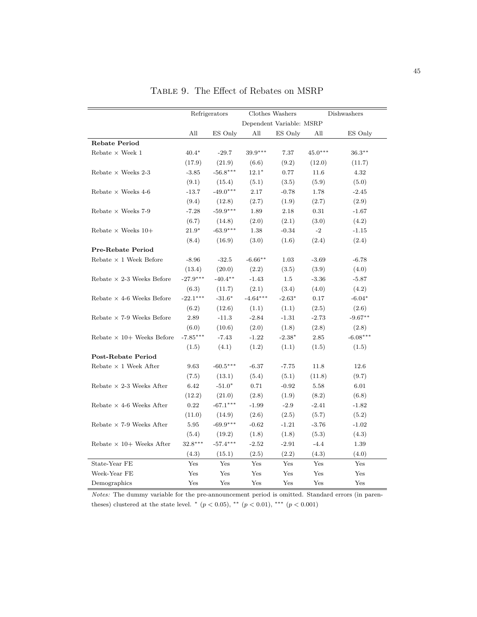|                                  |            | Refrigerators |            | Clothes Washers          |           | Dishwashers |
|----------------------------------|------------|---------------|------------|--------------------------|-----------|-------------|
|                                  |            |               |            | Dependent Variable: MSRP |           |             |
|                                  | All        | ES Only       | All        | ES Only                  | All       | ES Only     |
| <b>Rebate Period</b>             |            |               |            |                          |           |             |
| Rebate $\times$ Week 1           | $40.4*$    | $-29.7$       | $39.9***$  | 7.37                     | $45.0***$ | $36.3***$   |
|                                  | (17.9)     | (21.9)        | (6.6)      | (9.2)                    | (12.0)    | (11.7)      |
| Rebate $\times$ Weeks 2-3        | $-3.85$    | $-56.8***$    | $12.1*$    | 0.77                     | 11.6      | 4.32        |
|                                  | (9.1)      | (15.4)        | (5.1)      | (3.5)                    | (5.9)     | (5.0)       |
| Rebate $\times$ Weeks 4-6        | $-13.7$    | $-49.0***$    | 2.17       | $-0.78$                  | 1.78      | $-2.45$     |
|                                  | (9.4)      | (12.8)        | (2.7)      | (1.9)                    | (2.7)     | (2.9)       |
| Rebate $\times$ Weeks 7-9        | $-7.28$    | $-59.9***$    | 1.89       | 2.18                     | 0.31      | $-1.67$     |
|                                  | (6.7)      | (14.8)        | (2.0)      | (2.1)                    | (3.0)     | (4.2)       |
| Rebate $\times$ Weeks 10+        | $21.9*$    | $-63.9***$    | 1.38       | $-0.34$                  | $-2$      | $-1.15$     |
|                                  | (8.4)      | (16.9)        | (3.0)      | (1.6)                    | (2.4)     | (2.4)       |
| <b>Pre-Rebate Period</b>         |            |               |            |                          |           |             |
| Rebate $\times$ 1 Week Before    | $-8.96$    | $-32.5$       | $-6.66**$  | 1.03                     | $-3.69$   | $-6.78$     |
|                                  | (13.4)     | (20.0)        | (2.2)      | (3.5)                    | (3.9)     | (4.0)       |
| Rebate $\times$ 2-3 Weeks Before | $-27.9***$ | $-40.4**$     | $-1.43$    | 1.5                      | $-3.36$   | $-5.87$     |
|                                  | (6.3)      | (11.7)        | (2.1)      | (3.4)                    | (4.0)     | (4.2)       |
| Rebate $\times$ 4-6 Weeks Before | $-22.1***$ | $-31.6*$      | $-4.64***$ | $-2.63*$                 | 0.17      | $-6.04*$    |
|                                  | (6.2)      | (12.6)        | (1.1)      | (1.1)                    | (2.5)     | (2.6)       |
| Rebate $\times$ 7-9 Weeks Before | 2.89       | $-11.3$       | $-2.84$    | $-1.31$                  | $-2.73$   | $-9.67**$   |
|                                  | (6.0)      | (10.6)        | (2.0)      | (1.8)                    | (2.8)     | (2.8)       |
| Rebate $\times$ 10+ Weeks Before | $-7.85***$ | $-7.43$       | $-1.22$    | $-2.38*$                 | 2.85      | $-6.08***$  |
|                                  | (1.5)      | (4.1)         | (1.2)      | (1.1)                    | (1.5)     | (1.5)       |
| Post-Rebate Period               |            |               |            |                          |           |             |
| Rebate $\times$ 1 Week After     | 9.63       | $-60.5***$    | $-6.37$    | $-7.75$                  | 11.8      | 12.6        |
|                                  | (7.5)      | (13.1)        | (5.4)      | (5.1)                    | (11.8)    | (9.7)       |
| Rebate $\times$ 2-3 Weeks After  | 6.42       | $-51.0*$      | 0.71       | $-0.92$                  | 5.58      | 6.01        |
|                                  | (12.2)     | (21.0)        | (2.8)      | (1.9)                    | (8.2)     | (6.8)       |
| Rebate $\times$ 4-6 Weeks After  | 0.22       | $-67.1***$    | $-1.99$    | $-2.9$                   | $-2.41$   | $-1.82$     |
|                                  | (11.0)     | (14.9)        | (2.6)      | (2.5)                    | (5.7)     | (5.2)       |
| Rebate $\times$ 7-9 Weeks After  | 5.95       | $-69.9***$    | $-0.62$    | $-1.21$                  | $-3.76$   | $-1.02$     |
|                                  | (5.4)      | (19.2)        | (1.8)      | (1.8)                    | (5.3)     | (4.3)       |
| Rebate $\times$ 10+ Weeks After  | $32.8***$  | $-57.4***$    | $-2.52$    | $-2.91$                  | $-4.4$    | 1.39        |
|                                  | (4.3)      | (15.1)        | (2.5)      | (2.2)                    | (4.3)     | (4.0)       |
| State-Year FE                    | Yes        | Yes           | Yes        | Yes                      | Yes       | Yes         |
| Week-Year FE                     | Yes        | Yes           | Yes        | Yes                      | Yes       | Yes         |
| Demographics                     | Yes        | Yes           | Yes        | Yes                      | Yes       | Yes         |

Table 9. The Effect of Rebates on MSRP

*Notes:* The dummy variable for the pre-announcement period is omitted. Standard errors (in parentheses) clustered at the state level. \*  $(p < 0.05)$ , \*\*  $(p < 0.01)$ , \*\*\*  $(p < 0.001)$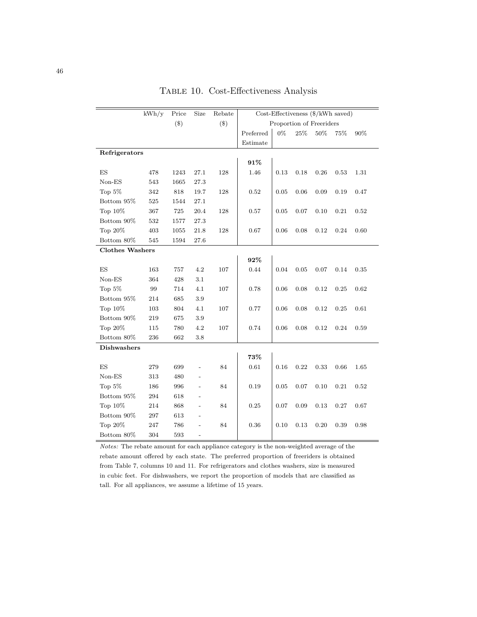|                        | kWh/y | Price  | Size                     | Rebate |           |      | Cost-Effectiveness (\$/kWh saved) |      |      |      |
|------------------------|-------|--------|--------------------------|--------|-----------|------|-----------------------------------|------|------|------|
|                        |       | $(\$)$ |                          | $(\$)$ |           |      | Proportion of Freeriders          |      |      |      |
|                        |       |        |                          |        | Preferred | 0%   | 25%                               | 50%  | 75%  | 90%  |
|                        |       |        |                          |        | Estimate  |      |                                   |      |      |      |
| Refrigerators          |       |        |                          |        |           |      |                                   |      |      |      |
|                        |       |        |                          |        | 91%       |      |                                   |      |      |      |
| ES                     | 478   | 1243   | 27.1                     | 128    | 1.46      | 0.13 | 0.18                              | 0.26 | 0.53 | 1.31 |
| Non-ES                 | 543   | 1665   | 27.3                     |        |           |      |                                   |      |      |      |
| Top 5%                 | 342   | 818    | 19.7                     | 128    | 0.52      | 0.05 | 0.06                              | 0.09 | 0.19 | 0.47 |
| Bottom 95%             | 525   | 1544   | 27.1                     |        |           |      |                                   |      |      |      |
| Top 10%                | 367   | 725    | 20.4                     | 128    | 0.57      | 0.05 | 0.07                              | 0.10 | 0.21 | 0.52 |
| Bottom 90%             | 532   | 1577   | 27.3                     |        |           |      |                                   |      |      |      |
| Top 20%                | 403   | 1055   | 21.8                     | 128    | 0.67      | 0.06 | 0.08                              | 0.12 | 0.24 | 0.60 |
| Bottom 80%             | 545   | 1594   | 27.6                     |        |           |      |                                   |      |      |      |
| <b>Clothes Washers</b> |       |        |                          |        |           |      |                                   |      |      |      |
|                        |       |        |                          |        | 92%       |      |                                   |      |      |      |
| ES                     | 163   | 757    | 4.2                      | 107    | 0.44      | 0.04 | 0.05                              | 0.07 | 0.14 | 0.35 |
| $Non-ES$               | 364   | 428    | 3.1                      |        |           |      |                                   |      |      |      |
| Top 5%                 | 99    | 714    | 4.1                      | 107    | 0.78      | 0.06 | 0.08                              | 0.12 | 0.25 | 0.62 |
| Bottom 95%             | 214   | 685    | 3.9                      |        |           |      |                                   |      |      |      |
| Top 10%                | 103   | 804    | 4.1                      | 107    | 0.77      | 0.06 | 0.08                              | 0.12 | 0.25 | 0.61 |
| Bottom 90%             | 219   | 675    | 3.9                      |        |           |      |                                   |      |      |      |
| Top 20%                | 115   | 780    | 4.2                      | 107    | 0.74      | 0.06 | 0.08                              | 0.12 | 0.24 | 0.59 |
| Bottom 80%             | 236   | 662    | 3.8                      |        |           |      |                                   |      |      |      |
| <b>Dishwashers</b>     |       |        |                          |        |           |      |                                   |      |      |      |
|                        |       |        |                          |        | $73\%$    |      |                                   |      |      |      |
| ES                     | 279   | 699    | $\overline{a}$           | 84     | 0.61      | 0.16 | 0.22                              | 0.33 | 0.66 | 1.65 |
| Non-ES                 | 313   | 480    | $\overline{\phantom{0}}$ |        |           |      |                                   |      |      |      |
| Top $5%$               | 186   | 996    | $\overline{a}$           | 84     | 0.19      | 0.05 | 0.07                              | 0.10 | 0.21 | 0.52 |
| Bottom 95%             | 294   | 618    |                          |        |           |      |                                   |      |      |      |
| Top 10%                | 214   | 868    | $\overline{a}$           | 84     | 0.25      | 0.07 | 0.09                              | 0.13 | 0.27 | 0.67 |
| Bottom 90%             | 297   | 613    | $\overline{a}$           |        |           |      |                                   |      |      |      |
| Top 20%                | 247   | 786    |                          | 84     | 0.36      | 0.10 | 0.13                              | 0.20 | 0.39 | 0.98 |
| Bottom 80\%            | 304   | 593    | $\overline{\phantom{0}}$ |        |           |      |                                   |      |      |      |

Table 10. Cost-Effectiveness Analysis

*Notes:* The rebate amount for each appliance category is the non-weighted average of the rebate amount offered by each state. The preferred proportion of freeriders is obtained from Table 7, columns 10 and 11. For refrigerators and clothes washers, size is measured in cubic feet. For dishwashers, we report the proportion of models that are classified as tall. For all appliances, we assume a lifetime of 15 years.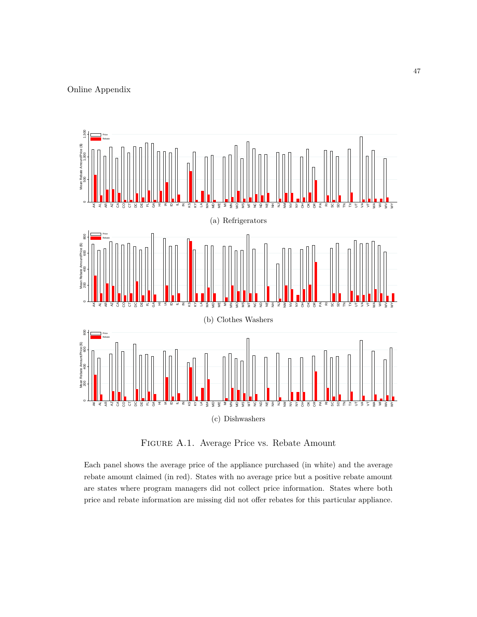

Figure A.1. Average Price vs. Rebate Amount

Each panel shows the average price of the appliance purchased (in white) and the average rebate amount claimed (in red). States with no average price but a positive rebate amount are states where program managers did not collect price information. States where both price and rebate information are missing did not offer rebates for this particular appliance.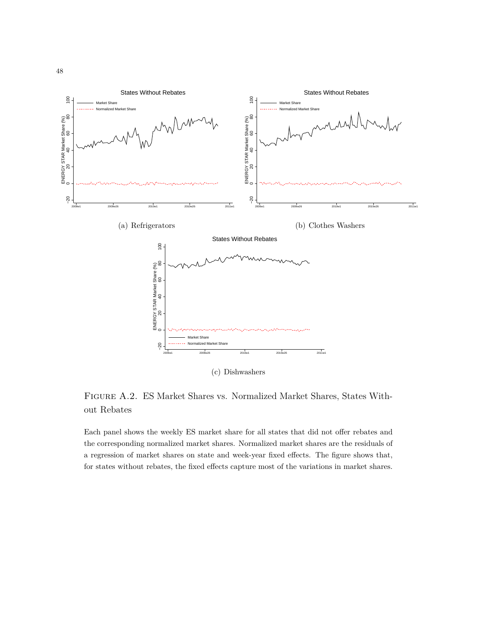

Figure A.2. ES Market Shares vs. Normalized Market Shares, States Without Rebates

Each panel shows the weekly ES market share for all states that did not offer rebates and the corresponding normalized market shares. Normalized market shares are the residuals of a regression of market shares on state and week-year fixed effects. The figure shows that, for states without rebates, the fixed effects capture most of the variations in market shares.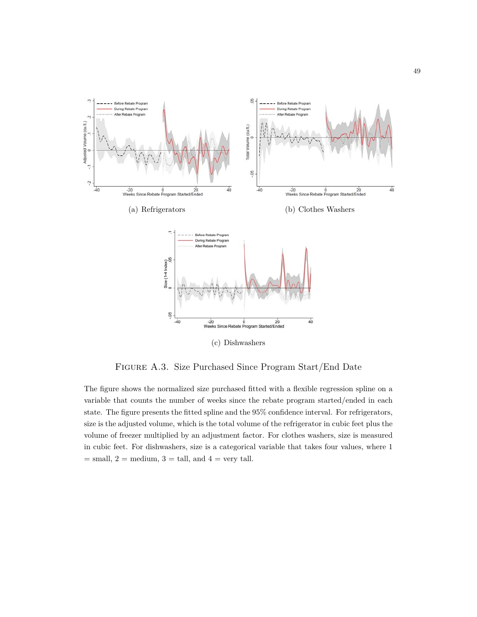

Figure A.3. Size Purchased Since Program Start/End Date

The figure shows the normalized size purchased fitted with a flexible regression spline on a variable that counts the number of weeks since the rebate program started/ended in each state. The figure presents the fitted spline and the 95% confidence interval. For refrigerators, size is the adjusted volume, which is the total volume of the refrigerator in cubic feet plus the volume of freezer multiplied by an adjustment factor. For clothes washers, size is measured in cubic feet. For dishwashers, size is a categorical variable that takes four values, where 1  $=$  small,  $2 =$  medium,  $3 =$  tall, and  $4 =$  very tall.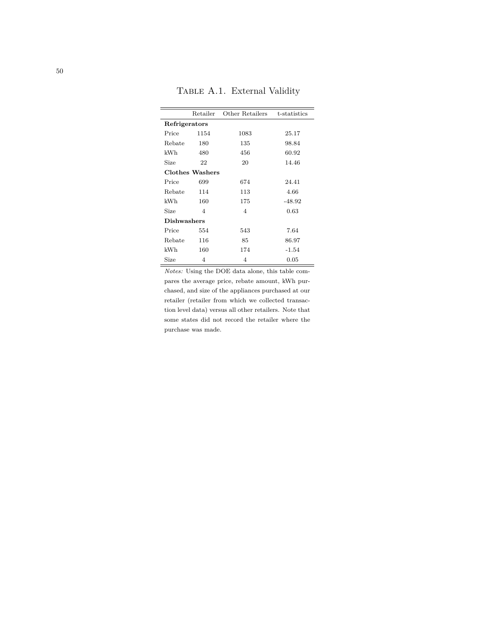TABLE A.1. External Validity

|                    | Retailer        | Other Retailers | t-statistics |
|--------------------|-----------------|-----------------|--------------|
| Refrigerators      |                 |                 |              |
| Price              | 1154            | 1083            | 25.17        |
| Rebate             | 180             | 135             | 98.84        |
| kWh                | 480             | 456             | 60.92        |
| Size               | 22              | 20              | 14.46        |
|                    | Clothes Washers |                 |              |
| Price              | 699             | 674             | 24.41        |
| Rebate             | 114             | 113             | 4.66         |
| kWh                | 160             | 175             | $-48.92$     |
| Size               | 4               | 4               | 0.63         |
| <b>Dishwashers</b> |                 |                 |              |
| Price              | 554             | 543             | 7.64         |
| Rebate             | 116             | 85              | 86.97        |
| kWh                | 160             | 174             | $-1.54$      |
| Size               | 4               | 4               | 0.05         |

*Notes:* Using the DOE data alone, this table compares the average price, rebate amount, kWh purchased, and size of the appliances purchased at our retailer (retailer from which we collected transaction level data) versus all other retailers. Note that some states did not record the retailer where the purchase was made.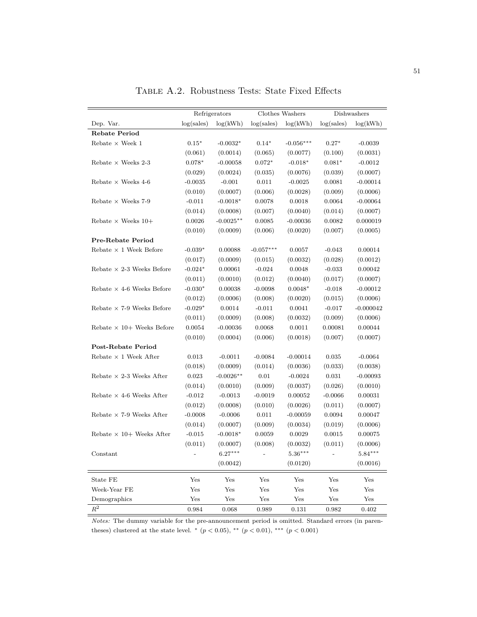|                                  |             | Refrigerators |             | Clothes Washers      |             | Dishwashers |
|----------------------------------|-------------|---------------|-------------|----------------------|-------------|-------------|
| Dep. Var.                        | log(sales)  | log(kWh)      | log(sales)  | log(kWh)             | log(sales)  | log(kWh)    |
| <b>Rebate Period</b>             |             |               |             |                      |             |             |
| Rebate $\times$ Week 1           | $0.15*$     | $-0.0032*$    | $0.14*$     | $-0.056***$          | $0.27*$     | $-0.0039$   |
|                                  | (0.061)     | (0.0014)      | (0.065)     | (0.0077)             | (0.100)     | (0.0031)    |
| Rebate $\times$ Weeks 2-3        | $0.078*$    | $-0.00058$    | $0.072*$    | $-0.018*$            | $0.081*$    | $-0.0012$   |
|                                  | (0.029)     | (0.0024)      | (0.035)     | (0.0076)             | (0.039)     | (0.0007)    |
| Rebate $\times$ Weeks 4-6        | $-0.0035$   | $-0.001$      | 0.011       | $-0.0025$            | 0.0081      | $-0.00014$  |
|                                  | (0.010)     | (0.0007)      | (0.006)     | (0.0028)             | (0.009)     | (0.0006)    |
| Rebate $\times$ Weeks 7-9        | $-0.011$    | $-0.0018*$    | 0.0078      | 0.0018               | 0.0064      | $-0.00064$  |
|                                  | (0.014)     | (0.0008)      | (0.007)     | (0.0040)             | (0.014)     | (0.0007)    |
| Rebate $\times$ Weeks 10+        | 0.0026      | $-0.0025**$   | 0.0085      | $-0.00036$           | 0.0082      | 0.000019    |
|                                  | (0.010)     | (0.0009)      | (0.006)     | (0.0020)             | (0.007)     | (0.0005)    |
| Pre-Rebate Period                |             |               |             |                      |             |             |
| Rebate $\times$ 1 Week Before    | $-0.039*$   | 0.00088       | $-0.057***$ | 0.0057               | $-0.043$    | 0.00014     |
|                                  | (0.017)     | (0.0009)      | (0.015)     | (0.0032)             | (0.028)     | (0.0012)    |
| Rebate $\times$ 2-3 Weeks Before | $-0.024*$   | 0.00061       | $-0.024$    | 0.0048               | $-0.033$    | 0.00042     |
|                                  | (0.011)     | (0.0010)      | (0.012)     | (0.0040)             | (0.017)     | (0.0007)    |
| Rebate $\times$ 4-6 Weeks Before | $-0.030*$   | 0.00038       | $-0.0098$   | $0.0048*$            | $-0.018$    | $-0.00012$  |
|                                  | (0.012)     | (0.0006)      | (0.008)     | (0.0020)             | (0.015)     | (0.0006)    |
| Rebate $\times$ 7-9 Weeks Before | $-0.029*$   | 0.0014        | $-0.011$    | 0.0041               | $-0.017$    | $-0.000042$ |
|                                  | (0.011)     | (0.0009)      | (0.008)     | (0.0032)             | (0.009)     | (0.0006)    |
| Rebate $\times$ 10+ Weeks Before | 0.0054      | $-0.00036$    | 0.0068      | 0.0011               | 0.00081     | 0.00044     |
|                                  | (0.010)     | (0.0004)      | (0.006)     | (0.0018)             | (0.007)     | (0.0007)    |
| Post-Rebate Period               |             |               |             |                      |             |             |
| Rebate $\times$ 1 Week After     | 0.013       | $-0.0011$     | $-0.0084$   | $-0.00014$           | 0.035       | $-0.0064$   |
|                                  | (0.018)     | (0.0009)      | (0.014)     | (0.0036)             | (0.033)     | (0.0038)    |
| Rebate $\times$ 2-3 Weeks After  | 0.023       | $-0.0026**$   | 0.01        | $-0.0024$            | 0.031       | $-0.00093$  |
|                                  | (0.014)     | (0.0010)      | (0.009)     | (0.0037)             | (0.026)     | (0.0010)    |
| Rebate $\times$ 4-6 Weeks After  | $-0.012$    | $-0.0013$     | $-0.0019$   | 0.00052              | $-0.0066$   | 0.00031     |
|                                  | (0.012)     | (0.0008)      | (0.010)     | (0.0026)             | (0.011)     | (0.0007)    |
| Rebate $\times$ 7-9 Weeks After  | $-0.0008$   | $-0.0006$     | 0.011       | $-0.00059$           | 0.0094      | 0.00047     |
|                                  | (0.014)     | (0.0007)      | (0.009)     | (0.0034)             | (0.019)     | (0.0006)    |
| Rebate $\times$ 10+ Weeks After  | $-0.015$    | $-0.0018*$    | 0.0059      | 0.0029               | 0.0015      | 0.00075     |
|                                  | (0.011)     | (0.0007)      | (0.008)     | (0.0032)             | (0.011)     | (0.0006)    |
| Constant                         |             | $6.27***$     |             | $5.36***$            |             | $5.84***$   |
|                                  |             | (0.0042)      |             | (0.0120)             |             | (0.0016)    |
| State FE                         | Yes         | Yes           | Yes         | Yes                  | Yes         | Yes         |
| Week-Year FE                     | Yes         | Yes           | Yes         | $\operatorname{Yes}$ | Yes         | Yes         |
| Demographics                     | Yes         | Yes           | Yes         | ${\rm Yes}$          | ${\rm Yes}$ | Yes         |
| $\mathbb{R}^2$                   | $\,0.984\,$ | 0.068         | $\,0.989\,$ | $\rm 0.131$          | $\,0.982\,$ | $\,0.402\,$ |

Table A.2. Robustness Tests: State Fixed Effects

*Notes:* The dummy variable for the pre-announcement period is omitted. Standard errors (in parentheses) clustered at the state level.  $*(p < 0.05), ** (p < 0.01), ** (p < 0.001)$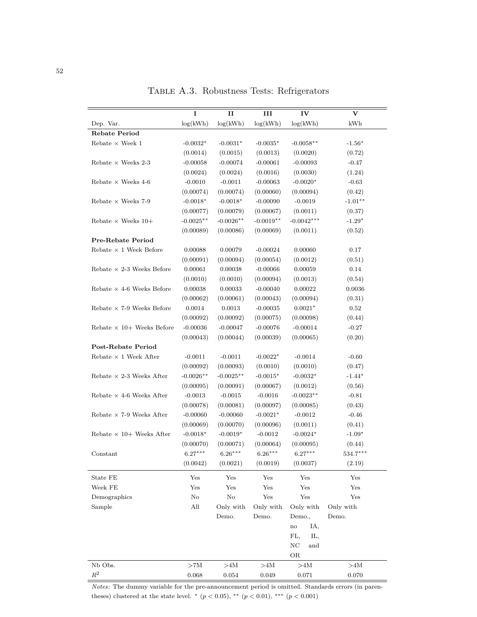|                                  | I           | $\mathbf{I}$ | Ш           | IV                      | $\mathbf {V}$ |
|----------------------------------|-------------|--------------|-------------|-------------------------|---------------|
| Dep. Var.                        | log(kWh)    | log(kWh)     | log(kWh)    | log(kWh)                | kWh           |
| <b>Rebate Period</b>             |             |              |             |                         |               |
| Rebate $\times$ Week $1$         | $-0.0032*$  | $-0.0031*$   | $-0.0035*$  | $-0.0058**$             | $-1.56*$      |
|                                  | (0.0014)    | (0.0015)     | (0.0013)    | (0.0020)                | (0.72)        |
| Rebate $\times$ Weeks 2-3        | $-0.00058$  | $-0.00074$   | $-0.00061$  | $-0.00093$              | $-0.47$       |
|                                  | (0.0024)    | (0.0024)     | (0.0016)    | (0.0030)                | (1.24)        |
| Rebate $\times$ Weeks 4-6        | $-0.0010$   | $-0.0011$    | $-0.00063$  | $-0.0020*$              | $-0.63$       |
|                                  | (0.00074)   | (0.00074)    | (0.00060)   | (0.00094)               | (0.42)        |
| Rebate $\times$ Weeks 7-9        | $-0.0018*$  | $-0.0018*$   | $-0.00090$  | $-0.0019$               | $-1.01**$     |
|                                  | (0.00077)   | (0.00079)    | (0.00067)   | (0.0011)                | (0.37)        |
| Rebate $\times$ Weeks 10+        | $-0.0025**$ | $-0.0026**$  | $-0.0019**$ | $-0.0042***$            | $-1.29*$      |
|                                  | (0.00089)   | (0.00086)    | (0.00069)   | (0.0011)                | (0.52)        |
| Pre-Rebate Period                |             |              |             |                         |               |
| Rebate $\times$ 1 Week Before    | 0.00088     | 0.00079      | $-0.00024$  | 0.00060                 | 0.17          |
|                                  | (0.00091)   | (0.00094)    | (0.00054)   | (0.0012)                | (0.51)        |
| Rebate $\times$ 2-3 Weeks Before | 0.00061     | 0.00038      | $-0.00066$  | 0.00059                 | 0.14          |
|                                  | (0.0010)    | (0.0010)     | (0.00094)   | (0.0013)                | (0.54)        |
| Rebate $\times$ 4-6 Weeks Before | 0.00038     | 0.00033      | $-0.00040$  | 0.00022                 | 0.0036        |
|                                  | (0.00062)   | (0.00061)    | (0.00043)   | (0.00094)               | (0.31)        |
| Rebate $\times$ 7-9 Weeks Before | 0.0014      | 0.0013       | $-0.00035$  | $0.0021*$               | 0.52          |
|                                  | (0.00092)   | (0.00092)    | (0.00075)   | (0.00098)               | (0.44)        |
| Rebate $\times$ 10+ Weeks Before | $-0.00036$  | $-0.00047$   | $-0.00076$  | $-0.00014$              | $-0.27$       |
|                                  | (0.00043)   | (0.00044)    | (0.00039)   | (0.00065)               | (0.20)        |
| Post-Rebate Period               |             |              |             |                         |               |
| Rebate $\times$ 1 Week After     | $-0.0011$   | $-0.0011$    | $-0.0022*$  | $-0.0014$               | $-0.60$       |
|                                  | (0.00092)   | (0.00093)    | (0.0010)    | (0.0010)                | (0.47)        |
| Rebate $\times$ 2-3 Weeks After  | $-0.0026**$ | $-0.0025**$  | $-0.0015*$  | $-0.0032*$              | $-1.44*$      |
|                                  | (0.00095)   | (0.00091)    | (0.00067)   | (0.0012)                | (0.56)        |
| Rebate $\times$ 4-6 Weeks After  | $-0.0013$   | $-0.0015$    | $-0.0016$   | $-0.0023**$             | $-0.81$       |
|                                  | (0.00078)   | (0.00081)    | (0.00097)   | (0.00085)               | (0.43)        |
| Rebate $\times$ 7-9 Weeks After  | $-0.00060$  | $-0.00060$   | $-0.0021*$  | $-0.0012$               | $-0.46$       |
|                                  | (0.00069)   | (0.00070)    | (0.00096)   | (0.0011)                | (0.41)        |
| Rebate $\times$ 10+ Weeks After  | $-0.0018*$  | $-0.0019*$   | $-0.0012$   | $-0.0024*$              | $-1.09*$      |
|                                  | (0.00070)   | (0.00071)    | (0.00064)   | (0.00095)               | (0.44)        |
| Constant                         | $6.27***$   | $6.26***$    | $6.26***$   | $6.27***$               | $534.7***$    |
|                                  | (0.0042)    | (0.0021)     | (0.0019)    | (0.0037)                | (2.19)        |
|                                  |             |              |             |                         |               |
| State FE                         | Yes         | Yes          | Yes         | Yes                     | Yes           |
| Week FE                          | Yes         | Yes          | Yes         | Yes                     | Yes           |
| Demographics                     | $\rm No$    | $\rm No$     | Yes         | ${\rm Yes}$             | Yes           |
| Sample                           | All         | Only with    | Only with   | Only with               | Only with     |
|                                  |             | Demo.        | Demo.       | Demo.,                  | Demo.         |
|                                  |             |              |             | IA,<br>$\mathbf{no}$    |               |
|                                  |             |              |             | FL,<br>IL,              |               |
|                                  |             |              |             | $_{\mathrm{NC}}$<br>and |               |
|                                  |             |              |             | OR                      |               |
| Nb Obs.                          | $>\!\!7M$   | $>\!\!4M$    | $>\!4M$     | >4M                     | >4M           |
| $\mathbb{R}^2$                   | 0.068       | 0.054        | 0.049       | 0.071                   | 0.070         |

Table A.3. Robustness Tests: Refrigerators

*Notes:* The dummy variable for the pre-announcement period is omitted. Standards errors (in parentheses) clustered at the state level.  $*(p < 0.05)$ ,  $** (p < 0.01)$ ,  $*** (p < 0.001)$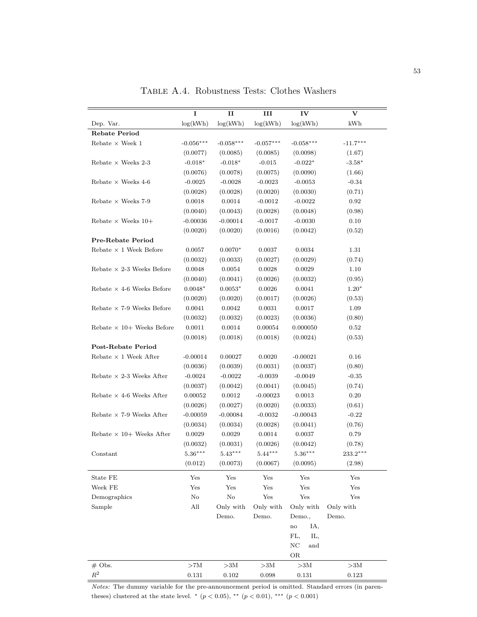|                                  | I           | $\mathbf{I}$     | ш                    | IV                      | v                |  |
|----------------------------------|-------------|------------------|----------------------|-------------------------|------------------|--|
| Dep. Var.                        | log(kWh)    | log(kWh)         | log(kWh)             | log(kWh)                | kWh              |  |
| <b>Rebate Period</b>             |             |                  |                      |                         |                  |  |
| Rebate $\times$ Week $1$         | $-0.056***$ | $-0.058***$      | $-0.057***$          | $-0.058***$             | $-11.7***$       |  |
|                                  | (0.0077)    | (0.0085)         | (0.0085)             | (0.0098)                | (1.67)           |  |
| Rebate $\times$ Weeks 2-3        | $-0.018*$   | $-0.018*$        | $-0.015$             | $-0.022*$               | $-3.58*$         |  |
|                                  | (0.0076)    | (0.0078)         | (0.0075)             | (0.0090)                | (1.66)           |  |
| Rebate $\times$ Weeks 4-6        | $-0.0025$   | $-0.0028$        | $-0.0023$            | $-0.0053$               | $-0.34$          |  |
|                                  | (0.0028)    | (0.0028)         | (0.0020)             | (0.0030)                | (0.71)           |  |
| Rebate $\times$ Weeks 7-9        | 0.0018      | 0.0014           | $-0.0012$            | $-0.0022$               | 0.92             |  |
|                                  | (0.0040)    | (0.0043)         | (0.0028)             | (0.0048)                | (0.98)           |  |
| Rebate $\times$ Weeks 10+        | $-0.00036$  | $-0.00014$       | $-0.0017$            | $-0.0030$               | 0.10             |  |
|                                  | (0.0020)    | (0.0020)         | (0.0016)             | (0.0042)                | (0.52)           |  |
| Pre-Rebate Period                |             |                  |                      |                         |                  |  |
| Rebate $\times$ 1 Week Before    | 0.0057      | $0.0070*$        | 0.0037               | 0.0034                  | 1.31             |  |
|                                  | (0.0032)    | (0.0033)         | (0.0027)             | (0.0029)                | (0.74)           |  |
| Rebate $\times$ 2-3 Weeks Before | 0.0048      | 0.0054           | 0.0028               | 0.0029                  | 1.10             |  |
|                                  | (0.0040)    | (0.0041)         | (0.0026)             | (0.0032)                | (0.95)           |  |
| Rebate $\times$ 4-6 Weeks Before | $0.0048*$   | $0.0053*$        | 0.0026               | 0.0041                  | $1.20*$          |  |
|                                  | (0.0020)    | (0.0020)         | (0.0017)             | (0.0026)                | (0.53)           |  |
| Rebate $\times$ 7-9 Weeks Before | 0.0041      | 0.0042           | 0.0031               | 0.0017                  | 1.09             |  |
|                                  | (0.0032)    | (0.0032)         | (0.0023)             | (0.0036)                | (0.80)           |  |
| Rebate $\times$ 10+ Weeks Before | 0.0011      | 0.0014           | 0.00054              | 0.000050                | 0.52             |  |
|                                  | (0.0018)    | (0.0018)         | (0.0018)             | (0.0024)                | (0.53)           |  |
| <b>Post-Rebate Period</b>        |             |                  |                      |                         |                  |  |
| Rebate $\times$ 1 Week After     | $-0.00014$  | 0.00027          | 0.0020               | $-0.00021$              | 0.16             |  |
|                                  | (0.0036)    | (0.0039)         | (0.0031)             | (0.0037)                | (0.80)           |  |
| Rebate $\times$ 2-3 Weeks After  | $-0.0024$   | $-0.0022$        | $-0.0039$            | $-0.0049$               | $-0.35$          |  |
|                                  | (0.0037)    | (0.0042)         | (0.0041)             | (0.0045)                | (0.74)           |  |
| Rebate $\times$ 4-6 Weeks After  | 0.00052     | 0.0012           | $-0.00023$           | 0.0013                  | 0.20             |  |
|                                  | (0.0026)    | (0.0027)         | (0.0020)             | (0.0033)                | (0.61)           |  |
| Rebate $\times$ 7-9 Weeks After  | $-0.00059$  | $-0.00084$       | $-0.0032$            | $-0.00043$              | $-0.22$          |  |
|                                  | (0.0034)    | (0.0034)         | (0.0028)             | (0.0041)                | (0.76)           |  |
| Rebate $\times$ 10+ Weeks After  | 0.0029      | 0.0029           | 0.0014               | 0.0037                  | 0.79             |  |
|                                  | (0.0032)    | (0.0031)         | (0.0026)             | (0.0042)                | (0.78)           |  |
|                                  |             | $5.43***$        |                      | $5.36***$               |                  |  |
| Constant                         | $5.36***$   | (0.0073)         | $5.44***$            |                         | $233.2***$       |  |
|                                  | (0.012)     |                  | (0.0067)             | (0.0095)                | (2.98)           |  |
| State FE                         | Yes         | Yes              | Yes                  | Yes                     | Yes              |  |
| Week FE                          | Yes         | Yes              | Yes                  | $\operatorname{Yes}$    | Yes              |  |
| Demographics                     | $\rm No$    | $\rm No$         | $\operatorname{Yes}$ | $\operatorname{Yes}$    | Yes              |  |
| Sample                           | All         | Only with        | Only with            | Only with               | Only with        |  |
|                                  |             | Demo.            | Demo.                | Demo.,                  | Demo.            |  |
|                                  |             |                  |                      | IA,<br>$\mathbf{no}$    |                  |  |
|                                  |             |                  |                      | FL,<br>IL,              |                  |  |
|                                  |             |                  |                      | $_{\mathrm{NC}}$<br>and |                  |  |
|                                  |             |                  |                      | OR                      |                  |  |
| $#$ Obs.                         | $>\!\!7M$   | ${>}3\mathrm{M}$ | $>\!\!3\mathrm{M}$   | ${>}3\mathrm{M}$        | ${>}3\mathrm{M}$ |  |
| $R^2$                            | $\rm 0.131$ | $0.102\,$        | $\,0.098\,$          | 0.131                   | $\rm 0.123$      |  |

Table A.4. Robustness Tests: Clothes Washers

*Notes:* The dummy variable for the pre-announcement period is omitted. Standard errors (in parentheses) clustered at the state level.  $*(p < 0.05), ** (p < 0.01), ** (p < 0.001)$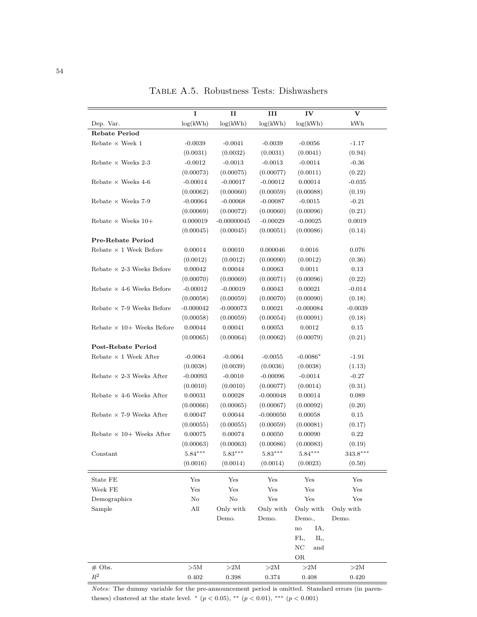|                                  | I           | п             | III         | IV                                | v          |
|----------------------------------|-------------|---------------|-------------|-----------------------------------|------------|
| Dep. Var.                        | log(kWh)    | log(kWh)      | log(kWh)    | log(kWh)                          | kWh        |
| <b>Rebate Period</b>             |             |               |             |                                   |            |
| Rebate $\times$ Week 1           | $-0.0039$   | $-0.0041$     | $-0.0039$   | $-0.0056$                         | $-1.17$    |
|                                  | (0.0031)    | (0.0032)      | (0.0031)    | (0.0041)                          | (0.94)     |
| Rebate $\times$ Weeks 2-3        | $-0.0012$   | $-0.0013$     | $-0.0013$   | $-0.0014$                         | $-0.36$    |
|                                  | (0.00073)   | (0.00075)     | (0.00077)   | (0.0011)                          | (0.22)     |
| Rebate $\times$ Weeks 4-6        | $-0.00014$  | $-0.00017$    | $-0.00012$  | 0.00014                           | $-0.035$   |
|                                  | (0.00062)   | (0.00060)     | (0.00059)   | (0.00088)                         | (0.19)     |
| Rebate $\times$ Weeks 7-9        | $-0.00064$  | $-0.00068$    | $-0.00087$  | $-0.0015$                         | $-0.21$    |
|                                  | (0.00069)   | (0.00072)     | (0.00060)   | (0.00096)                         | (0.21)     |
| Rebate $\times$ Weeks 10+        | 0.000019    | $-0.00000045$ | $-0.00029$  | $-0.00025$                        | 0.0019     |
|                                  | (0.00045)   | (0.00045)     | (0.00051)   | (0.00086)                         | (0.14)     |
| Pre-Rebate Period                |             |               |             |                                   |            |
| Rebate $\times$ 1 Week Before    | 0.00014     | 0.00010       | 0.000046    | 0.0016                            | 0.076      |
|                                  | (0.0012)    | (0.0012)      | (0.00090)   | (0.0012)                          | (0.36)     |
| Rebate $\times$ 2-3 Weeks Before | 0.00042     | 0.00044       | 0.00063     | 0.0011                            | 0.13       |
|                                  | (0.00070)   | (0.00069)     | (0.00071)   | (0.00096)                         | (0.22)     |
| Rebate $\times$ 4-6 Weeks Before | $-0.00012$  | $-0.00019$    | 0.00043     | 0.00021                           | $-0.014$   |
|                                  | (0.00058)   | (0.00059)     | (0.00070)   | (0.00090)                         | (0.18)     |
| Rebate $\times$ 7-9 Weeks Before | $-0.000042$ | $-0.000073$   | 0.00021     | $-0.000084$                       | $-0.0039$  |
|                                  | (0.00058)   | (0.00059)     | (0.00054)   | (0.00091)                         | (0.18)     |
| Rebate $\times$ 10+ Weeks Before | 0.00044     | 0.00041       | 0.00053     | 0.0012                            | 0.15       |
|                                  | (0.00065)   | (0.00064)     | (0.00062)   | (0.00079)                         | (0.21)     |
| <b>Post-Rebate Period</b>        |             |               |             |                                   |            |
| Rebate $\times$ 1 Week After     | $-0.0064$   | $-0.0064$     | $-0.0055$   | $-0.0086*$                        | $-1.91$    |
|                                  | (0.0038)    | (0.0039)      | (0.0036)    | (0.0038)                          | (1.13)     |
| Rebate $\times$ 2-3 Weeks After  | $-0.00093$  | $-0.0010$     | $-0.00096$  | $-0.0014$                         | $-0.27$    |
|                                  | (0.0010)    | (0.0010)      | (0.00077)   | (0.0014)                          | (0.31)     |
| Rebate $\times$ 4-6 Weeks After  | 0.00031     | 0.00028       | $-0.000048$ | 0.00014                           | 0.089      |
|                                  | (0.00066)   | (0.00065)     | (0.00067)   | (0.00092)                         | (0.20)     |
| Rebate $\times$ 7-9 Weeks After  | 0.00047     | 0.00044       | $-0.000050$ | 0.00058                           | 0.15       |
|                                  | (0.00055)   | (0.00055)     | (0.00059)   | (0.00081)                         | (0.17)     |
| Rebate $\times$ 10+ Weeks After  | 0.00075     | 0.00074       | 0.00050     | 0.00090                           | 0.22       |
|                                  | (0.00063)   | (0.00063)     | (0.00086)   | (0.00083)                         | (0.19)     |
| Constant                         | $5.84***$   | $5.83***$     | $5.83***$   | $5.84***$                         | $343.8***$ |
|                                  | (0.0016)    | (0.0014)      | (0.0014)    | (0.0023)                          | (0.50)     |
|                                  |             |               |             |                                   |            |
| State FE                         | Yes         | Yes           | Yes         | Yes                               | Yes        |
| Week FE                          | Yes         | Yes           | Yes         | Yes                               | Yes        |
| Demographics                     | No          | $\rm No$      | Yes         | Yes                               | Yes        |
| Sample                           | All         | Only with     | Only with   | Only with                         | Only with  |
|                                  |             | Demo.         | Demo.       | Demo.,                            | Demo.      |
|                                  |             |               |             | IA,<br>$\mathop{\rm no}\nolimits$ |            |
|                                  |             |               |             | FL,<br>IL,                        |            |
|                                  |             |               |             | $_{\mathrm{NC}}$<br>and           |            |
|                                  |             |               |             | $\rm OR$                          |            |
| $#$ Obs.                         | >5M         | $>\!\!2M$     | $>\!\!2M$   | >2M                               | >2M        |

Table A.5. Robustness Tests: Dishwashers

*Notes:* The dummy variable for the pre-announcement period is omitted. Standard errors (in parentheses) clustered at the state level. <sup>\*</sup> ( $p < 0.05$ ), <sup>\*\*</sup> ( $p < 0.01$ ), <sup>\*\*\*</sup> ( $p < 0.001$ )

*R*<sup>2</sup> 0.402 0.398 0.374 0.408 0.420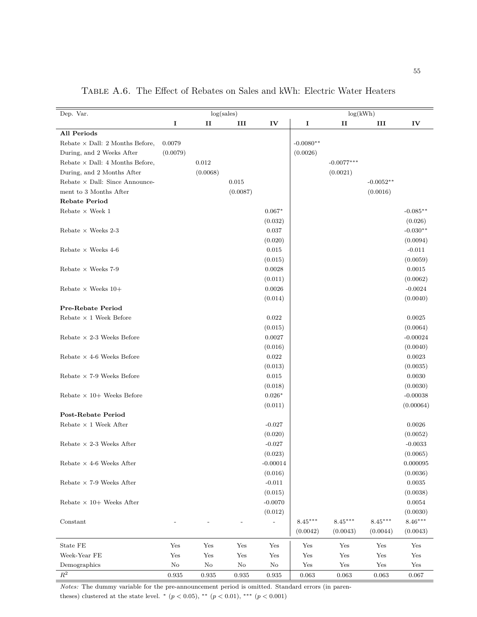| Dep. Var.                              |             | log(sales)   |                          |                          | log(kWh)    |              |             |            |  |
|----------------------------------------|-------------|--------------|--------------------------|--------------------------|-------------|--------------|-------------|------------|--|
|                                        | I           | $\mathbf{H}$ | III                      | IV                       | I           | $\mathbf{H}$ | III         | IV         |  |
| <b>All Periods</b>                     |             |              |                          |                          |             |              |             |            |  |
| Rebate $\times$ Dall: 2 Months Before, | 0.0079      |              |                          |                          | $-0.0080**$ |              |             |            |  |
| During, and 2 Weeks After              | (0.0079)    |              |                          |                          | (0.0026)    |              |             |            |  |
| Rebate $\times$ Dall: 4 Months Before, |             | 0.012        |                          |                          |             | $-0.0077***$ |             |            |  |
| During, and 2 Months After             |             | (0.0068)     |                          |                          |             | (0.0021)     |             |            |  |
| Rebate $\times$ Dall: Since Announce-  |             |              | 0.015                    |                          |             |              | $-0.0052**$ |            |  |
| ment to 3 Months After                 |             |              | (0.0087)                 |                          |             |              | (0.0016)    |            |  |
| <b>Rebate Period</b>                   |             |              |                          |                          |             |              |             |            |  |
| Rebate $\times$ Week $1$               |             |              |                          | $0.067*$                 |             |              |             | $-0.085**$ |  |
|                                        |             |              |                          | (0.032)                  |             |              |             | (0.026)    |  |
|                                        |             |              |                          | 0.037                    |             |              |             | $-0.030**$ |  |
| Rebate $\times$ Weeks 2-3              |             |              |                          |                          |             |              |             |            |  |
|                                        |             |              |                          | (0.020)                  |             |              |             | (0.0094)   |  |
| Rebate $\times$ Weeks 4-6              |             |              |                          | 0.015                    |             |              |             | $-0.011$   |  |
|                                        |             |              |                          | (0.015)                  |             |              |             | (0.0059)   |  |
| Rebate $\times$ Weeks 7-9              |             |              |                          | 0.0028                   |             |              |             | 0.0015     |  |
|                                        |             |              |                          | (0.011)                  |             |              |             | (0.0062)   |  |
| Rebate $\times$ Weeks 10+              |             |              |                          | 0.0026                   |             |              |             | $-0.0024$  |  |
|                                        |             |              |                          | (0.014)                  |             |              |             | (0.0040)   |  |
| <b>Pre-Rebate Period</b>               |             |              |                          |                          |             |              |             |            |  |
| Rebate $\times$ 1 Week Before          |             |              |                          | 0.022                    |             |              |             | 0.0025     |  |
|                                        |             |              |                          | (0.015)                  |             |              |             | (0.0064)   |  |
| Rebate $\times$ 2-3 Weeks Before       |             |              |                          | 0.0027                   |             |              |             | $-0.00024$ |  |
|                                        |             |              |                          | (0.016)                  |             |              |             | (0.0040)   |  |
| Rebate $\times$ 4-6 Weeks Before       |             |              |                          | 0.022                    |             |              |             | 0.0023     |  |
|                                        |             |              |                          | (0.013)                  |             |              |             | (0.0035)   |  |
| Rebate $\times$ 7-9 Weeks Before       |             |              |                          | 0.015                    |             |              |             | 0.0030     |  |
|                                        |             |              |                          | (0.018)                  |             |              |             | (0.0030)   |  |
| Rebate $\times$ 10+ Weeks Before       |             |              |                          | $0.026*$                 |             |              |             | $-0.00038$ |  |
|                                        |             |              |                          | (0.011)                  |             |              |             | (0.00064)  |  |
| <b>Post-Rebate Period</b>              |             |              |                          |                          |             |              |             |            |  |
| Rebate $\times$ 1 Week After           |             |              |                          | $-0.027$                 |             |              |             | 0.0026     |  |
|                                        |             |              |                          | (0.020)                  |             |              |             | (0.0052)   |  |
| Rebate $\times$ 2-3 Weeks After        |             |              |                          | $-0.027$                 |             |              |             | $-0.0033$  |  |
|                                        |             |              |                          | (0.023)                  |             |              |             | (0.0065)   |  |
| Rebate $\times$ 4-6 Weeks After        |             |              |                          | $-0.00014$               |             |              |             | 0.000095   |  |
|                                        |             |              |                          | (0.016)                  |             |              |             | (0.0036)   |  |
| Rebate $\times$ 7-9 Weeks After        |             |              |                          | $-0.011$                 |             |              |             | 0.0035     |  |
|                                        |             |              |                          | (0.015)                  |             |              |             | (0.0038)   |  |
| Rebate $\times$ 10+ Weeks After        |             |              |                          | $-0.0070$                |             |              |             | 0.0054     |  |
|                                        |             |              |                          | (0.012)                  |             |              |             | (0.0030)   |  |
| Constant                               |             |              |                          | $\overline{\phantom{a}}$ | $8.45***$   | $8.45***$    | $8.45***$   | $8.46***$  |  |
|                                        |             |              | $\overline{\phantom{a}}$ |                          |             |              |             |            |  |
|                                        |             |              |                          |                          | (0.0042)    | (0.0043)     | (0.0044)    | (0.0043)   |  |
| State FE                               | Yes         | Yes          | Yes                      | Yes                      | Yes         | Yes          | Yes         | Yes        |  |
| Week-Year FE                           | Yes         | Yes          | Yes                      | Yes                      | Yes         | Yes          | Yes         | Yes        |  |
| Demographics                           | $\rm No$    | $\rm No$     | $\rm No$                 | $\rm No$                 | Yes         | ${\rm Yes}$  | Yes         | Yes        |  |
| $\mathbb{R}^2$                         | $\,0.935\,$ | $\,0.935\,$  | $\,0.935\,$              | $\,0.935\,$              | $\,0.063\,$ | 0.063        | 0.063       | 0.067      |  |

Table A.6. The Effect of Rebates on Sales and kWh: Electric Water Heaters

*Notes:* The dummy variable for the pre-announcement period is omitted. Standard errors (in parentheses) clustered at the state level.  $*(p < 0.05), ** (p < 0.01), ** (p < 0.001)$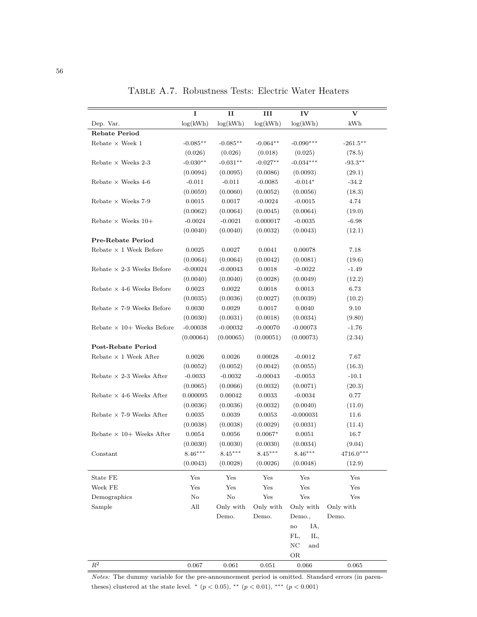|                                  | I          | $\mathbf{I}$ | Ш          | IV                      | v           |
|----------------------------------|------------|--------------|------------|-------------------------|-------------|
| Dep. Var.                        | log(kWh)   | log(kWh)     | log(kWh)   | log(kWh)                | kWh         |
| <b>Rebate Period</b>             |            |              |            |                         |             |
| Rebate $\times$ Week $1$         | $-0.085**$ | $-0.085**$   | $-0.064**$ | $-0.090***$             | $-261.5***$ |
|                                  | (0.026)    | (0.026)      | (0.018)    | (0.025)                 | (78.5)      |
| Rebate $\times$ Weeks 2-3        | $-0.030**$ | $-0.031**$   | $-0.027**$ | $-0.034***$             | $-93.3**$   |
|                                  | (0.0094)   | (0.0095)     | (0.0086)   | (0.0093)                | (29.1)      |
| Rebate $\times$ Weeks 4-6        | $-0.011$   | $-0.011$     | $-0.0085$  | $-0.014*$               | $-34.2$     |
|                                  | (0.0059)   | (0.0060)     | (0.0052)   | (0.0056)                | (18.3)      |
| Rebate $\times$ Weeks 7-9        | 0.0015     | 0.0017       | $-0.0024$  | $-0.0015$               | 4.74        |
|                                  | (0.0062)   | (0.0064)     | (0.0045)   | (0.0064)                | (19.0)      |
| Rebate $\times$ Weeks 10+        | $-0.0024$  | $-0.0021$    | 0.000017   | $-0.0035$               | $-6.98$     |
|                                  | (0.0040)   | (0.0040)     | (0.0032)   | (0.0043)                | (12.1)      |
| Pre-Rebate Period                |            |              |            |                         |             |
| Rebate $\times$ 1 Week Before    | 0.0025     | 0.0027       | 0.0041     | 0.00078                 | 7.18        |
|                                  | (0.0064)   | (0.0064)     | (0.0042)   | (0.0081)                | (19.6)      |
| Rebate $\times$ 2-3 Weeks Before | $-0.00024$ | $-0.00043$   | 0.0018     | $-0.0022$               | $-1.49$     |
|                                  | (0.0040)   | (0.0040)     | (0.0028)   | (0.0049)                | (12.2)      |
| Rebate $\times$ 4-6 Weeks Before | 0.0023     | 0.0022       | 0.0018     | 0.0013                  | 6.73        |
|                                  | (0.0035)   | (0.0036)     | (0.0027)   | (0.0039)                | (10.2)      |
| Rebate $\times$ 7-9 Weeks Before | 0.0030     | 0.0029       | 0.0017     | 0.0040                  | 9.10        |
|                                  | (0.0030)   | (0.0031)     | (0.0018)   | (0.0034)                | (9.80)      |
| Rebate $\times$ 10+ Weeks Before | $-0.00038$ | $-0.00032$   | $-0.00070$ | $-0.00073$              | $-1.76$     |
|                                  | (0.00064)  | (0.00065)    | (0.00051)  | (0.00073)               | (2.34)      |
| <b>Post-Rebate Period</b>        |            |              |            |                         |             |
| Rebate $\times$ 1 Week After     | 0.0026     | 0.0026       | 0.00028    | $-0.0012$               | 7.67        |
|                                  | (0.0052)   | (0.0052)     | (0.0042)   | (0.0055)                | (16.3)      |
| Rebate $\times$ 2-3 Weeks After  | $-0.0033$  | $-0.0032$    | $-0.00043$ | $-0.0053$               | $-10.1$     |
|                                  | (0.0065)   | (0.0066)     | (0.0032)   | (0.0071)                | (20.3)      |
| Rebate $\times$ 4-6 Weeks After  | 0.000095   | 0.00042      | 0.0033     | $-0.0034$               | 0.77        |
|                                  | (0.0036)   | (0.0036)     | (0.0032)   | (0.0040)                | (11.0)      |
| Rebate $\times$ 7-9 Weeks After  | 0.0035     | 0.0039       | 0.0053     | $-0.000031$             | 11.6        |
|                                  | (0.0038)   | (0.0038)     | (0.0029)   | (0.0031)                | (11.4)      |
| Rebate $\times$ 10+ Weeks After  | 0.0054     | 0.0056       | $0.0067*$  | 0.0051                  | 16.7        |
|                                  | (0.0030)   | (0.0030)     | (0.0030)   | (0.0034)                | (9.04)      |
| Constant                         | $8.46***$  | $8.45***$    | $8.45***$  | $8.46***$               | $4716.0***$ |
|                                  | (0.0043)   | (0.0028)     | (0.0026)   | (0.0048)                | (12.9)      |
| State FE                         | Yes        | Yes          | Yes        | Yes                     | Yes         |
| Week FE                          | Yes        | Yes          | Yes        | Yes                     | Yes         |
| Demographics                     | No         | No           | Yes        | Yes                     | Yes         |
| Sample                           | All        | Only with    | Only with  | Only with               | Only with   |
|                                  |            | Demo.        | Demo.      | Demo.,                  | Demo.       |
|                                  |            |              |            | IA,<br>$\mathbf{no}$    |             |
|                                  |            |              |            | FL,<br>IL,              |             |
|                                  |            |              |            | $_{\mathrm{NC}}$<br>and |             |
|                                  |            |              |            | OR                      |             |
| $R^2$                            | 0.067      | 0.061        | 0.051      | 0.066                   | 0.065       |

Table A.7. Robustness Tests: Electric Water Heaters

*Notes:* The dummy variable for the pre-announcement period is omitted. Standard errors (in parentheses) clustered at the state level. <sup>\*</sup> (*p* < 0.05), \*\* (*p* < 0.01), \*\*\* (*p* < 0.001)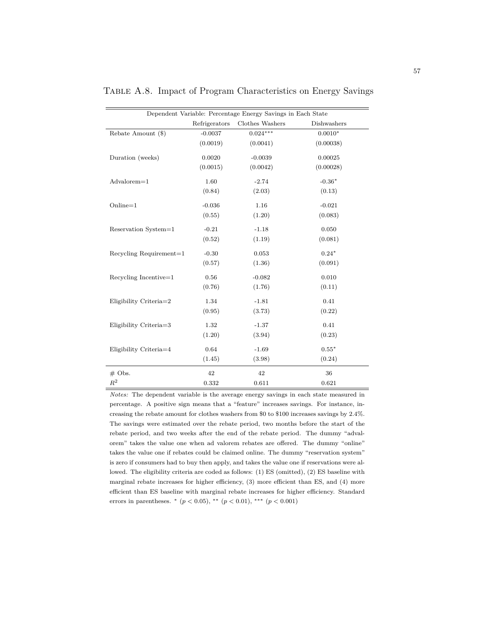| Dependent Variable: Percentage Energy Savings in Each State |               |                 |             |  |  |  |  |
|-------------------------------------------------------------|---------------|-----------------|-------------|--|--|--|--|
|                                                             | Refrigerators | Clothes Washers | Dishwashers |  |  |  |  |
| Rebate Amount (\$)                                          | $-0.0037$     | $0.024***$      | $0.0010*$   |  |  |  |  |
|                                                             | (0.0019)      | (0.0041)        | (0.00038)   |  |  |  |  |
| Duration (weeks)                                            | 0.0020        | $-0.0039$       | 0.00025     |  |  |  |  |
|                                                             | (0.0015)      | (0.0042)        | (0.00028)   |  |  |  |  |
| $Advalorem=1$                                               | 1.60          | $-2.74$         | $-0.36*$    |  |  |  |  |
|                                                             | (0.84)        | (2.03)          | (0.13)      |  |  |  |  |
| $Online = 1$                                                | $-0.036$      | 1.16            | $-0.021$    |  |  |  |  |
|                                                             | (0.55)        | (1.20)          | (0.083)     |  |  |  |  |
| Reservation System=1                                        | $-0.21$       | $-1.18$         | 0.050       |  |  |  |  |
|                                                             | (0.52)        | (1.19)          | (0.081)     |  |  |  |  |
| Recycling Requirement=1                                     | $-0.30$       | 0.053           | $0.24*$     |  |  |  |  |
|                                                             | (0.57)        | (1.36)          | (0.091)     |  |  |  |  |
| Recycling Incentive=1                                       | 0.56          | $-0.082$        | 0.010       |  |  |  |  |
|                                                             | (0.76)        | (1.76)          | (0.11)      |  |  |  |  |
| Eligibility Criteria=2                                      | 1.34          | $-1.81$         | 0.41        |  |  |  |  |
|                                                             | (0.95)        | (3.73)          | (0.22)      |  |  |  |  |
| Eligibility Criteria=3                                      | 1.32          | $-1.37$         | 0.41        |  |  |  |  |
|                                                             | (1.20)        | (3.94)          | (0.23)      |  |  |  |  |
| Eligibility Criteria=4                                      | 0.64          | $-1.69$         | $0.55*$     |  |  |  |  |
|                                                             | (1.45)        | (3.98)          | (0.24)      |  |  |  |  |
| $#$ Obs.                                                    | 42            | 42              | 36          |  |  |  |  |
| $R^2$                                                       | 0.332         | 0.611           | 0.621       |  |  |  |  |

Table A.8. Impact of Program Characteristics on Energy Savings

*Notes:* The dependent variable is the average energy savings in each state measured in percentage. A positive sign means that a "feature" increases savings. For instance, increasing the rebate amount for clothes washers from \$0 to \$100 increases savings by 2.4%. The savings were estimated over the rebate period, two months before the start of the rebate period, and two weeks after the end of the rebate period. The dummy "advalorem" takes the value one when ad valorem rebates are offered. The dummy "online" takes the value one if rebates could be claimed online. The dummy "reservation system" is zero if consumers had to buy then apply, and takes the value one if reservations were allowed. The eligibility criteria are coded as follows: (1) ES (omitted), (2) ES baseline with marginal rebate increases for higher efficiency, (3) more efficient than ES, and (4) more efficient than ES baseline with marginal rebate increases for higher efficiency. Standard errors in parentheses. <sup>∗</sup> (*p <* 0*.*05), ∗∗ (*p <* 0*.*01), ∗∗∗ (*p <* 0*.*001)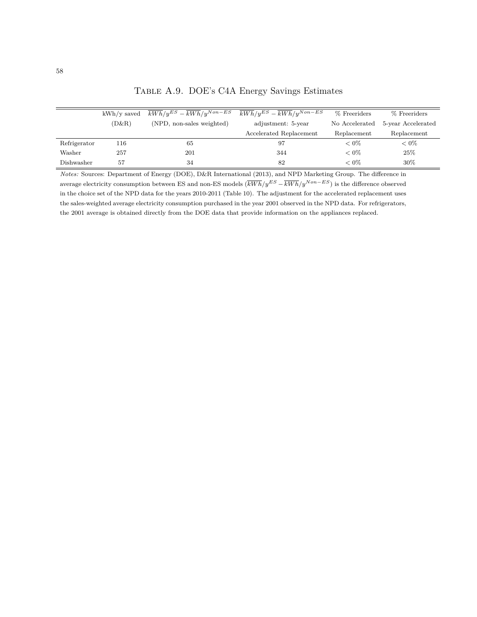|              | $kWh/v$ saved | $\overline{kWh}/y^{ES} - \overline{kWh}/y^{Non-ES}$ | $\overline{kWh}/v^{ES} - \overline{kWh}/v^{Non-ES}$ | % Freeriders   | % Freeriders       |
|--------------|---------------|-----------------------------------------------------|-----------------------------------------------------|----------------|--------------------|
|              | (D&R)         | (NPD, non-sales weighted)                           | adjustment: 5-year                                  | No Accelerated | 5-year Accelerated |
|              |               |                                                     | Accelerated Replacement                             | Replacement    | Replacement        |
| Refrigerator | 116           | 65                                                  | 97                                                  | ${}< 0\%$      | ${}< 0\%$          |
| Washer       | 257           | 201                                                 | 344                                                 | ${}< 0\%$      | 25%                |
| Dishwasher   | 57            | 34                                                  | 82                                                  | ${}< 0\%$      | $30\%$             |

Table A.9. DOE's C4A Energy Savings Estimates

*Notes:* Sources: Department of Energy (DOE), D&R International (2013), and NPD Marketing Group. The difference in average electricity consumption between ES and non-ES models  $(\overline{kWh}/y^{ES} - \overline{kWh}/y^{Non-ES})$  is the difference observed in the choice set of the NPD data for the years 2010-2011 (Table 10). The adjustment for the accelerated replacement uses the sales-weighted average electricity consumption purchased in the year 2001 observed in the NPD data. For refrigerators, the 2001 average is obtained directly from the DOE data that provide information on the appliances replaced.